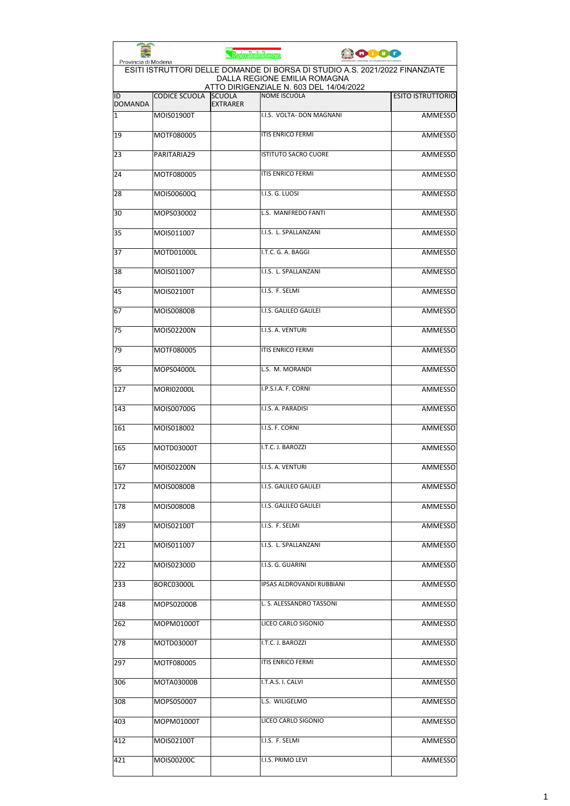| Provincia di Modena  |                                                                                                                                                        | RegioneEmiliaRomagna             | 0000                        |                          |  |  |
|----------------------|--------------------------------------------------------------------------------------------------------------------------------------------------------|----------------------------------|-----------------------------|--------------------------|--|--|
|                      | ESITI ISTRUTTORI DELLE DOMANDE DI BORSA DI STUDIO A.S. 2021/2022 FINANZIATE<br>DALLA REGIONE EMILIA ROMAGNA<br>ATTO DIRIGENZIALE N. 603 DEL 14/04/2022 |                                  |                             |                          |  |  |
| ID<br><b>DOMANDA</b> | <b>CODICE SCUOLA</b>                                                                                                                                   | <b>SCUOLA</b><br><b>EXTRARER</b> | <b>NOME ISCUOLA</b>         | <b>ESITO ISTRUTTORIO</b> |  |  |
| 1                    | MOIS01900T                                                                                                                                             |                                  | I.I.S. VOLTA- DON MAGNANI   | <b>AMMESSO</b>           |  |  |
| 19                   | MOTF080005                                                                                                                                             |                                  | <b>ITIS ENRICO FERMI</b>    | <b>AMMESSO</b>           |  |  |
| 23                   | PARITARIA29                                                                                                                                            |                                  | <b>ISTITUTO SACRO CUORE</b> | <b>AMMESSO</b>           |  |  |
| 24                   | MOTF080005                                                                                                                                             |                                  | <b>ITIS ENRICO FERMI</b>    | AMMESSO                  |  |  |
| 28                   | MOIS00600Q                                                                                                                                             |                                  | I.I.S. G. LUOSI             | <b>AMMESSO</b>           |  |  |
| 30                   | MOPS030002                                                                                                                                             |                                  | L.S. MANFREDO FANTI         | <b>AMMESSO</b>           |  |  |
| 35                   | MOIS011007                                                                                                                                             |                                  | I.I.S. L. SPALLANZANI       | <b>AMMESSO</b>           |  |  |
| 37                   | MOTD01000L                                                                                                                                             |                                  | I.T.C. G. A. BAGGI          | <b>AMMESSO</b>           |  |  |
| 38                   | MOIS011007                                                                                                                                             |                                  | I.I.S. L. SPALLANZANI       | AMMESSO                  |  |  |
| 45                   | MOIS02100T                                                                                                                                             |                                  | I.I.S. F. SELMI             | <b>AMMESSO</b>           |  |  |
| 67                   | <b>MOIS00800B</b>                                                                                                                                      |                                  | I.I.S. GALILEO GALILEI      | <b>AMMESSO</b>           |  |  |
| 75                   | MOIS02200N                                                                                                                                             |                                  | I.I.S. A. VENTURI           | <b>AMMESSO</b>           |  |  |
| 79                   | MOTF080005                                                                                                                                             |                                  | <b>ITIS ENRICO FERMI</b>    | <b>AMMESSO</b>           |  |  |
| 95                   | MOPS04000L                                                                                                                                             |                                  | L.S. M. MORANDI             | AMMESSO                  |  |  |
| 127                  | <b>MORI02000L</b>                                                                                                                                      |                                  | I.P.S.I.A. F. CORNI         | AMMESSO                  |  |  |
| 143                  | MOIS00700G                                                                                                                                             |                                  | I.I.S. A. PARADISI          | <b>AMMESSO</b>           |  |  |
| 161                  | MOIS018002                                                                                                                                             |                                  | I.I.S. F. CORNI             | <b>AMMESSO</b>           |  |  |
| 165                  | MOTD03000T                                                                                                                                             |                                  | I.T.C. J. BAROZZI           | <b>AMMESSO</b>           |  |  |
| 167                  | <b>MOIS02200N</b>                                                                                                                                      |                                  | I.I.S. A. VENTURI           | AMMESSO                  |  |  |
| 172                  | MOIS00800B                                                                                                                                             |                                  | I.I.S. GALILEO GALILEI      | AMMESSO                  |  |  |
| 178                  | MOIS00800B                                                                                                                                             |                                  | I.I.S. GALILEO GALILEI      | <b>AMMESSO</b>           |  |  |
| 189                  | MOIS02100T                                                                                                                                             |                                  | I.I.S. F. SELMI             | AMMESSO                  |  |  |
| 221                  | MOIS011007                                                                                                                                             |                                  | I.I.S. L. SPALLANZANI       | <b>AMMESSO</b>           |  |  |
| 222                  | MOIS02300D                                                                                                                                             |                                  | I.I.S. G. GUARINI           | AMMESSO                  |  |  |
| 233                  | BORC03000L                                                                                                                                             |                                  | IPSAS ALDROVANDI RUBBIANI   | <b>AMMESSO</b>           |  |  |
| 248                  | MOPS02000B                                                                                                                                             |                                  | L. S. ALESSANDRO TASSONI    | AMMESSO                  |  |  |
| 262                  | MOPM01000T                                                                                                                                             |                                  | LICEO CARLO SIGONIO         | AMMESSO                  |  |  |
| 278                  | MOTD03000T                                                                                                                                             |                                  | I.T.C. J. BAROZZI           | AMMESSO                  |  |  |
| 297                  | MOTF080005                                                                                                                                             |                                  | <b>ITIS ENRICO FERMI</b>    | <b>AMMESSO</b>           |  |  |
| 306                  | MOTA03000B                                                                                                                                             |                                  | I.T.A.S. I. CALVI           | AMMESSO                  |  |  |
| 308                  | MOPS050007                                                                                                                                             |                                  | L.S. WILIGELMO              | AMMESSO                  |  |  |
| 403                  | MOPM01000T                                                                                                                                             |                                  | LICEO CARLO SIGONIO         | AMMESSO                  |  |  |
| 412                  | MOIS02100T                                                                                                                                             |                                  | I.I.S. F. SELMI             | AMMESSO                  |  |  |
| 421                  | MOIS00200C                                                                                                                                             |                                  | I.I.S. PRIMO LEVI           | <b>AMMESSO</b>           |  |  |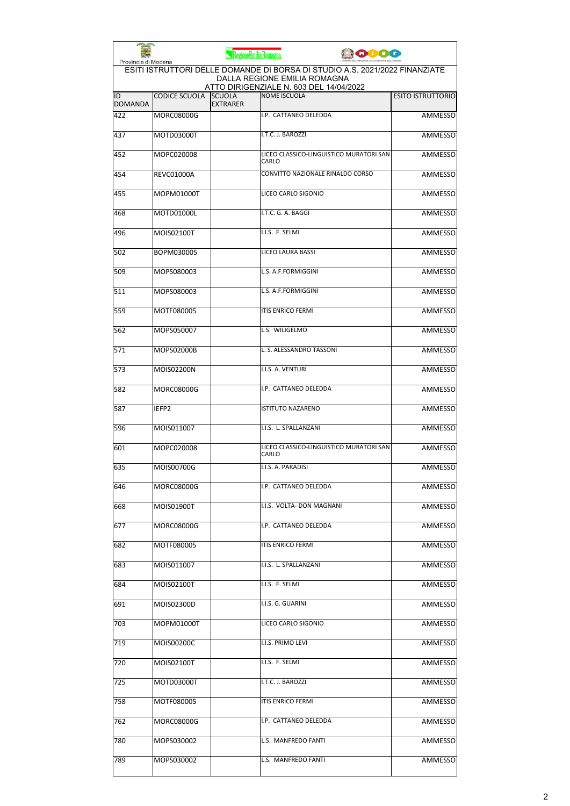| Provincia di Modena  |                      | RegioneEmiliaRomagna             | <b>ODDO</b>                                                                                                 |                          |
|----------------------|----------------------|----------------------------------|-------------------------------------------------------------------------------------------------------------|--------------------------|
|                      |                      |                                  | ESITI ISTRUTTORI DELLE DOMANDE DI BORSA DI STUDIO A.S. 2021/2022 FINANZIATE<br>DALLA REGIONE EMILIA ROMAGNA |                          |
| ID<br><b>DOMANDA</b> | <b>CODICE SCUOLA</b> | <b>SCUOLA</b><br><b>EXTRARER</b> | ATTO DIRIGENZIALE N. 603 DEL 14/04/2022<br><b>NOME ISCUOLA</b>                                              | <b>ESITO ISTRUTTORIO</b> |
| 422                  | <b>MORC08000G</b>    |                                  | I.P. CATTANEO DELEDDA                                                                                       | <b>AMMESSO</b>           |
| 437                  | MOTD03000T           |                                  | I.T.C. J. BAROZZI                                                                                           | <b>AMMESSO</b>           |
| 452                  | MOPC020008           |                                  | LICEO CLASSICO-LINGUISTICO MURATORI SAN<br>CARLO                                                            | <b>AMMESSO</b>           |
| 454                  | <b>REVC01000A</b>    |                                  | CONVITTO NAZIONALE RINALDO CORSO                                                                            | <b>AMMESSO</b>           |
| 455                  | MOPM01000T           |                                  | LICEO CARLO SIGONIO                                                                                         | <b>AMMESSO</b>           |
| 468                  | MOTD01000L           |                                  | I.T.C. G. A. BAGGI                                                                                          | <b>AMMESSO</b>           |
| 496                  | MOIS02100T           |                                  | I.I.S. F. SELMI                                                                                             | <b>AMMESSO</b>           |
| 502                  | BOPM030005           |                                  | LICEO LAURA BASSI                                                                                           | <b>AMMESSO</b>           |
| 509                  | MOPS080003           |                                  | L.S. A.F.FORMIGGINI                                                                                         | <b>AMMESSO</b>           |
| 511                  | MOPS080003           |                                  | L.S. A.F.FORMIGGINI                                                                                         | <b>AMMESSO</b>           |
| 559                  | MOTF080005           |                                  | ITIS ENRICO FERMI                                                                                           | <b>AMMESSO</b>           |
| 562                  | MOPS050007           |                                  | L.S. WILIGELMO                                                                                              | <b>AMMESSO</b>           |
| 571                  | MOPS02000B           |                                  | L. S. ALESSANDRO TASSONI                                                                                    | AMMESSO                  |
| 573                  | MOIS02200N           |                                  | I.I.S. A. VENTURI                                                                                           | <b>AMMESSO</b>           |
| 582                  | MORC08000G           |                                  | I.P. CATTANEO DELEDDA                                                                                       | AMMESSO                  |
| 587                  | IEFP2                |                                  | <b>ISTITUTO NAZARENO</b>                                                                                    | <b>AMMESSO</b>           |
| 596                  | MOIS011007           |                                  | I.I.S. L. SPALLANZANI                                                                                       | <b>AMMESSO</b>           |
| 601                  | MOPC020008           |                                  | LICEO CLASSICO-LINGUISTICO MURATORI SAN<br>CARLO                                                            | <b>AMMESSO</b>           |
| 635                  | MOIS00700G           |                                  | I.I.S. A. PARADISI                                                                                          | <b>AMMESSO</b>           |
| 646                  | MORC08000G           |                                  | I.P. CATTANEO DELEDDA                                                                                       | AMMESSO                  |
| 668                  | MOIS01900T           |                                  | I.I.S. VOLTA- DON MAGNANI                                                                                   | AMMESSO                  |
| 677                  | MORC08000G           |                                  | I.P. CATTANEO DELEDDA                                                                                       | AMMESSO                  |
| 682                  | MOTF080005           |                                  | ITIS ENRICO FERMI                                                                                           | AMMESSO                  |
| 683                  | MOIS011007           |                                  | I.I.S. L. SPALLANZANI                                                                                       | AMMESSO                  |
| 684                  | MOIS02100T           |                                  | I.I.S. F. SELMI                                                                                             | <b>AMMESSO</b>           |
| 691                  | MOIS02300D           |                                  | I.I.S. G. GUARINI                                                                                           | AMMESSO                  |
| 703                  | MOPM01000T           |                                  | LICEO CARLO SIGONIO                                                                                         | AMMESSO                  |
| 719                  | MOIS00200C           |                                  | I.I.S. PRIMO LEVI                                                                                           | AMMESSO                  |
| 720                  | MOIS02100T           |                                  | I.I.S. F. SELMI                                                                                             | <b>AMMESSO</b>           |
| 725                  | MOTD03000T           |                                  | I.T.C. J. BAROZZI                                                                                           | AMMESSO                  |
| 758                  | MOTF080005           |                                  | ITIS ENRICO FERMI                                                                                           | AMMESSO                  |
| 762                  | MORC08000G           |                                  | I.P. CATTANEO DELEDDA                                                                                       | AMMESSO                  |
| 780                  | MOPS030002           |                                  | L.S. MANFREDO FANTI                                                                                         | AMMESSO                  |
| 789                  | MOPS030002           |                                  | L.S. MANFREDO FANTI                                                                                         | AMMESSO                  |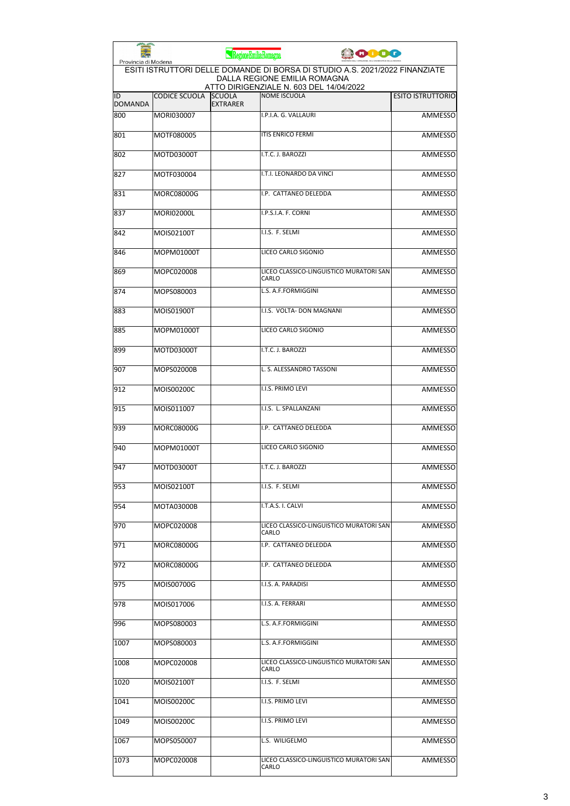| Provincia di Modena  |                      | RegioneEmiliaRomagna             | <b>ODO</b>                                                                                                                                             |                          |
|----------------------|----------------------|----------------------------------|--------------------------------------------------------------------------------------------------------------------------------------------------------|--------------------------|
|                      |                      |                                  | ESITI ISTRUTTORI DELLE DOMANDE DI BORSA DI STUDIO A.S. 2021/2022 FINANZIATE<br>DALLA REGIONE EMILIA ROMAGNA<br>ATTO DIRIGENZIALE N. 603 DEL 14/04/2022 |                          |
| ID<br><b>DOMANDA</b> | <b>CODICE SCUOLA</b> | <b>SCUOLA</b><br><b>EXTRARER</b> | <b>NOME ISCUOLA</b>                                                                                                                                    | <b>ESITO ISTRUTTORIO</b> |
| 800                  | MORI030007           |                                  | I.P.I.A. G. VALLAURI                                                                                                                                   | <b>AMMESSO</b>           |
| 801                  | MOTF080005           |                                  | <b>ITIS ENRICO FERMI</b>                                                                                                                               | <b>AMMESSO</b>           |
| 802                  | MOTD03000T           |                                  | I.T.C. J. BAROZZI                                                                                                                                      | <b>AMMESSO</b>           |
| 827                  | MOTF030004           |                                  | I.T.I. LEONARDO DA VINCI                                                                                                                               | <b>AMMESSO</b>           |
| 831                  | <b>MORC08000G</b>    |                                  | I.P. CATTANEO DELEDDA                                                                                                                                  | AMMESSO                  |
| 837                  | <b>MORI02000L</b>    |                                  | I.P.S.I.A. F. CORNI                                                                                                                                    | AMMESSO                  |
| 842                  | MOIS02100T           |                                  | I.I.S. F. SELMI                                                                                                                                        | <b>AMMESSO</b>           |
| 846                  | MOPM01000T           |                                  | LICEO CARLO SIGONIO                                                                                                                                    | AMMESSO                  |
| 869                  | MOPC020008           |                                  | LICEO CLASSICO-LINGUISTICO MURATORI SAN<br><b>CARLO</b>                                                                                                | AMMESSO                  |
| 874                  | MOPS080003           |                                  | L.S. A.F.FORMIGGINI                                                                                                                                    | AMMESSO                  |
| 883                  | MOIS01900T           |                                  | I.I.S. VOLTA- DON MAGNANI                                                                                                                              | AMMESSO                  |
| 885                  | MOPM01000T           |                                  | LICEO CARLO SIGONIO                                                                                                                                    | <b>AMMESSO</b>           |
| 899                  | MOTD03000T           |                                  | I.T.C. J. BAROZZI                                                                                                                                      | <b>AMMESSO</b>           |
| 907                  | MOPS02000B           |                                  | L. S. ALESSANDRO TASSONI                                                                                                                               | <b>AMMESSO</b>           |
| 912                  | MOIS00200C           |                                  | I.I.S. PRIMO LEVI                                                                                                                                      | AMMESSO                  |
| 915                  | MOIS011007           |                                  | I.I.S. L. SPALLANZANI                                                                                                                                  | AMMESSO                  |
| 939                  | MORC08000G           |                                  | I.P. CATTANEO DELEDDA                                                                                                                                  | AMMESSO                  |
| 940                  | MOPM01000T           |                                  | LICEO CARLO SIGONIO                                                                                                                                    | AMMESSO                  |
| 947                  | MOTD03000T           |                                  | I.T.C. J. BAROZZI                                                                                                                                      | AMMESSO                  |
| 953                  | MOIS02100T           |                                  | I.I.S. F. SELMI                                                                                                                                        | AMMESSO                  |
| 954                  | MOTA03000B           |                                  | I.T.A.S. I. CALVI                                                                                                                                      | AMMESSO                  |
| 970                  | MOPC020008           |                                  | LICEO CLASSICO-LINGUISTICO MURATORI SAN<br>CARLO                                                                                                       | <b>AMMESSO</b>           |
| 971                  | MORC08000G           |                                  | I.P. CATTANEO DELEDDA                                                                                                                                  | AMMESSO                  |
| 972                  | MORC08000G           |                                  | I.P. CATTANEO DELEDDA                                                                                                                                  | <b>AMMESSO</b>           |
| 975                  | MOIS00700G           |                                  | I.I.S. A. PARADISI                                                                                                                                     | AMMESSO                  |
| 978                  | MOIS017006           |                                  | I.I.S. A. FERRARI                                                                                                                                      | AMMESSO                  |
| 996                  | MOPS080003           |                                  | L.S. A.F.FORMIGGINI                                                                                                                                    | AMMESSO                  |
| 1007                 | MOPS080003           |                                  | L.S. A.F.FORMIGGINI                                                                                                                                    | AMMESSO                  |
| 1008                 | MOPC020008           |                                  | LICEO CLASSICO-LINGUISTICO MURATORI SAN<br>CARLO                                                                                                       | AMMESSO                  |
| 1020                 | MOIS02100T           |                                  | I.I.S. F. SELMI                                                                                                                                        | AMMESSO                  |
| 1041                 | MOIS00200C           |                                  | I.I.S. PRIMO LEVI                                                                                                                                      | AMMESSO                  |
| 1049                 | MOIS00200C           |                                  | I.I.S. PRIMO LEVI                                                                                                                                      | AMMESSO                  |
| 1067                 | MOPS050007           |                                  | L.S. WILIGELMO                                                                                                                                         | AMMESSO                  |
| 1073                 | MOPC020008           |                                  | LICEO CLASSICO-LINGUISTICO MURATORI SAN<br>CARLO                                                                                                       | AMMESSO                  |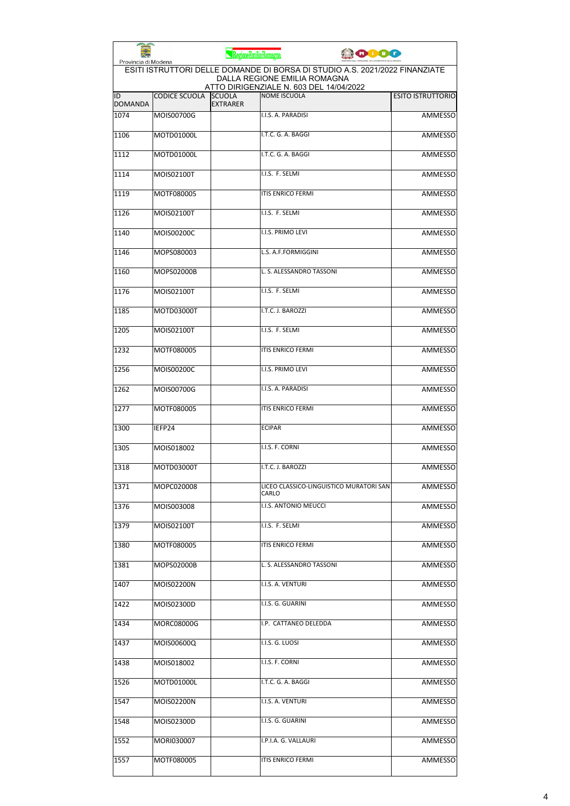|                      |                      | RegioneEmiliaRomagna             | <b>ODO</b>                                                                                                                                             |                          |
|----------------------|----------------------|----------------------------------|--------------------------------------------------------------------------------------------------------------------------------------------------------|--------------------------|
| Provincia di Modena  |                      |                                  | ESITI ISTRUTTORI DELLE DOMANDE DI BORSA DI STUDIO A.S. 2021/2022 FINANZIATE<br>DALLA REGIONE EMILIA ROMAGNA<br>ATTO DIRIGENZIALE N. 603 DEL 14/04/2022 |                          |
| ID<br><b>DOMANDA</b> | <b>CODICE SCUOLA</b> | <b>SCUOLA</b><br><b>EXTRARER</b> | <b>NOME ISCUOLA</b>                                                                                                                                    | <b>ESITO ISTRUTTORIO</b> |
| 1074                 | MOIS00700G           |                                  | I.I.S. A. PARADISI                                                                                                                                     | <b>AMMESSO</b>           |
| 1106                 | MOTD01000L           |                                  | I.T.C. G. A. BAGGI                                                                                                                                     | <b>AMMESSO</b>           |
| 1112                 | MOTD01000L           |                                  | I.T.C. G. A. BAGGI                                                                                                                                     | <b>AMMESSO</b>           |
| 1114                 | MOIS02100T           |                                  | I.I.S. F. SELMI                                                                                                                                        | <b>AMMESSO</b>           |
| 1119                 | MOTF080005           |                                  | <b>ITIS ENRICO FERMI</b>                                                                                                                               | <b>AMMESSO</b>           |
| 1126                 | MOIS02100T           |                                  | I.I.S. F. SELMI                                                                                                                                        | <b>AMMESSO</b>           |
| 1140                 | MOIS00200C           |                                  | I.I.S. PRIMO LEVI                                                                                                                                      | <b>AMMESSO</b>           |
| 1146                 | MOPS080003           |                                  | L.S. A.F.FORMIGGINI                                                                                                                                    | <b>AMMESSO</b>           |
| 1160                 | MOPS02000B           |                                  | L. S. ALESSANDRO TASSONI                                                                                                                               | <b>AMMESSO</b>           |
| 1176                 | MOIS02100T           |                                  | I.I.S. F. SELMI                                                                                                                                        | <b>AMMESSO</b>           |
| 1185                 | MOTD03000T           |                                  | I.T.C. J. BAROZZI                                                                                                                                      | <b>AMMESSO</b>           |
| 1205                 | MOIS02100T           |                                  | I.I.S. F. SELMI                                                                                                                                        | <b>AMMESSO</b>           |
| 1232                 | MOTF080005           |                                  | <b>ITIS ENRICO FERMI</b>                                                                                                                               | <b>AMMESSO</b>           |
| 1256                 | MOIS00200C           |                                  | I.I.S. PRIMO LEVI                                                                                                                                      | <b>AMMESSO</b>           |
| 1262                 | MOIS00700G           |                                  | I.I.S. A. PARADISI                                                                                                                                     | AMMESSO                  |
| 1277                 | MOTF080005           |                                  | <b>ITIS ENRICO FERMI</b>                                                                                                                               | <b>AMMESSO</b>           |
| 1300                 | IEFP24               |                                  | <b>ECIPAR</b>                                                                                                                                          | <b>AMMESSO</b>           |
| 1305                 | MOIS018002           |                                  | I.I.S. F. CORNI                                                                                                                                        | AMMESSO                  |
| 1318                 | MOTD03000T           |                                  | I.T.C. J. BAROZZI                                                                                                                                      | AMMESSO                  |
| 1371                 | MOPC020008           |                                  | LICEO CLASSICO-LINGUISTICO MURATORI SAN<br>CARLO                                                                                                       | AMMESSO                  |
| 1376                 | MOIS003008           |                                  | I.I.S. ANTONIO MEUCCI                                                                                                                                  | AMMESSO                  |
| 1379                 | MOIS02100T           |                                  | I.I.S. F. SELMI                                                                                                                                        | AMMESSO                  |
| 1380                 | MOTF080005           |                                  | ITIS ENRICO FERMI                                                                                                                                      | AMMESSO                  |
| 1381                 | MOPS02000B           |                                  | L. S. ALESSANDRO TASSONI                                                                                                                               | <b>AMMESSO</b>           |
| 1407                 | MOIS02200N           |                                  | I.I.S. A. VENTURI                                                                                                                                      | AMMESSO                  |
| 1422                 | MOIS02300D           |                                  | I.I.S. G. GUARINI                                                                                                                                      | <b>AMMESSO</b>           |
| 1434                 | MORC08000G           |                                  | I.P. CATTANEO DELEDDA                                                                                                                                  | AMMESSO                  |
| 1437                 | MOIS00600Q           |                                  | I.I.S. G. LUOSI                                                                                                                                        | AMMESSO                  |
| 1438                 | MOIS018002           |                                  | I.I.S. F. CORNI                                                                                                                                        | AMMESSO                  |
| 1526                 | MOTD01000L           |                                  | I.T.C. G. A. BAGGI                                                                                                                                     | AMMESSO                  |
| 1547                 | MOIS02200N           |                                  | I.I.S. A. VENTURI                                                                                                                                      | AMMESSO                  |
| 1548                 | MOIS02300D           |                                  | I.I.S. G. GUARINI                                                                                                                                      | <b>AMMESSO</b>           |
| 1552                 | MORI030007           |                                  | I.P.I.A. G. VALLAURI                                                                                                                                   | AMMESSO                  |
| 1557                 | MOTF080005           |                                  | ITIS ENRICO FERMI                                                                                                                                      | AMMESSO                  |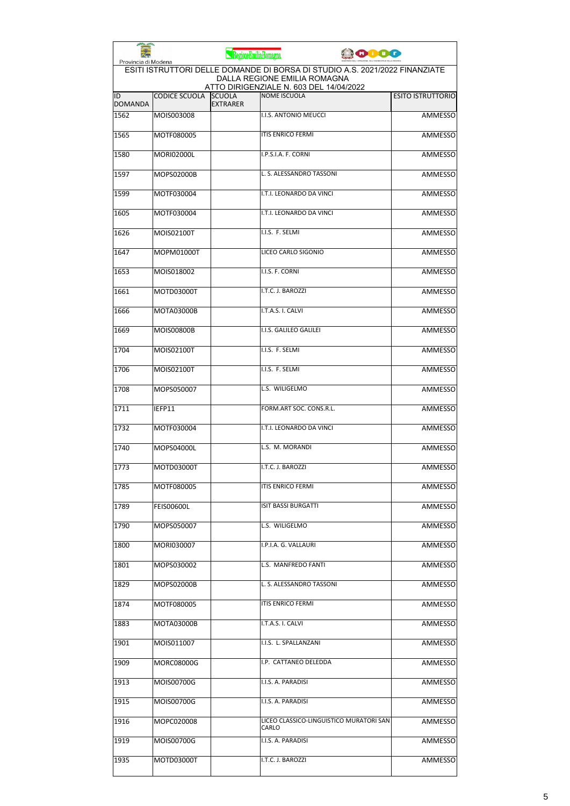| Provincia di Modena  |                      | RegioneEmiliaRomagna             |                                                                                                             | 10000 |                          |
|----------------------|----------------------|----------------------------------|-------------------------------------------------------------------------------------------------------------|-------|--------------------------|
|                      |                      |                                  | ESITI ISTRUTTORI DELLE DOMANDE DI BORSA DI STUDIO A.S. 2021/2022 FINANZIATE<br>DALLA REGIONE EMILIA ROMAGNA |       |                          |
| ID<br><b>DOMANDA</b> | <b>CODICE SCUOLA</b> | <b>SCUOLA</b><br><b>EXTRARER</b> | ATTO DIRIGENZIALE N. 603 DEL 14/04/2022<br><b>NOME ISCUOLA</b>                                              |       | <b>ESITO ISTRUTTORIO</b> |
| 1562                 | MOIS003008           |                                  | I.I.S. ANTONIO MEUCCI                                                                                       |       | <b>AMMESSO</b>           |
| 1565                 | MOTF080005           |                                  | <b>ITIS ENRICO FERMI</b>                                                                                    |       | <b>AMMESSO</b>           |
| 1580                 | <b>MORI02000L</b>    |                                  | I.P.S.I.A. F. CORNI                                                                                         |       | <b>AMMESSO</b>           |
| 1597                 | MOPS02000B           |                                  | L. S. ALESSANDRO TASSONI                                                                                    |       | AMMESSO                  |
| 1599                 | MOTF030004           |                                  | I.T.I. LEONARDO DA VINCI                                                                                    |       | AMMESSO                  |
| 1605                 | MOTF030004           |                                  | I.T.I. LEONARDO DA VINCI                                                                                    |       | AMMESSO                  |
| 1626                 | MOIS02100T           |                                  | I.I.S. F. SELMI                                                                                             |       | <b>AMMESSO</b>           |
| 1647                 | MOPM01000T           |                                  | LICEO CARLO SIGONIO                                                                                         |       | AMMESSO                  |
| 1653                 | MOIS018002           |                                  | I.I.S. F. CORNI                                                                                             |       | AMMESSO                  |
| 1661                 | MOTD03000T           |                                  | I.T.C. J. BAROZZI                                                                                           |       | AMMESSO                  |
| 1666                 | MOTA03000B           |                                  | I.T.A.S. I. CALVI                                                                                           |       | AMMESSO                  |
| 1669                 | <b>MOIS00800B</b>    |                                  | I.I.S. GALILEO GALILEI                                                                                      |       | <b>AMMESSO</b>           |
| 1704                 | MOIS02100T           |                                  | I.I.S. F. SELMI                                                                                             |       | <b>AMMESSO</b>           |
| 1706                 | MOIS02100T           |                                  | I.I.S. F. SELMI                                                                                             |       | AMMESSO                  |
| 1708                 | MOPS050007           |                                  | L.S. WILIGELMO                                                                                              |       | AMMESSO                  |
| 1711                 | IEFP11               |                                  | FORM.ART SOC. CONS.R.L.                                                                                     |       | <b>AMMESSO</b>           |
| 1732                 | MOTF030004           |                                  | I.T.I. LEONARDO DA VINCI                                                                                    |       | AMMESSO                  |
| 1740                 | MOPS04000L           |                                  | L.S. M. MORANDI                                                                                             |       | <b>AMMESSO</b>           |
| 1773                 | MOTD03000T           |                                  | I.T.C. J. BAROZZI                                                                                           |       | <b>AMMESSO</b>           |
| 1785                 | MOTF080005           |                                  | <b>ITIS ENRICO FERMI</b>                                                                                    |       | <b>AMMESSO</b>           |
| 1789                 | <b>FEIS00600L</b>    |                                  | <b>ISIT BASSI BURGATTI</b>                                                                                  |       | AMMESSO                  |
| 1790                 | MOPS050007           |                                  | L.S. WILIGELMO                                                                                              |       | AMMESSO                  |
| 1800                 | MORI030007           |                                  | I.P.I.A. G. VALLAURI                                                                                        |       | <b>AMMESSO</b>           |
| 1801                 | MOPS030002           |                                  | L.S. MANFREDO FANTI                                                                                         |       | <b>AMMESSO</b>           |
| 1829                 | MOPS02000B           |                                  | L. S. ALESSANDRO TASSONI                                                                                    |       | <b>AMMESSO</b>           |
| 1874                 | MOTF080005           |                                  | ITIS ENRICO FERMI                                                                                           |       | AMMESSO                  |
| 1883                 | MOTA03000B           |                                  | I.T.A.S. I. CALVI                                                                                           |       | AMMESSO                  |
| 1901                 | MOIS011007           |                                  | I.I.S. L. SPALLANZANI                                                                                       |       | AMMESSO                  |
| 1909                 | MORC08000G           |                                  | I.P. CATTANEO DELEDDA                                                                                       |       | AMMESSO                  |
| 1913                 | MOIS00700G           |                                  | I.I.S. A. PARADISI                                                                                          |       | AMMESSO                  |
| 1915                 | MOIS00700G           |                                  | I.I.S. A. PARADISI                                                                                          |       | AMMESSO                  |
| 1916                 | MOPC020008           |                                  | LICEO CLASSICO-LINGUISTICO MURATORI SAN<br>CARLO                                                            |       | AMMESSO                  |
| 1919                 | MOIS00700G           |                                  | I.I.S. A. PARADISI                                                                                          |       | AMMESSO                  |
| 1935                 | MOTD03000T           |                                  | I.T.C. J. BAROZZI                                                                                           |       | <b>AMMESSO</b>           |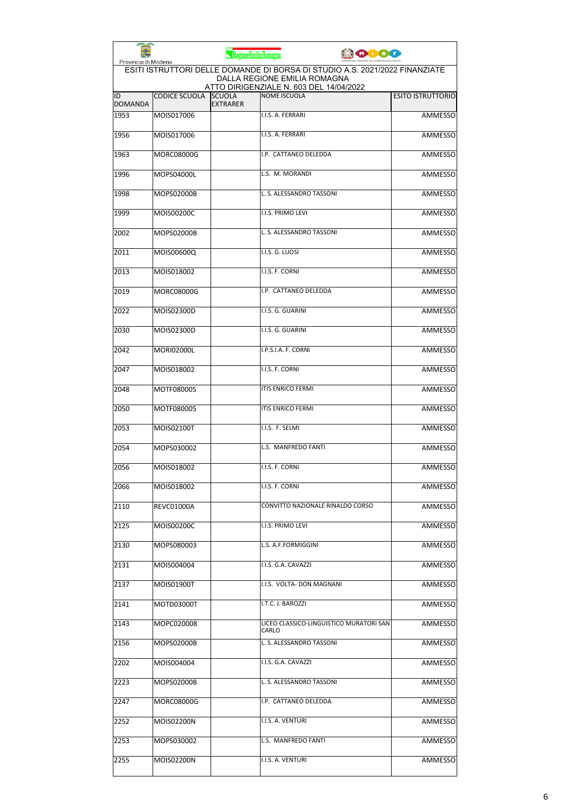| Provincia di Modena  |                      | RegioneEmiliaRomagna             |                                                                                                             | <b>COOO</b> |                          |
|----------------------|----------------------|----------------------------------|-------------------------------------------------------------------------------------------------------------|-------------|--------------------------|
|                      |                      |                                  | ESITI ISTRUTTORI DELLE DOMANDE DI BORSA DI STUDIO A.S. 2021/2022 FINANZIATE<br>DALLA REGIONE EMILIA ROMAGNA |             |                          |
| ID<br><b>DOMANDA</b> | <b>CODICE SCUOLA</b> | <b>SCUOLA</b><br><b>EXTRARER</b> | ATTO DIRIGENZIALE N. 603 DEL 14/04/2022<br><b>NOME ISCUOLA</b>                                              |             | <b>ESITO ISTRUTTORIO</b> |
| 1953                 | MOIS017006           |                                  | I.I.S. A. FERRARI                                                                                           |             | <b>AMMESSO</b>           |
| 1956                 | MOIS017006           |                                  | I.I.S. A. FERRARI                                                                                           |             | <b>AMMESSO</b>           |
| 1963                 | <b>MORC08000G</b>    |                                  | I.P. CATTANEO DELEDDA                                                                                       |             | <b>AMMESSO</b>           |
| 1996                 | MOPS04000L           |                                  | L.S. M. MORANDI                                                                                             |             | <b>AMMESSO</b>           |
| 1998                 | MOPS02000B           |                                  | L. S. ALESSANDRO TASSONI                                                                                    |             | <b>AMMESSO</b>           |
| 1999                 | MOIS00200C           |                                  | I.I.S. PRIMO LEVI                                                                                           |             | <b>AMMESSO</b>           |
| 2002                 | MOPS02000B           |                                  | L. S. ALESSANDRO TASSONI                                                                                    |             | <b>AMMESSO</b>           |
| 2011                 | MOIS00600Q           |                                  | I.I.S. G. LUOSI                                                                                             |             | <b>AMMESSO</b>           |
| 2013                 | MOIS018002           |                                  | I.I.S. F. CORNI                                                                                             |             | <b>AMMESSO</b>           |
| 2019                 | MORC08000G           |                                  | I.P. CATTANEO DELEDDA                                                                                       |             | <b>AMMESSO</b>           |
| 2022                 | MOIS02300D           |                                  | I.I.S. G. GUARINI                                                                                           |             | <b>AMMESSO</b>           |
| 2030                 | MOIS02300D           |                                  | I.I.S. G. GUARINI                                                                                           |             | <b>AMMESSO</b>           |
| 2042                 | <b>MORI02000L</b>    |                                  | I.P.S.I.A. F. CORNI                                                                                         |             | <b>AMMESSO</b>           |
| 2047                 | MOIS018002           |                                  | I.I.S. F. CORNI                                                                                             |             | <b>AMMESSO</b>           |
| 2048                 | MOTF080005           |                                  | <b>ITIS ENRICO FERMI</b>                                                                                    |             | <b>AMMESSO</b>           |
| 2050                 | MOTF080005           |                                  | <b>ITIS ENRICO FERMI</b>                                                                                    |             | <b>AMMESSO</b>           |
| 2053                 | MOIS02100T           |                                  | I.I.S. F. SELMI                                                                                             |             | <b>AMMESSO</b>           |
| 2054                 | MOPS030002           |                                  | L.S. MANFREDO FANTI                                                                                         |             | <b>AMMESSO</b>           |
| 2056                 | MOIS018002           |                                  | I.I.S. F. CORNI                                                                                             |             | AMMESSO                  |
| 2066                 | MOIS018002           |                                  | I.I.S. F. CORNI                                                                                             |             | <b>AMMESSO</b>           |
| 2110                 | REVC01000A           |                                  | CONVITTO NAZIONALE RINALDO CORSO                                                                            |             | <b>AMMESSO</b>           |
| 2125                 | MOIS00200C           |                                  | <b>I.I.S. PRIMO LEVI</b>                                                                                    |             | AMMESSO                  |
| 2130                 | MOPS080003           |                                  | L.S. A.F.FORMIGGINI                                                                                         |             | <b>AMMESSO</b>           |
| 2131                 | MOIS004004           |                                  | I.I.S. G.A. CAVAZZI                                                                                         |             | <b>AMMESSO</b>           |
| 2137                 | MOIS01900T           |                                  | I.I.S. VOLTA- DON MAGNANI                                                                                   |             | <b>AMMESSO</b>           |
| 2141                 | MOTD03000T           |                                  | I.T.C. J. BAROZZI                                                                                           |             | AMMESSO                  |
| 2143                 | MOPC020008           |                                  | LICEO CLASSICO-LINGUISTICO MURATORI SAN<br>CARLO                                                            |             | AMMESSO                  |
| 2156                 | MOPS02000B           |                                  | L. S. ALESSANDRO TASSONI                                                                                    |             | AMMESSO                  |
| 2202                 | MOIS004004           |                                  | I.I.S. G.A. CAVAZZI                                                                                         |             | <b>AMMESSO</b>           |
| 2223                 | MOPS02000B           |                                  | L. S. ALESSANDRO TASSONI                                                                                    |             | <b>AMMESSO</b>           |
| 2247                 | MORC08000G           |                                  | I.P. CATTANEO DELEDDA                                                                                       |             | AMMESSO                  |
| 2252                 | MOIS02200N           |                                  | I.I.S. A. VENTURI                                                                                           |             | <b>AMMESSO</b>           |
| 2253                 | MOPS030002           |                                  | L.S. MANFREDO FANTI                                                                                         |             | <b>AMMESSO</b>           |
| 2255                 | MOIS02200N           |                                  | I.I.S. A. VENTURI                                                                                           |             | <b>AMMESSO</b>           |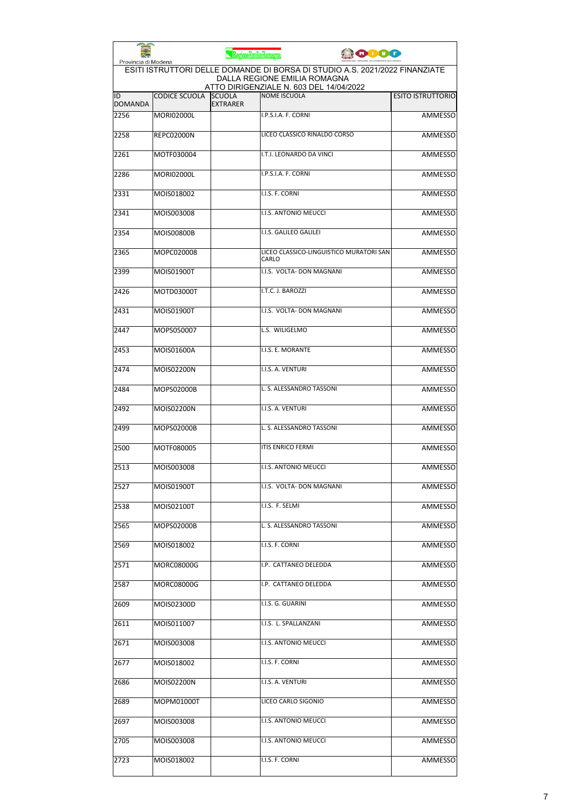| Provincia di Modena  |                      | RegioneEmiliaRomagna             | <b>ODDO</b>                                                                                                                                            |                          |
|----------------------|----------------------|----------------------------------|--------------------------------------------------------------------------------------------------------------------------------------------------------|--------------------------|
|                      |                      |                                  | ESITI ISTRUTTORI DELLE DOMANDE DI BORSA DI STUDIO A.S. 2021/2022 FINANZIATE<br>DALLA REGIONE EMILIA ROMAGNA<br>ATTO DIRIGENZIALE N. 603 DEL 14/04/2022 |                          |
| ID<br><b>DOMANDA</b> | <b>CODICE SCUOLA</b> | <b>SCUOLA</b><br><b>EXTRARER</b> | <b>NOME ISCUOLA</b>                                                                                                                                    | <b>ESITO ISTRUTTORIO</b> |
| 2256                 | <b>MORI02000L</b>    |                                  | I.P.S.I.A. F. CORNI                                                                                                                                    | <b>AMMESSO</b>           |
| 2258                 | <b>REPC02000N</b>    |                                  | LICEO CLASSICO RINALDO CORSO                                                                                                                           | <b>AMMESSO</b>           |
| 2261                 | MOTF030004           |                                  | I.T.I. LEONARDO DA VINCI                                                                                                                               | <b>AMMESSO</b>           |
| 2286                 | <b>MORI02000L</b>    |                                  | I.P.S.I.A. F. CORNI                                                                                                                                    | AMMESSO                  |
| 2331                 | MOIS018002           |                                  | I.I.S. F. CORNI                                                                                                                                        | <b>AMMESSO</b>           |
| 2341                 | MOIS003008           |                                  | <b>I.I.S. ANTONIO MEUCCI</b>                                                                                                                           | AMMESSO                  |
| 2354                 | MOIS00800B           |                                  | I.I.S. GALILEO GALILEI                                                                                                                                 | AMMESSO                  |
| 2365                 | MOPC020008           |                                  | LICEO CLASSICO-LINGUISTICO MURATORI SAN<br>CARLO                                                                                                       | <b>AMMESSO</b>           |
| 2399                 | MOIS01900T           |                                  | I.I.S. VOLTA- DON MAGNANI                                                                                                                              | AMMESSO                  |
| 2426                 | MOTD03000T           |                                  | I.T.C. J. BAROZZI                                                                                                                                      | AMMESSO                  |
| 2431                 | MOIS01900T           |                                  | I.I.S. VOLTA- DON MAGNANI                                                                                                                              | AMMESSO                  |
| 2447                 | MOPS050007           |                                  | L.S. WILIGELMO                                                                                                                                         | AMMESSO                  |
| 2453                 | MOIS01600A           |                                  | I.I.S. E. MORANTE                                                                                                                                      | <b>AMMESSO</b>           |
| 2474                 | MOIS02200N           |                                  | I.I.S. A. VENTURI                                                                                                                                      | AMMESSO                  |
| 2484                 | MOPS02000B           |                                  | L. S. ALESSANDRO TASSONI                                                                                                                               | AMMESSO                  |
| 2492                 | MOIS02200N           |                                  | I.I.S. A. VENTURI                                                                                                                                      | <b>AMMESSO</b>           |
| 2499                 | MOPS02000B           |                                  | L. S. ALESSANDRO TASSONI                                                                                                                               | AMMESSO                  |
| 2500                 | MOTF080005           |                                  | <b>ITIS ENRICO FERMI</b>                                                                                                                               | AMMESSO                  |
| 2513                 | MOIS003008           |                                  | I.I.S. ANTONIO MEUCCI                                                                                                                                  | <b>AMMESSO</b>           |
| 2527                 | MOIS01900T           |                                  | I.I.S. VOLTA- DON MAGNANI                                                                                                                              | AMMESSO                  |
| 2538                 | MOIS02100T           |                                  | I.I.S. F. SELMI                                                                                                                                        | AMMESSO                  |
| 2565                 | MOPS02000B           |                                  | L. S. ALESSANDRO TASSONI                                                                                                                               | AMMESSO                  |
| 2569                 | MOIS018002           |                                  | I.I.S. F. CORNI                                                                                                                                        | <b>AMMESSO</b>           |
| 2571                 | MORC08000G           |                                  | I.P. CATTANEO DELEDDA                                                                                                                                  | AMMESSO                  |
| 2587                 | MORC08000G           |                                  | I.P. CATTANEO DELEDDA                                                                                                                                  | AMMESSO                  |
| 2609                 | MOIS02300D           |                                  | I.I.S. G. GUARINI                                                                                                                                      | AMMESSO                  |
| 2611                 | MOIS011007           |                                  | I.I.S. L. SPALLANZANI                                                                                                                                  | AMMESSO                  |
| 2671                 | MOIS003008           |                                  | I.I.S. ANTONIO MEUCCI                                                                                                                                  | AMMESSO                  |
| 2677                 | MOIS018002           |                                  | I.I.S. F. CORNI                                                                                                                                        | <b>AMMESSO</b>           |
| 2686                 | MOIS02200N           |                                  | I.I.S. A. VENTURI                                                                                                                                      | AMMESSO                  |
| 2689                 | MOPM01000T           |                                  | LICEO CARLO SIGONIO                                                                                                                                    | AMMESSO                  |
| 2697                 | MOIS003008           |                                  | I.I.S. ANTONIO MEUCCI                                                                                                                                  | AMMESSO                  |
| 2705                 | MOIS003008           |                                  | I.I.S. ANTONIO MEUCCI                                                                                                                                  | AMMESSO                  |
| 2723                 | MOIS018002           |                                  | I.I.S. F. CORNI                                                                                                                                        | AMMESSO                  |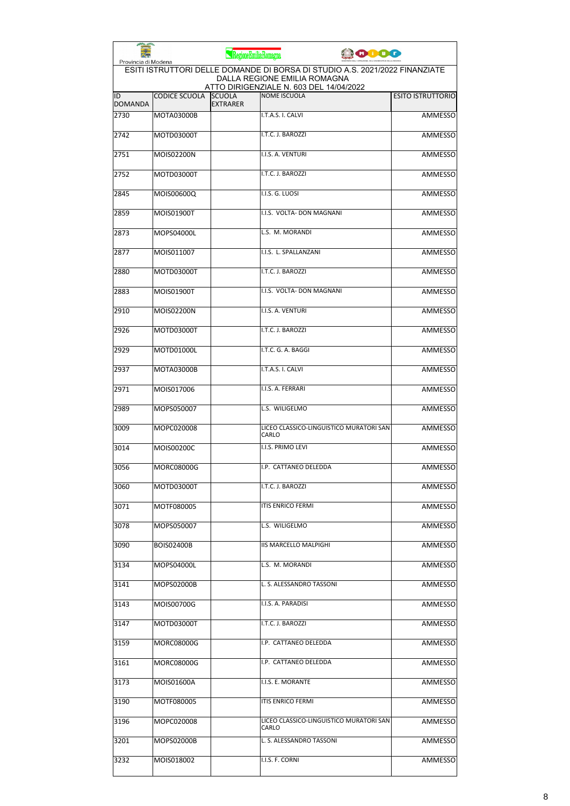| Provincia di Modena  |                      | RegioneEmiliaRomagna             | ooog                                                                                                                                                   |                          |
|----------------------|----------------------|----------------------------------|--------------------------------------------------------------------------------------------------------------------------------------------------------|--------------------------|
|                      |                      |                                  | ESITI ISTRUTTORI DELLE DOMANDE DI BORSA DI STUDIO A.S. 2021/2022 FINANZIATE<br>DALLA REGIONE EMILIA ROMAGNA<br>ATTO DIRIGENZIALE N. 603 DEL 14/04/2022 |                          |
| ID<br><b>DOMANDA</b> | <b>CODICE SCUOLA</b> | <b>SCUOLA</b><br><b>EXTRARER</b> | <b>NOME ISCUOLA</b>                                                                                                                                    | <b>ESITO ISTRUTTORIO</b> |
| 2730                 | MOTA03000B           |                                  | I.T.A.S. I. CALVI                                                                                                                                      | <b>AMMESSO</b>           |
| 2742                 | MOTD03000T           |                                  | I.T.C. J. BAROZZI                                                                                                                                      | <b>AMMESSO</b>           |
| 2751                 | MOIS02200N           |                                  | I.I.S. A. VENTURI                                                                                                                                      | <b>AMMESSO</b>           |
| 2752                 | MOTD03000T           |                                  | I.T.C. J. BAROZZI                                                                                                                                      | <b>AMMESSO</b>           |
| 2845                 | MOIS00600Q           |                                  | I.I.S. G. LUOSI                                                                                                                                        | <b>AMMESSO</b>           |
| 2859                 | MOIS01900T           |                                  | I.I.S. VOLTA- DON MAGNANI                                                                                                                              | AMMESSO                  |
| 2873                 | MOPS04000L           |                                  | L.S. M. MORANDI                                                                                                                                        | <b>AMMESSO</b>           |
| 2877                 | MOIS011007           |                                  | I.I.S. L. SPALLANZANI                                                                                                                                  | AMMESSO                  |
| 2880                 | MOTD03000T           |                                  | I.T.C. J. BAROZZI                                                                                                                                      | <b>AMMESSO</b>           |
| 2883                 | MOIS01900T           |                                  | I.I.S. VOLTA- DON MAGNANI                                                                                                                              | AMMESSO                  |
| 2910                 | MOIS02200N           |                                  | I.I.S. A. VENTURI                                                                                                                                      | <b>AMMESSO</b>           |
| 2926                 | MOTD03000T           |                                  | I.T.C. J. BAROZZI                                                                                                                                      | <b>AMMESSO</b>           |
| 2929                 | MOTD01000L           |                                  | I.T.C. G. A. BAGGI                                                                                                                                     | AMMESSO                  |
| 2937                 | MOTA03000B           |                                  | I.T.A.S. I. CALVI                                                                                                                                      | <b>AMMESSO</b>           |
| 2971                 | MOIS017006           |                                  | I.I.S. A. FERRARI                                                                                                                                      | AMMESSO                  |
| 2989                 | MOPS050007           |                                  | L.S. WILIGELMO                                                                                                                                         | AMMESSO                  |
| 3009                 | MOPC020008           |                                  | LICEO CLASSICO-LINGUISTICO MURATORI SAN<br>CARLO                                                                                                       | <b>AMMESSO</b>           |
| 3014                 | MOIS00200C           |                                  | I.I.S. PRIMO LEVI                                                                                                                                      | AMMESSO                  |
| 3056                 | <b>MORC08000G</b>    |                                  | I.P. CATTANEO DELEDDA                                                                                                                                  | <b>AMMESSO</b>           |
| 3060                 | MOTD03000T           |                                  | I.T.C. J. BAROZZI                                                                                                                                      | <b>AMMESSO</b>           |
| 3071                 | MOTF080005           |                                  | <b>ITIS ENRICO FERMI</b>                                                                                                                               | AMMESSO                  |
| 3078                 | MOPS050007           |                                  | L.S. WILIGELMO                                                                                                                                         | <b>AMMESSO</b>           |
| 3090                 | <b>BOIS02400B</b>    |                                  | IIS MARCELLO MALPIGHI                                                                                                                                  | AMMESSO                  |
| 3134                 | MOPS04000L           |                                  | L.S. M. MORANDI                                                                                                                                        | <b>AMMESSO</b>           |
| 3141                 | MOPS02000B           |                                  | L. S. ALESSANDRO TASSONI                                                                                                                               | <b>AMMESSO</b>           |
| 3143                 | MOIS00700G           |                                  | I.I.S. A. PARADISI                                                                                                                                     | AMMESSO                  |
| 3147                 | MOTD03000T           |                                  | I.T.C. J. BAROZZI                                                                                                                                      | <b>AMMESSO</b>           |
| 3159                 | MORC08000G           |                                  | I.P. CATTANEO DELEDDA                                                                                                                                  | AMMESSO                  |
| 3161                 | MORC08000G           |                                  | I.P. CATTANEO DELEDDA                                                                                                                                  | AMMESSO                  |
| 3173                 | MOIS01600A           |                                  | I.I.S. E. MORANTE                                                                                                                                      | AMMESSO                  |
| 3190                 | MOTF080005           |                                  | <b>ITIS ENRICO FERMI</b>                                                                                                                               | AMMESSO                  |
| 3196                 | MOPC020008           |                                  | LICEO CLASSICO-LINGUISTICO MURATORI SAN<br>CARLO                                                                                                       | <b>AMMESSO</b>           |
| 3201                 | MOPS02000B           |                                  | L. S. ALESSANDRO TASSONI                                                                                                                               | AMMESSO                  |
| 3232                 | MOIS018002           |                                  | I.I.S. F. CORNI                                                                                                                                        | <b>AMMESSO</b>           |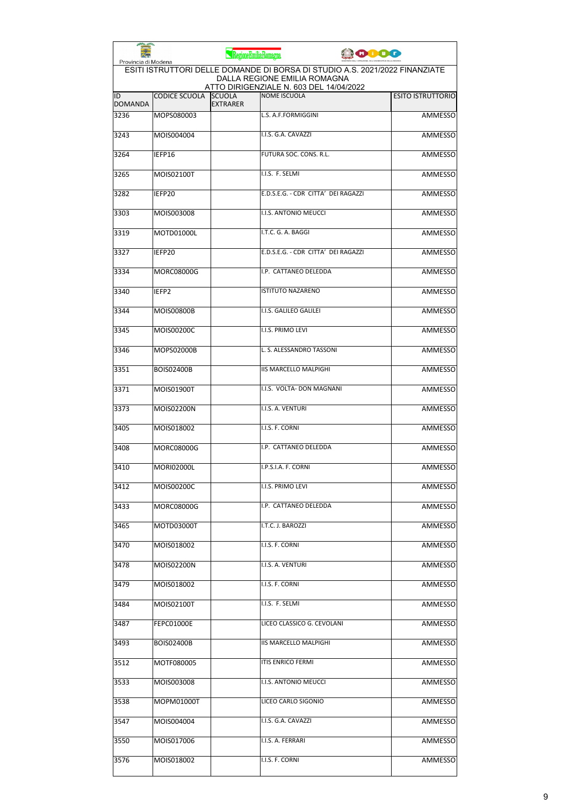| Provincia di Modena                                                                                                                                    |                   | RegioneEmiliaRomagna             |                                     | <b>CODO</b> |                          |
|--------------------------------------------------------------------------------------------------------------------------------------------------------|-------------------|----------------------------------|-------------------------------------|-------------|--------------------------|
| ESITI ISTRUTTORI DELLE DOMANDE DI BORSA DI STUDIO A.S. 2021/2022 FINANZIATE<br>DALLA REGIONE EMILIA ROMAGNA<br>ATTO DIRIGENZIALE N. 603 DEL 14/04/2022 |                   |                                  |                                     |             |                          |
| ID<br><b>DOMANDA</b>                                                                                                                                   | CODICE SCUOLA     | <b>SCUOLA</b><br><b>EXTRARER</b> | <b>NOME ISCUOLA</b>                 |             | <b>ESITO ISTRUTTORIO</b> |
| 3236                                                                                                                                                   | MOPS080003        |                                  | L.S. A.F.FORMIGGINI                 |             | <b>AMMESSO</b>           |
| 3243                                                                                                                                                   | MOIS004004        |                                  | I.I.S. G.A. CAVAZZI                 |             | <b>AMMESSO</b>           |
| 3264                                                                                                                                                   | IEFP16            |                                  | FUTURA SOC. CONS. R.L.              |             | AMMESSO                  |
| 3265                                                                                                                                                   | MOIS02100T        |                                  | I.I.S. F. SELMI                     |             | <b>AMMESSO</b>           |
| 3282                                                                                                                                                   | IEFP20            |                                  | E.D.S.E.G. - CDR CITTA' DEI RAGAZZI |             | AMMESSO                  |
| 3303                                                                                                                                                   | MOIS003008        |                                  | I.I.S. ANTONIO MEUCCI               |             | <b>AMMESSO</b>           |
| 3319                                                                                                                                                   | MOTD01000L        |                                  | I.T.C. G. A. BAGGI                  |             | <b>AMMESSO</b>           |
| 3327                                                                                                                                                   | IEFP20            |                                  | E.D.S.E.G. - CDR CITTA' DEI RAGAZZI |             | AMMESSO                  |
| 3334                                                                                                                                                   | MORC08000G        |                                  | I.P. CATTANEO DELEDDA               |             | <b>AMMESSO</b>           |
| 3340                                                                                                                                                   | IEFP <sub>2</sub> |                                  | <b>ISTITUTO NAZARENO</b>            |             | <b>AMMESSO</b>           |
| 3344                                                                                                                                                   | <b>MOIS00800B</b> |                                  | I.I.S. GALILEO GALILEI              |             | <b>AMMESSO</b>           |
| 3345                                                                                                                                                   | MOIS00200C        |                                  | I.I.S. PRIMO LEVI                   |             | <b>AMMESSO</b>           |
| 3346                                                                                                                                                   | MOPS02000B        |                                  | L. S. ALESSANDRO TASSONI            |             | <b>AMMESSO</b>           |
| 3351                                                                                                                                                   | <b>BOIS02400B</b> |                                  | <b>IIS MARCELLO MALPIGHI</b>        |             | <b>AMMESSO</b>           |
| 3371                                                                                                                                                   | MOIS01900T        |                                  | I.I.S. VOLTA- DON MAGNANI           |             | AMMESSO                  |
| 3373                                                                                                                                                   | MOIS02200N        |                                  | I.I.S. A. VENTURI                   |             | <b>AMMESSO</b>           |
| 3405                                                                                                                                                   | MOIS018002        |                                  | I.I.S. F. CORNI                     |             | <b>AMMESSO</b>           |
| 3408                                                                                                                                                   | MORC08000G        |                                  | I.P. CATTANEO DELEDDA               |             | <b>AMMESSO</b>           |
| 3410                                                                                                                                                   | <b>MORI02000L</b> |                                  | I.P.S.I.A. F. CORNI                 |             | <b>AMMESSO</b>           |
| 3412                                                                                                                                                   | MOIS00200C        |                                  | I.I.S. PRIMO LEVI                   |             | <b>AMMESSO</b>           |
| 3433                                                                                                                                                   | MORC08000G        |                                  | I.P. CATTANEO DELEDDA               |             | AMMESSO                  |
| 3465                                                                                                                                                   | MOTD03000T        |                                  | I.T.C. J. BAROZZI                   |             | AMMESSO                  |
| 3470                                                                                                                                                   | MOIS018002        |                                  | I.I.S. F. CORNI                     |             | <b>AMMESSO</b>           |
| 3478                                                                                                                                                   | MOIS02200N        |                                  | I.I.S. A. VENTURI                   |             | <b>AMMESSO</b>           |
| 3479                                                                                                                                                   | MOIS018002        |                                  | I.I.S. F. CORNI                     |             | <b>AMMESSO</b>           |
| 3484                                                                                                                                                   | MOIS02100T        |                                  | I.I.S. F. SELMI                     |             | <b>AMMESSO</b>           |
| 3487                                                                                                                                                   | FEPC01000E        |                                  | LICEO CLASSICO G. CEVOLANI          |             | AMMESSO                  |
| 3493                                                                                                                                                   | BOIS02400B        |                                  | <b>IIS MARCELLO MALPIGHI</b>        |             | <b>AMMESSO</b>           |
| 3512                                                                                                                                                   | MOTF080005        |                                  | <b>ITIS ENRICO FERMI</b>            |             | <b>AMMESSO</b>           |
| 3533                                                                                                                                                   | MOIS003008        |                                  | I.I.S. ANTONIO MEUCCI               |             | AMMESSO                  |
| 3538                                                                                                                                                   | MOPM01000T        |                                  | LICEO CARLO SIGONIO                 |             | <b>AMMESSO</b>           |
| 3547                                                                                                                                                   | MOIS004004        |                                  | I.I.S. G.A. CAVAZZI                 |             | <b>AMMESSO</b>           |
| 3550                                                                                                                                                   | MOIS017006        |                                  | I.I.S. A. FERRARI                   |             | AMMESSO                  |
| 3576                                                                                                                                                   | MOIS018002        |                                  | I.I.S. F. CORNI                     |             | <b>AMMESSO</b>           |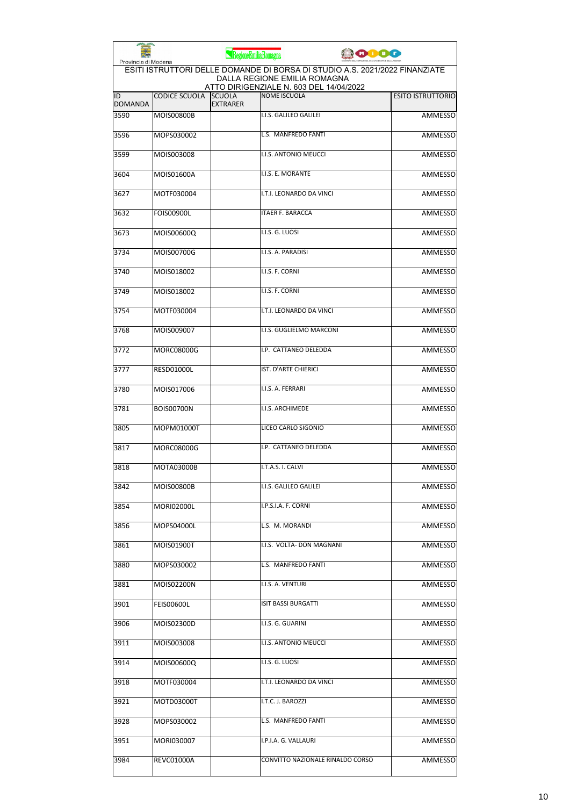|                                                                                                                                                                               |                      | RegioneEmiliaRomagna             |                                  | 10000 |                          |
|-------------------------------------------------------------------------------------------------------------------------------------------------------------------------------|----------------------|----------------------------------|----------------------------------|-------|--------------------------|
| Provincia di Modena<br>ESITI ISTRUTTORI DELLE DOMANDE DI BORSA DI STUDIO A.S. 2021/2022 FINANZIATE<br>DALLA REGIONE EMILIA ROMAGNA<br>ATTO DIRIGENZIALE N. 603 DEL 14/04/2022 |                      |                                  |                                  |       |                          |
| ID<br><b>DOMANDA</b>                                                                                                                                                          | <b>CODICE SCUOLA</b> | <b>SCUOLA</b><br><b>EXTRARER</b> | <b>NOME ISCUOLA</b>              |       | <b>ESITO ISTRUTTORIO</b> |
| 3590                                                                                                                                                                          | <b>MOIS00800B</b>    |                                  | I.I.S. GALILEO GALILEI           |       | <b>AMMESSO</b>           |
| 3596                                                                                                                                                                          | MOPS030002           |                                  | L.S. MANFREDO FANTI              |       | <b>AMMESSO</b>           |
| 3599                                                                                                                                                                          | MOIS003008           |                                  | I.I.S. ANTONIO MEUCCI            |       | <b>AMMESSO</b>           |
| 3604                                                                                                                                                                          | MOIS01600A           |                                  | I.I.S. E. MORANTE                |       | AMMESSO                  |
| 3627                                                                                                                                                                          | MOTF030004           |                                  | I.T.I. LEONARDO DA VINCI         |       | AMMESSO                  |
| 3632                                                                                                                                                                          | <b>FOIS00900L</b>    |                                  | <b>ITAER F. BARACCA</b>          |       | AMMESSO                  |
| 3673                                                                                                                                                                          | MOIS00600Q           |                                  | I.I.S. G. LUOSI                  |       | <b>AMMESSO</b>           |
| 3734                                                                                                                                                                          | MOIS00700G           |                                  | I.I.S. A. PARADISI               |       | AMMESSO                  |
| 3740                                                                                                                                                                          | MOIS018002           |                                  | I.I.S. F. CORNI                  |       | AMMESSO                  |
| 3749                                                                                                                                                                          | MOIS018002           |                                  | I.I.S. F. CORNI                  |       | AMMESSO                  |
| 3754                                                                                                                                                                          | MOTF030004           |                                  | I.T.I. LEONARDO DA VINCI         |       | <b>AMMESSO</b>           |
| 3768                                                                                                                                                                          | MOIS009007           |                                  | I.I.S. GUGLIELMO MARCONI         |       | <b>AMMESSO</b>           |
| 3772                                                                                                                                                                          | <b>MORC08000G</b>    |                                  | I.P. CATTANEO DELEDDA            |       | <b>AMMESSO</b>           |
| 3777                                                                                                                                                                          | <b>RESD01000L</b>    |                                  | IST. D'ARTE CHIERICI             |       | AMMESSO                  |
| 3780                                                                                                                                                                          | MOIS017006           |                                  | I.I.S. A. FERRARI                |       | AMMESSO                  |
| 3781                                                                                                                                                                          | <b>BOIS00700N</b>    |                                  | I.I.S. ARCHIMEDE                 |       | <b>AMMESSO</b>           |
| 3805                                                                                                                                                                          | MOPM01000T           |                                  | LICEO CARLO SIGONIO              |       | AMMESSO                  |
| 3817                                                                                                                                                                          | <b>MORC08000G</b>    |                                  | I.P. CATTANEO DELEDDA            |       | <b>AMMESSO</b>           |
| 3818                                                                                                                                                                          | <b>MOTA03000B</b>    |                                  | I.T.A.S. I. CALVI                |       | AMMESSO                  |
| 3842                                                                                                                                                                          | MOIS00800B           |                                  | I.I.S. GALILEO GALILEI           |       | AMMESSO                  |
| 3854                                                                                                                                                                          | <b>MORI02000L</b>    |                                  | I.P.S.I.A. F. CORNI              |       | AMMESSO                  |
| 3856                                                                                                                                                                          | MOPS04000L           |                                  | L.S. M. MORANDI                  |       | <b>AMMESSO</b>           |
| 3861                                                                                                                                                                          | MOIS01900T           |                                  | I.I.S. VOLTA- DON MAGNANI        |       | AMMESSO                  |
| 3880                                                                                                                                                                          | MOPS030002           |                                  | L.S. MANFREDO FANTI              |       | <b>AMMESSO</b>           |
| 3881                                                                                                                                                                          | MOIS02200N           |                                  | I.I.S. A. VENTURI                |       | <b>AMMESSO</b>           |
| 3901                                                                                                                                                                          | FEIS00600L           |                                  | ISIT BASSI BURGATTI              |       | AMMESSO                  |
| 3906                                                                                                                                                                          | MOIS02300D           |                                  | I.I.S. G. GUARINI                |       | AMMESSO                  |
| 3911                                                                                                                                                                          | MOIS003008           |                                  | I.I.S. ANTONIO MEUCCI            |       | AMMESSO                  |
| 3914                                                                                                                                                                          | MOIS00600Q           |                                  | I.I.S. G. LUOSI                  |       | AMMESSO                  |
| 3918                                                                                                                                                                          | MOTF030004           |                                  | I.T.I. LEONARDO DA VINCI         |       | AMMESSO                  |
| 3921                                                                                                                                                                          | MOTD03000T           |                                  | I.T.C. J. BAROZZI                |       | AMMESSO                  |
| 3928                                                                                                                                                                          | MOPS030002           |                                  | L.S. MANFREDO FANTI              |       | AMMESSO                  |
| 3951                                                                                                                                                                          | MORI030007           |                                  | I.P.I.A. G. VALLAURI             |       | AMMESSO                  |
| 3984                                                                                                                                                                          | REVC01000A           |                                  | CONVITTO NAZIONALE RINALDO CORSO |       | AMMESSO                  |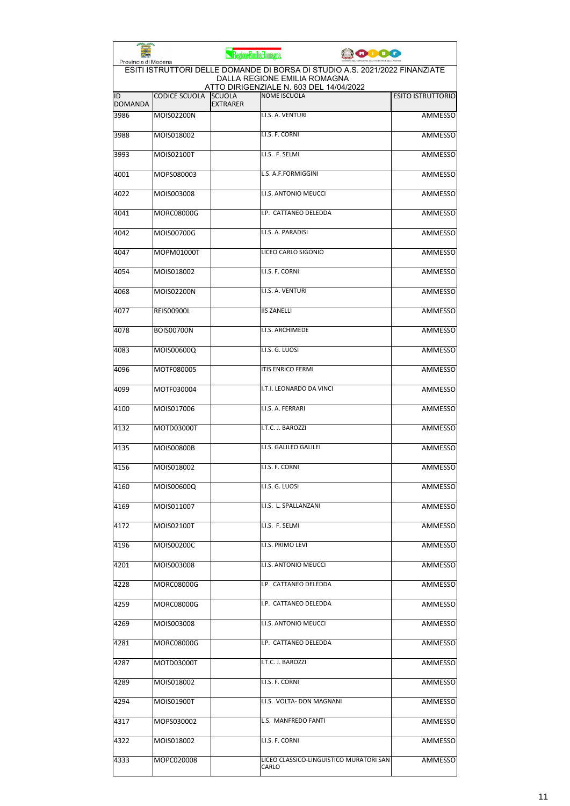| Provincia di Modena  |                      | RegioneEmiliaRomagna             | 10000                                                                                                                                                  |                          |
|----------------------|----------------------|----------------------------------|--------------------------------------------------------------------------------------------------------------------------------------------------------|--------------------------|
|                      |                      |                                  | ESITI ISTRUTTORI DELLE DOMANDE DI BORSA DI STUDIO A.S. 2021/2022 FINANZIATE<br>DALLA REGIONE EMILIA ROMAGNA<br>ATTO DIRIGENZIALE N. 603 DEL 14/04/2022 |                          |
| ID<br><b>DOMANDA</b> | <b>CODICE SCUOLA</b> | <b>SCUOLA</b><br><b>EXTRARER</b> | <b>NOME ISCUOLA</b>                                                                                                                                    | <b>ESITO ISTRUTTORIO</b> |
| 3986                 | MOIS02200N           |                                  | I.I.S. A. VENTURI                                                                                                                                      | <b>AMMESSO</b>           |
| 3988                 | MOIS018002           |                                  | I.I.S. F. CORNI                                                                                                                                        | <b>AMMESSO</b>           |
| 3993                 | MOIS02100T           |                                  | I.I.S. F. SELMI                                                                                                                                        | AMMESSO                  |
| 4001                 | MOPS080003           |                                  | L.S. A.F.FORMIGGINI                                                                                                                                    | AMMESSO                  |
| 4022                 | MOIS003008           |                                  | I.I.S. ANTONIO MEUCCI                                                                                                                                  | AMMESSO                  |
| 4041                 | <b>MORC08000G</b>    |                                  | I.P. CATTANEO DELEDDA                                                                                                                                  | <b>AMMESSO</b>           |
| 4042                 | MOIS00700G           |                                  | I.I.S. A. PARADISI                                                                                                                                     | <b>AMMESSO</b>           |
| 4047                 | MOPM01000T           |                                  | LICEO CARLO SIGONIO                                                                                                                                    | AMMESSO                  |
| 4054                 | MOIS018002           |                                  | I.I.S. F. CORNI                                                                                                                                        | <b>AMMESSO</b>           |
| 4068                 | MOIS02200N           |                                  | I.I.S. A. VENTURI                                                                                                                                      | <b>AMMESSO</b>           |
| 4077                 | <b>REIS00900L</b>    |                                  | <b>IIS ZANELLI</b>                                                                                                                                     | AMMESSO                  |
| 4078                 | <b>BOIS00700N</b>    |                                  | I.I.S. ARCHIMEDE                                                                                                                                       | <b>AMMESSO</b>           |
| 4083                 | MOIS00600Q           |                                  | I.I.S. G. LUOSI                                                                                                                                        | <b>AMMESSO</b>           |
| 4096                 | MOTF080005           |                                  | <b>ITIS ENRICO FERMI</b>                                                                                                                               | AMMESSO                  |
| 4099                 | MOTF030004           |                                  | I.T.I. LEONARDO DA VINCI                                                                                                                               | AMMESSO                  |
| 4100                 | MOIS017006           |                                  | I.I.S. A. FERRARI                                                                                                                                      | AMMESSO                  |
| 4132                 | MOTD03000T           |                                  | I.T.C. J. BAROZZI                                                                                                                                      | AMMESSO                  |
| 4135                 | <b>MOIS00800B</b>    |                                  | I.I.S. GALILEO GALILEI                                                                                                                                 | AMMESSO                  |
| 4156                 | MOIS018002           |                                  | I.I.S. F. CORNI                                                                                                                                        | AMMESSO                  |
| 4160                 | MOIS00600Q           |                                  | I.I.S. G. LUOSI                                                                                                                                        | AMMESSO                  |
| 4169                 | MOIS011007           |                                  | I.I.S. L. SPALLANZANI                                                                                                                                  | AMMESSO                  |
| 4172                 | MOIS02100T           |                                  | I.I.S. F. SELMI                                                                                                                                        | <b>AMMESSO</b>           |
| 4196                 | MOIS00200C           |                                  | I.I.S. PRIMO LEVI                                                                                                                                      | AMMESSO                  |
| 4201                 | MOIS003008           |                                  | I.I.S. ANTONIO MEUCCI                                                                                                                                  | AMMESSO                  |
| 4228                 | MORC08000G           |                                  | I.P. CATTANEO DELEDDA                                                                                                                                  | AMMESSO                  |
| 4259                 | MORC08000G           |                                  | I.P. CATTANEO DELEDDA                                                                                                                                  | AMMESSO                  |
| 4269                 | MOIS003008           |                                  | I.I.S. ANTONIO MEUCCI                                                                                                                                  | AMMESSO                  |
| 4281                 | <b>MORC08000G</b>    |                                  | I.P. CATTANEO DELEDDA                                                                                                                                  | AMMESSO                  |
| 4287                 | MOTD03000T           |                                  | I.T.C. J. BAROZZI                                                                                                                                      | AMMESSO                  |
| 4289                 | MOIS018002           |                                  | I.I.S. F. CORNI                                                                                                                                        | AMMESSO                  |
| 4294                 | MOIS01900T           |                                  | I.I.S. VOLTA- DON MAGNANI                                                                                                                              | AMMESSO                  |
| 4317                 | MOPS030002           |                                  | L.S. MANFREDO FANTI                                                                                                                                    | AMMESSO                  |
| 4322                 | MOIS018002           |                                  | I.I.S. F. CORNI                                                                                                                                        | AMMESSO                  |
| 4333                 | MOPC020008           |                                  | LICEO CLASSICO-LINGUISTICO MURATORI SAN<br>CARLO                                                                                                       | <b>AMMESSO</b>           |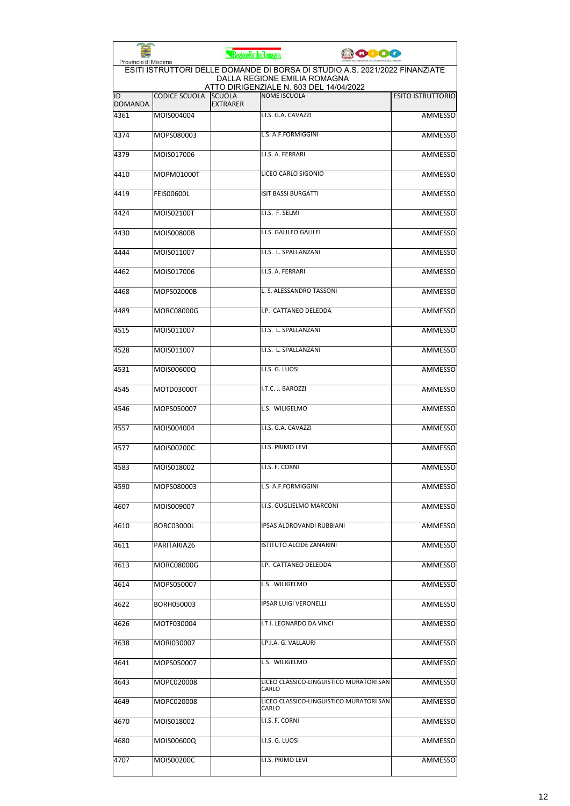| Provincia di Modena  |                      | RegioneEmiliaRomagna             |                                                                                                                                                        | <b>PODO</b> |                          |
|----------------------|----------------------|----------------------------------|--------------------------------------------------------------------------------------------------------------------------------------------------------|-------------|--------------------------|
|                      |                      |                                  | ESITI ISTRUTTORI DELLE DOMANDE DI BORSA DI STUDIO A.S. 2021/2022 FINANZIATE<br>DALLA REGIONE EMILIA ROMAGNA<br>ATTO DIRIGENZIALE N. 603 DEL 14/04/2022 |             |                          |
| ID<br><b>DOMANDA</b> | <b>CODICE SCUOLA</b> | <b>SCUOLA</b><br><b>EXTRARER</b> | <b>NOME ISCUOLA</b>                                                                                                                                    |             | <b>ESITO ISTRUTTORIO</b> |
| 4361                 | MOIS004004           |                                  | I.I.S. G.A. CAVAZZI                                                                                                                                    |             | <b>AMMESSO</b>           |
| 4374                 | MOPS080003           |                                  | L.S. A.F.FORMIGGINI                                                                                                                                    |             | <b>AMMESSO</b>           |
| 4379                 | MOIS017006           |                                  | I.I.S. A. FERRARI                                                                                                                                      |             | AMMESSO                  |
| 4410                 | MOPM01000T           |                                  | LICEO CARLO SIGONIO                                                                                                                                    |             | AMMESSO                  |
| 4419                 | <b>FEIS00600L</b>    |                                  | <b>ISIT BASSI BURGATTI</b>                                                                                                                             |             | AMMESSO                  |
| 4424                 | MOIS02100T           |                                  | I.I.S. F. SELMI                                                                                                                                        |             | AMMESSO                  |
| 4430                 | MOIS00800B           |                                  | I.I.S. GALILEO GALILEI                                                                                                                                 |             | <b>AMMESSO</b>           |
| 4444                 | MOIS011007           |                                  | I.I.S. L. SPALLANZANI                                                                                                                                  |             | AMMESSO                  |
| 4462                 | MOIS017006           |                                  | I.I.S. A. FERRARI                                                                                                                                      |             | AMMESSO                  |
| 4468                 | MOPS02000B           |                                  | L. S. ALESSANDRO TASSONI                                                                                                                               |             | AMMESSO                  |
| 4489                 | <b>MORC08000G</b>    |                                  | I.P. CATTANEO DELEDDA                                                                                                                                  |             | AMMESSO                  |
| 4515                 | MOIS011007           |                                  | I.I.S. L. SPALLANZANI                                                                                                                                  |             | <b>AMMESSO</b>           |
| 4528                 | MOIS011007           |                                  | I.I.S. L. SPALLANZANI                                                                                                                                  |             | <b>AMMESSO</b>           |
| 4531                 | MOIS00600Q           |                                  | I.I.S. G. LUOSI                                                                                                                                        |             | <b>AMMESSO</b>           |
| 4545                 | MOTD03000T           |                                  | I.T.C. J. BAROZZI                                                                                                                                      |             | AMMESSO                  |
| 4546                 | MOPS050007           |                                  | L.S. WILIGELMO                                                                                                                                         |             | <b>AMMESSO</b>           |
| 4557                 | MOIS004004           |                                  | I.I.S. G.A. CAVAZZI                                                                                                                                    |             | AMMESSO                  |
| 4577                 | MOIS00200C           |                                  | I.I.S. PRIMO LEVI                                                                                                                                      |             | <b>AMMESSO</b>           |
| 4583                 | MOIS018002           |                                  | I.I.S. F. CORNI                                                                                                                                        |             | AMMESSO                  |
| 4590                 | MOPS080003           |                                  | L.S. A.F.FORMIGGINI                                                                                                                                    |             | AMMESSO                  |
| 4607                 | MOIS009007           |                                  | I.I.S. GUGLIELMO MARCONI                                                                                                                               |             | <b>AMMESSO</b>           |
| 4610                 | BORC03000L           |                                  | IPSAS ALDROVANDI RUBBIANI                                                                                                                              |             | AMMESSO                  |
| 4611                 | PARITARIA26          |                                  | ISTITUTO ALCIDE ZANARINI                                                                                                                               |             | AMMESSO                  |
| 4613                 | MORC08000G           |                                  | I.P. CATTANEO DELEDDA                                                                                                                                  |             | <b>AMMESSO</b>           |
| 4614                 | MOPS050007           |                                  | L.S. WILIGELMO                                                                                                                                         |             | AMMESSO                  |
| 4622                 | BORH050003           |                                  | <b>IPSAR LUIGI VERONELLI</b>                                                                                                                           |             | AMMESSO                  |
| 4626                 | MOTF030004           |                                  | I.T.I. LEONARDO DA VINCI                                                                                                                               |             | AMMESSO                  |
| 4638                 | MORI030007           |                                  | I.P.I.A. G. VALLAURI                                                                                                                                   |             | AMMESSO                  |
| 4641                 | MOPS050007           |                                  | L.S. WILIGELMO                                                                                                                                         |             | AMMESSO                  |
| 4643                 | MOPC020008           |                                  | LICEO CLASSICO-LINGUISTICO MURATORI SAN<br>CARLO                                                                                                       |             | AMMESSO                  |
| 4649                 | MOPC020008           |                                  | LICEO CLASSICO-LINGUISTICO MURATORI SAN<br>CARLO                                                                                                       |             | AMMESSO                  |
| 4670                 | MOIS018002           |                                  | I.I.S. F. CORNI                                                                                                                                        |             | AMMESSO                  |
| 4680                 | MOIS00600Q           |                                  | I.I.S. G. LUOSI                                                                                                                                        |             | <b>AMMESSO</b>           |
| 4707                 | MOIS00200C           |                                  | I.I.S. PRIMO LEVI                                                                                                                                      |             | AMMESSO                  |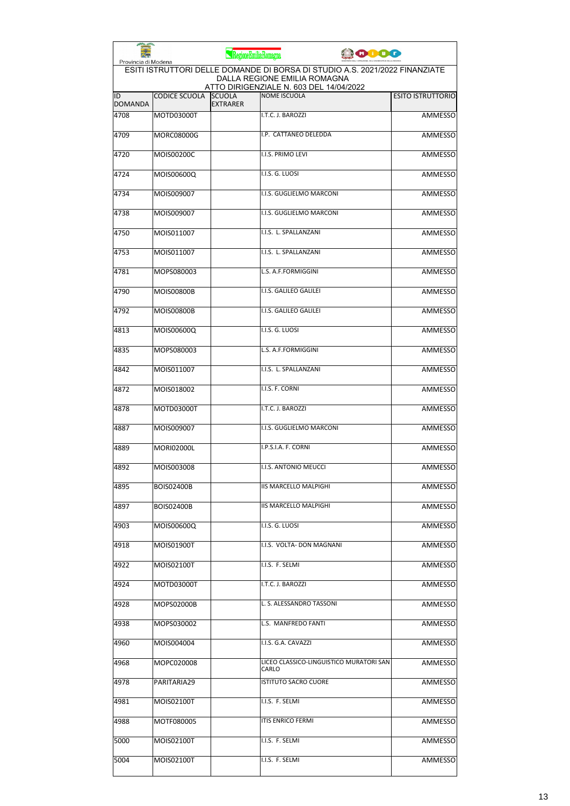| Provincia di Modena  |                      | RegioneEmiliaRomagna             |                                                                                                             | 10000 |                          |
|----------------------|----------------------|----------------------------------|-------------------------------------------------------------------------------------------------------------|-------|--------------------------|
|                      |                      |                                  | ESITI ISTRUTTORI DELLE DOMANDE DI BORSA DI STUDIO A.S. 2021/2022 FINANZIATE<br>DALLA REGIONE EMILIA ROMAGNA |       |                          |
| ID<br><b>DOMANDA</b> | <b>CODICE SCUOLA</b> | <b>SCUOLA</b><br><b>EXTRARER</b> | ATTO DIRIGENZIALE N. 603 DEL 14/04/2022<br><b>NOME ISCUOLA</b>                                              |       | <b>ESITO ISTRUTTORIO</b> |
| 4708                 | MOTD03000T           |                                  | I.T.C. J. BAROZZI                                                                                           |       | <b>AMMESSO</b>           |
| 4709                 | <b>MORC08000G</b>    |                                  | I.P. CATTANEO DELEDDA                                                                                       |       | <b>AMMESSO</b>           |
| 4720                 | MOIS00200C           |                                  | I.I.S. PRIMO LEVI                                                                                           |       | AMMESSO                  |
| 4724                 | MOIS00600Q           |                                  | I.I.S. G. LUOSI                                                                                             |       | AMMESSO                  |
| 4734                 | MOIS009007           |                                  | I.I.S. GUGLIELMO MARCONI                                                                                    |       | AMMESSO                  |
| 4738                 | MOIS009007           |                                  | I.I.S. GUGLIELMO MARCONI                                                                                    |       | AMMESSO                  |
| 4750                 | MOIS011007           |                                  | I.I.S. L. SPALLANZANI                                                                                       |       | <b>AMMESSO</b>           |
| 4753                 | MOIS011007           |                                  | I.I.S. L. SPALLANZANI                                                                                       |       | AMMESSO                  |
| 4781                 | MOPS080003           |                                  | L.S. A.F.FORMIGGINI                                                                                         |       | AMMESSO                  |
| 4790                 | <b>MOIS00800B</b>    |                                  | I.I.S. GALILEO GALILEI                                                                                      |       | AMMESSO                  |
| 4792                 | <b>MOIS00800B</b>    |                                  | I.I.S. GALILEO GALILEI                                                                                      |       | AMMESSO                  |
| 4813                 | MOIS00600Q           |                                  | I.I.S. G. LUOSI                                                                                             |       | <b>AMMESSO</b>           |
| 4835                 | MOPS080003           |                                  | L.S. A.F.FORMIGGINI                                                                                         |       | <b>AMMESSO</b>           |
| 4842                 | MOIS011007           |                                  | I.I.S. L. SPALLANZANI                                                                                       |       | <b>AMMESSO</b>           |
| 4872                 | MOIS018002           |                                  | I.I.S. F. CORNI                                                                                             |       | AMMESSO                  |
| 4878                 | MOTD03000T           |                                  | I.T.C. J. BAROZZI                                                                                           |       | <b>AMMESSO</b>           |
| 4887                 | MOIS009007           |                                  | I.I.S. GUGLIELMO MARCONI                                                                                    |       | AMMESSO                  |
| 4889                 | <b>MORI02000L</b>    |                                  | I.P.S.I.A. F. CORNI                                                                                         |       | <b>AMMESSO</b>           |
| 4892                 | MOIS003008           |                                  | I.I.S. ANTONIO MEUCCI                                                                                       |       | <b>AMMESSO</b>           |
| 4895                 | <b>BOIS02400B</b>    |                                  | IIS MARCELLO MALPIGHI                                                                                       |       | AMMESSO                  |
| 4897                 | <b>BOIS02400B</b>    |                                  | <b>IIS MARCELLO MALPIGHI</b>                                                                                |       | <b>AMMESSO</b>           |
| 4903                 | MOIS00600Q           |                                  | I.I.S. G. LUOSI                                                                                             |       | <b>AMMESSO</b>           |
| 4918                 | MOIS01900T           |                                  | I.I.S. VOLTA- DON MAGNANI                                                                                   |       | AMMESSO                  |
| 4922                 | MOIS02100T           |                                  | I.I.S. F. SELMI                                                                                             |       | AMMESSO                  |
| 4924                 | MOTD03000T           |                                  | I.T.C. J. BAROZZI                                                                                           |       | AMMESSO                  |
| 4928                 | MOPS02000B           |                                  | L. S. ALESSANDRO TASSONI                                                                                    |       | AMMESSO                  |
| 4938                 | MOPS030002           |                                  | L.S. MANFREDO FANTI                                                                                         |       | AMMESSO                  |
| 4960                 | MOIS004004           |                                  | I.I.S. G.A. CAVAZZI                                                                                         |       | AMMESSO                  |
| 4968                 | MOPC020008           |                                  | LICEO CLASSICO-LINGUISTICO MURATORI SAN<br>CARLO                                                            |       | AMMESSO                  |
| 4978                 | PARITARIA29          |                                  | <b>ISTITUTO SACRO CUORE</b>                                                                                 |       | AMMESSO                  |
| 4981                 | MOIS02100T           |                                  | I.I.S. F. SELMI                                                                                             |       | AMMESSO                  |
| 4988                 | MOTF080005           |                                  | ITIS ENRICO FERMI                                                                                           |       | AMMESSO                  |
| 5000                 | MOIS02100T           |                                  | I.I.S. F. SELMI                                                                                             |       | <b>AMMESSO</b>           |
| 5004                 | MOIS02100T           |                                  | I.I.S. F. SELMI                                                                                             |       | AMMESSO                  |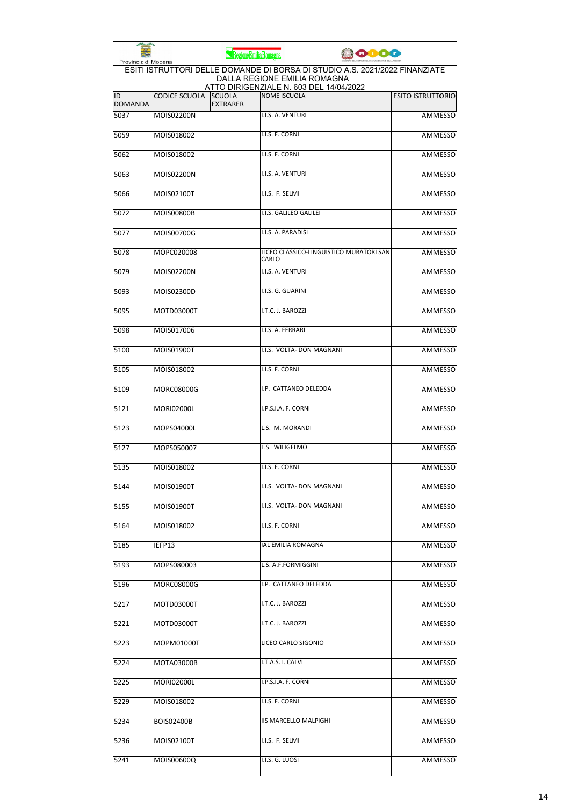| Provincia di Modena  |                      | RegioneEmiliaRomagna             | <b>COOO</b>                                                                                                 |                          |
|----------------------|----------------------|----------------------------------|-------------------------------------------------------------------------------------------------------------|--------------------------|
|                      |                      |                                  | ESITI ISTRUTTORI DELLE DOMANDE DI BORSA DI STUDIO A.S. 2021/2022 FINANZIATE<br>DALLA REGIONE EMILIA ROMAGNA |                          |
| ID<br><b>DOMANDA</b> | <b>CODICE SCUOLA</b> | <b>SCUOLA</b><br><b>EXTRARER</b> | ATTO DIRIGENZIALE N. 603 DEL 14/04/2022<br><b>NOME ISCUOLA</b>                                              | <b>ESITO ISTRUTTORIO</b> |
| 5037                 | <b>MOIS02200N</b>    |                                  | I.I.S. A. VENTURI                                                                                           | <b>AMMESSO</b>           |
| 5059                 | MOIS018002           |                                  | I.I.S. F. CORNI                                                                                             | <b>AMMESSO</b>           |
| 5062                 | MOIS018002           |                                  | I.I.S. F. CORNI                                                                                             | <b>AMMESSO</b>           |
| 5063                 | MOIS02200N           |                                  | I.I.S. A. VENTURI                                                                                           | AMMESSO                  |
| 5066                 | MOIS02100T           |                                  | I.I.S. F. SELMI                                                                                             | AMMESSO                  |
| 5072                 | <b>MOIS00800B</b>    |                                  | I.I.S. GALILEO GALILEI                                                                                      | AMMESSO                  |
| 5077                 | MOIS00700G           |                                  | I.I.S. A. PARADISI                                                                                          | <b>AMMESSO</b>           |
| 5078                 | MOPC020008           |                                  | LICEO CLASSICO-LINGUISTICO MURATORI SAN<br>CARLO                                                            | AMMESSO                  |
| 5079                 | MOIS02200N           |                                  | I.I.S. A. VENTURI                                                                                           | AMMESSO                  |
| 5093                 | MOIS02300D           |                                  | I.I.S. G. GUARINI                                                                                           | <b>AMMESSO</b>           |
| 5095                 | MOTD03000T           |                                  | I.T.C. J. BAROZZI                                                                                           | AMMESSO                  |
| 5098                 | MOIS017006           |                                  | I.I.S. A. FERRARI                                                                                           | <b>AMMESSO</b>           |
| 5100                 | MOIS01900T           |                                  | I.I.S. VOLTA- DON MAGNANI                                                                                   | <b>AMMESSO</b>           |
| 5105                 | MOIS018002           |                                  | I.I.S. F. CORNI                                                                                             | AMMESSO                  |
| 5109                 | <b>MORC08000G</b>    |                                  | I.P. CATTANEO DELEDDA                                                                                       | AMMESSO                  |
| 5121                 | <b>MORI02000L</b>    |                                  | I.P.S.I.A. F. CORNI                                                                                         | AMMESSO                  |
| 5123                 | MOPS04000L           |                                  | L.S. M. MORANDI                                                                                             | AMMESSO                  |
| 5127                 | MOPS050007           |                                  | L.S. WILIGELMO                                                                                              | AMMESSO                  |
| 5135                 | MOIS018002           |                                  | I.I.S. F. CORNI                                                                                             | AMMESSO                  |
| 5144                 | MOIS01900T           |                                  | I.I.S. VOLTA- DON MAGNANI                                                                                   | AMMESSO                  |
| 5155                 | MOIS01900T           |                                  | I.I.S. VOLTA- DON MAGNANI                                                                                   | <b>AMMESSO</b>           |
| 5164                 | MOIS018002           |                                  | I.I.S. F. CORNI                                                                                             | AMMESSO                  |
| 5185                 | IEFP13               |                                  | IAL EMILIA ROMAGNA                                                                                          | AMMESSO                  |
| 5193                 | MOPS080003           |                                  | L.S. A.F.FORMIGGINI                                                                                         | AMMESSO                  |
| 5196                 | MORC08000G           |                                  | I.P. CATTANEO DELEDDA                                                                                       | <b>AMMESSO</b>           |
| 5217                 | MOTD03000T           |                                  | I.T.C. J. BAROZZI                                                                                           | AMMESSO                  |
| 5221                 | MOTD03000T           |                                  | I.T.C. J. BAROZZI                                                                                           | AMMESSO                  |
| 5223                 | MOPM01000T           |                                  | LICEO CARLO SIGONIO                                                                                         | AMMESSO                  |
| 5224                 | MOTA03000B           |                                  | I.T.A.S. I. CALVI                                                                                           | AMMESSO                  |
| 5225                 | MORI02000L           |                                  | I.P.S.I.A. F. CORNI                                                                                         | AMMESSO                  |
| 5229                 | MOIS018002           |                                  | I.I.S. F. CORNI                                                                                             | AMMESSO                  |
| 5234                 | BOIS02400B           |                                  | <b>IIS MARCELLO MALPIGHI</b>                                                                                | AMMESSO                  |
| 5236                 | MOIS02100T           |                                  | I.I.S. F. SELMI                                                                                             | AMMESSO                  |
| 5241                 | MOIS00600Q           |                                  | I.I.S. G. LUOSI                                                                                             | AMMESSO                  |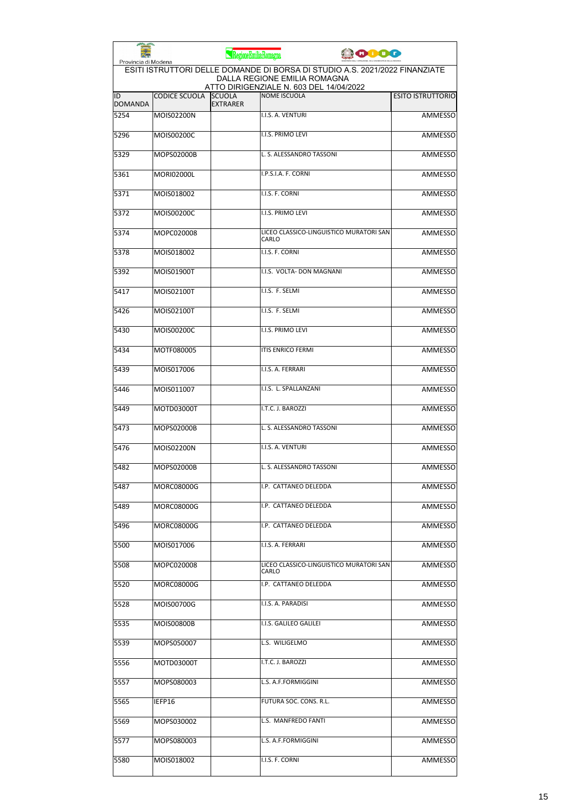| Provincia di Modena  |                      | RegioneEmiliaRomagna             | <b>ODDO</b>                                                                                                                                            |                          |
|----------------------|----------------------|----------------------------------|--------------------------------------------------------------------------------------------------------------------------------------------------------|--------------------------|
|                      |                      |                                  | ESITI ISTRUTTORI DELLE DOMANDE DI BORSA DI STUDIO A.S. 2021/2022 FINANZIATE<br>DALLA REGIONE EMILIA ROMAGNA<br>ATTO DIRIGENZIALE N. 603 DEL 14/04/2022 |                          |
| ID<br><b>DOMANDA</b> | <b>CODICE SCUOLA</b> | <b>SCUOLA</b><br><b>EXTRARER</b> | <b>NOME ISCUOLA</b>                                                                                                                                    | <b>ESITO ISTRUTTORIO</b> |
| 5254                 | MOIS02200N           |                                  | I.I.S. A. VENTURI                                                                                                                                      | <b>AMMESSO</b>           |
| 5296                 | MOIS00200C           |                                  | I.I.S. PRIMO LEVI                                                                                                                                      | <b>AMMESSO</b>           |
| 5329                 | MOPS02000B           |                                  | L. S. ALESSANDRO TASSONI                                                                                                                               | <b>AMMESSO</b>           |
| 5361                 | <b>MORI02000L</b>    |                                  | I.P.S.I.A. F. CORNI                                                                                                                                    | AMMESSO                  |
| 5371                 | MOIS018002           |                                  | I.I.S. F. CORNI                                                                                                                                        | <b>AMMESSO</b>           |
| 5372                 | MOIS00200C           |                                  | I.I.S. PRIMO LEVI                                                                                                                                      | AMMESSO                  |
| 5374                 | MOPC020008           |                                  | LICEO CLASSICO-LINGUISTICO MURATORI SAN<br>CARLO                                                                                                       | AMMESSO                  |
| 5378                 | MOIS018002           |                                  | I.I.S. F. CORNI                                                                                                                                        | <b>AMMESSO</b>           |
| 5392                 | MOIS01900T           |                                  | I.I.S. VOLTA- DON MAGNANI                                                                                                                              | AMMESSO                  |
| 5417                 | MOIS02100T           |                                  | I.I.S. F. SELMI                                                                                                                                        | AMMESSO                  |
| 5426                 | MOIS02100T           |                                  | I.I.S. F. SELMI                                                                                                                                        | AMMESSO                  |
| 5430                 | MOIS00200C           |                                  | I.I.S. PRIMO LEVI                                                                                                                                      | <b>AMMESSO</b>           |
| 5434                 | MOTF080005           |                                  | <b>ITIS ENRICO FERMI</b>                                                                                                                               | <b>AMMESSO</b>           |
| 5439                 | MOIS017006           |                                  | I.I.S. A. FERRARI                                                                                                                                      | AMMESSO                  |
| 5446                 | MOIS011007           |                                  | I.I.S. L. SPALLANZANI                                                                                                                                  | AMMESSO                  |
| 5449                 | MOTD03000T           |                                  | I.T.C. J. BAROZZI                                                                                                                                      | <b>AMMESSO</b>           |
| 5473                 | MOPS02000B           |                                  | L. S. ALESSANDRO TASSONI                                                                                                                               | AMMESSO                  |
| 5476                 | <b>MOIS02200N</b>    |                                  | I.I.S. A. VENTURI                                                                                                                                      | AMMESSO                  |
| 5482                 | <b>MOPS02000B</b>    |                                  | L. S. ALESSANDRO TASSONI                                                                                                                               | <b>AMMESSO</b>           |
| 5487                 | MORC08000G           |                                  | I.P. CATTANEO DELEDDA                                                                                                                                  | AMMESSO                  |
| 5489                 | MORC08000G           |                                  | I.P. CATTANEO DELEDDA                                                                                                                                  | AMMESSO                  |
| 5496                 | MORC08000G           |                                  | I.P. CATTANEO DELEDDA                                                                                                                                  | AMMESSO                  |
| 5500                 | MOIS017006           |                                  | I.I.S. A. FERRARI                                                                                                                                      | <b>AMMESSO</b>           |
| 5508                 | MOPC020008           |                                  | LICEO CLASSICO-LINGUISTICO MURATORI SAN<br>CARLO                                                                                                       | <b>AMMESSO</b>           |
| 5520                 | MORC08000G           |                                  | I.P. CATTANEO DELEDDA                                                                                                                                  | AMMESSO                  |
| 5528                 | MOIS00700G           |                                  | I.I.S. A. PARADISI                                                                                                                                     | AMMESSO                  |
| 5535                 | MOIS00800B           |                                  | I.I.S. GALILEO GALILEI                                                                                                                                 | AMMESSO                  |
| 5539                 | MOPS050007           |                                  | L.S. WILIGELMO                                                                                                                                         | AMMESSO                  |
| 5556                 | MOTD03000T           |                                  | I.T.C. J. BAROZZI                                                                                                                                      | AMMESSO                  |
| 5557                 | MOPS080003           |                                  | L.S. A.F.FORMIGGINI                                                                                                                                    | AMMESSO                  |
| 5565                 | IEFP16               |                                  | FUTURA SOC. CONS. R.L.                                                                                                                                 | AMMESSO                  |
| 5569                 | MOPS030002           |                                  | L.S. MANFREDO FANTI                                                                                                                                    | AMMESSO                  |
| 5577                 | MOPS080003           |                                  | L.S. A.F.FORMIGGINI                                                                                                                                    | AMMESSO                  |
| 5580                 | MOIS018002           |                                  | I.I.S. F. CORNI                                                                                                                                        | AMMESSO                  |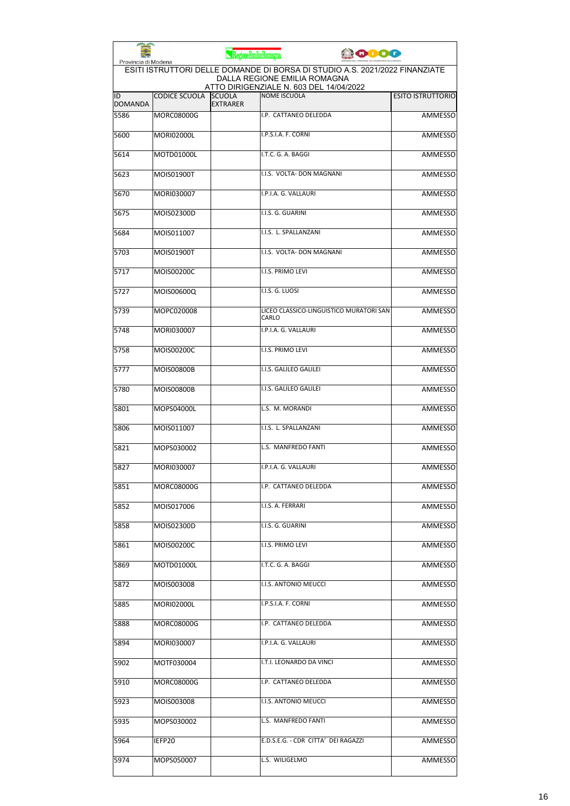| Provincia di Modena  |                      | RegioneEmiliaRomagna             | <b>COOO</b>                                                                                                                                            |                          |
|----------------------|----------------------|----------------------------------|--------------------------------------------------------------------------------------------------------------------------------------------------------|--------------------------|
|                      |                      |                                  | ESITI ISTRUTTORI DELLE DOMANDE DI BORSA DI STUDIO A.S. 2021/2022 FINANZIATE<br>DALLA REGIONE EMILIA ROMAGNA<br>ATTO DIRIGENZIALE N. 603 DEL 14/04/2022 |                          |
| ID<br><b>DOMANDA</b> | <b>CODICE SCUOLA</b> | <b>SCUOLA</b><br><b>EXTRARER</b> | <b>NOME ISCUOLA</b>                                                                                                                                    | <b>ESITO ISTRUTTORIO</b> |
| 5586                 | <b>MORC08000G</b>    |                                  | I.P. CATTANEO DELEDDA                                                                                                                                  | <b>AMMESSO</b>           |
| 5600                 | <b>MORI02000L</b>    |                                  | I.P.S.I.A. F. CORNI                                                                                                                                    | <b>AMMESSO</b>           |
| 5614                 | MOTD01000L           |                                  | I.T.C. G. A. BAGGI                                                                                                                                     | AMMESSO                  |
| 5623                 | MOIS01900T           |                                  | I.I.S. VOLTA- DON MAGNANI                                                                                                                              | AMMESSO                  |
| 5670                 | MORI030007           |                                  | I.P.I.A. G. VALLAURI                                                                                                                                   | AMMESSO                  |
| 5675                 | MOIS02300D           |                                  | I.I.S. G. GUARINI                                                                                                                                      | AMMESSO                  |
| 5684                 | MOIS011007           |                                  | I.I.S. L. SPALLANZANI                                                                                                                                  | <b>AMMESSO</b>           |
| 5703                 | MOIS01900T           |                                  | I.I.S. VOLTA- DON MAGNANI                                                                                                                              | AMMESSO                  |
| 5717                 | MOIS00200C           |                                  | I.I.S. PRIMO LEVI                                                                                                                                      | AMMESSO                  |
| 5727                 | MOIS00600Q           |                                  | I.I.S. G. LUOSI                                                                                                                                        | AMMESSO                  |
| 5739                 | MOPC020008           |                                  | LICEO CLASSICO-LINGUISTICO MURATORI SAN<br>CARLO                                                                                                       | <b>AMMESSO</b>           |
| 5748                 | MORI030007           |                                  | I.P.I.A. G. VALLAURI                                                                                                                                   | <b>AMMESSO</b>           |
| 5758                 | MOIS00200C           |                                  | I.I.S. PRIMO LEVI                                                                                                                                      | <b>AMMESSO</b>           |
| 5777                 | MOIS00800B           |                                  | I.I.S. GALILEO GALILEI                                                                                                                                 | AMMESSO                  |
| 5780                 | <b>MOIS00800B</b>    |                                  | I.I.S. GALILEO GALILEI                                                                                                                                 | AMMESSO                  |
| 5801                 | MOPS04000L           |                                  | L.S. M. MORANDI                                                                                                                                        | AMMESSO                  |
| 5806                 | MOIS011007           |                                  | I.I.S. L. SPALLANZANI                                                                                                                                  | AMMESSO                  |
| 5821                 | MOPS030002           |                                  | L.S. MANFREDO FANTI                                                                                                                                    | AMMESSO                  |
| 5827                 | MORI030007           |                                  | I.P.I.A. G. VALLAURI                                                                                                                                   | AMMESSO                  |
| 5851                 | MORC08000G           |                                  | I.P. CATTANEO DELEDDA                                                                                                                                  | AMMESSO                  |
| 5852                 | MOIS017006           |                                  | I.I.S. A. FERRARI                                                                                                                                      | AMMESSO                  |
| 5858                 | MOIS02300D           |                                  | I.I.S. G. GUARINI                                                                                                                                      | <b>AMMESSO</b>           |
| 5861                 | MOIS00200C           |                                  | I.I.S. PRIMO LEVI                                                                                                                                      | <b>AMMESSO</b>           |
| 5869                 | MOTD01000L           |                                  | I.T.C. G. A. BAGGI                                                                                                                                     | <b>AMMESSO</b>           |
| 5872                 | MOIS003008           |                                  | I.I.S. ANTONIO MEUCCI                                                                                                                                  | <b>AMMESSO</b>           |
| 5885                 | MORI02000L           |                                  | I.P.S.I.A. F. CORNI                                                                                                                                    | AMMESSO                  |
| 5888                 | MORC08000G           |                                  | I.P. CATTANEO DELEDDA                                                                                                                                  | AMMESSO                  |
| 5894                 | MORI030007           |                                  | I.P.I.A. G. VALLAURI                                                                                                                                   | AMMESSO                  |
| 5902                 | MOTF030004           |                                  | I.T.I. LEONARDO DA VINCI                                                                                                                               | AMMESSO                  |
| 5910                 | MORC08000G           |                                  | I.P. CATTANEO DELEDDA                                                                                                                                  | AMMESSO                  |
| 5923                 | MOIS003008           |                                  | I.I.S. ANTONIO MEUCCI                                                                                                                                  | AMMESSO                  |
| 5935                 | MOPS030002           |                                  | L.S. MANFREDO FANTI                                                                                                                                    | AMMESSO                  |
| 5964                 | IEFP20               |                                  | E.D.S.E.G. - CDR CITTA' DEI RAGAZZI                                                                                                                    | AMMESSO                  |
| 5974                 | MOPS050007           |                                  | L.S. WILIGELMO                                                                                                                                         | AMMESSO                  |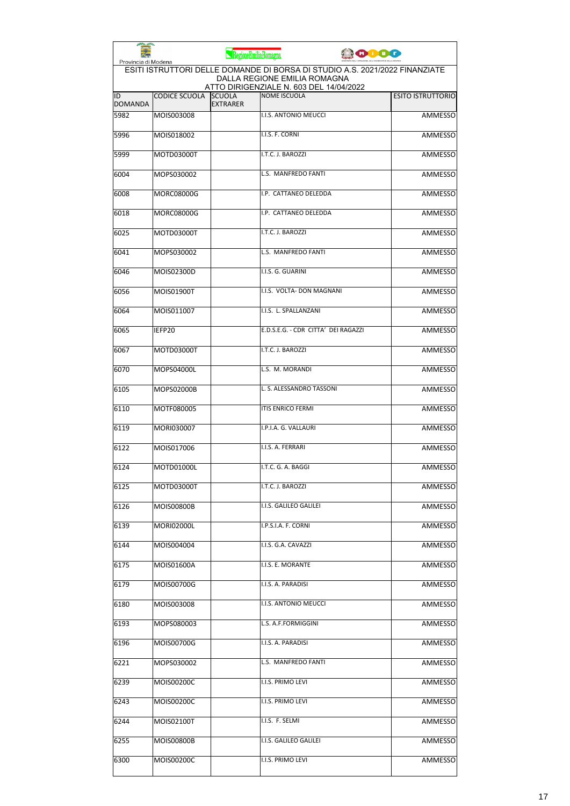| Provincia di Modena  |                      | RegioneEmiliaRomagna             |                                                                                                                                                        | <b>0000</b> |                          |
|----------------------|----------------------|----------------------------------|--------------------------------------------------------------------------------------------------------------------------------------------------------|-------------|--------------------------|
|                      |                      |                                  | ESITI ISTRUTTORI DELLE DOMANDE DI BORSA DI STUDIO A.S. 2021/2022 FINANZIATE<br>DALLA REGIONE EMILIA ROMAGNA<br>ATTO DIRIGENZIALE N. 603 DEL 14/04/2022 |             |                          |
| ID<br><b>DOMANDA</b> | <b>CODICE SCUOLA</b> | <b>SCUOLA</b><br><b>EXTRARER</b> | <b>NOME ISCUOLA</b>                                                                                                                                    |             | <b>ESITO ISTRUTTORIO</b> |
| 5982                 | MOIS003008           |                                  | I.I.S. ANTONIO MEUCCI                                                                                                                                  |             | <b>AMMESSO</b>           |
| 5996                 | MOIS018002           |                                  | I.I.S. F. CORNI                                                                                                                                        |             | <b>AMMESSO</b>           |
| 5999                 | MOTD03000T           |                                  | I.T.C. J. BAROZZI                                                                                                                                      |             | <b>AMMESSO</b>           |
| 6004                 | MOPS030002           |                                  | L.S. MANFREDO FANTI                                                                                                                                    |             | AMMESSO                  |
| 6008                 | MORC08000G           |                                  | I.P. CATTANEO DELEDDA                                                                                                                                  |             | <b>AMMESSO</b>           |
| 6018                 | <b>MORC08000G</b>    |                                  | I.P. CATTANEO DELEDDA                                                                                                                                  |             | <b>AMMESSO</b>           |
| 6025                 | MOTD03000T           |                                  | I.T.C. J. BAROZZI                                                                                                                                      |             | AMMESSO                  |
| 6041                 | MOPS030002           |                                  | L.S. MANFREDO FANTI                                                                                                                                    |             | <b>AMMESSO</b>           |
| 6046                 | MOIS02300D           |                                  | I.I.S. G. GUARINI                                                                                                                                      |             | <b>AMMESSO</b>           |
| 6056                 | MOIS01900T           |                                  | I.I.S. VOLTA- DON MAGNANI                                                                                                                              |             | AMMESSO                  |
| 6064                 | MOIS011007           |                                  | I.I.S. L. SPALLANZANI                                                                                                                                  |             | AMMESSO                  |
| 6065                 | IEFP20               |                                  | E.D.S.E.G. - CDR CITTA' DEI RAGAZZI                                                                                                                    |             | <b>AMMESSO</b>           |
| 6067                 | MOTD03000T           |                                  | I.T.C. J. BAROZZI                                                                                                                                      |             | <b>AMMESSO</b>           |
| 6070                 | MOPS04000L           |                                  | L.S. M. MORANDI                                                                                                                                        |             | AMMESSO                  |
| 6105                 | MOPS02000B           |                                  | L. S. ALESSANDRO TASSONI                                                                                                                               |             | AMMESSO                  |
| 6110                 | MOTF080005           |                                  | <b>ITIS ENRICO FERMI</b>                                                                                                                               |             | <b>AMMESSO</b>           |
| 6119                 | MORI030007           |                                  | I.P.I.A. G. VALLAURI                                                                                                                                   |             | AMMESSO                  |
| 6122                 | MOIS017006           |                                  | I.I.S. A. FERRARI                                                                                                                                      |             | AMMESSO                  |
| 6124                 | MOTD01000L           |                                  | I.T.C. G. A. BAGGI                                                                                                                                     |             | <b>AMMESSO</b>           |
| 6125                 | MOTD03000T           |                                  | I.T.C. J. BAROZZI                                                                                                                                      |             | AMMESSO                  |
| 6126                 | MOIS00800B           |                                  | I.I.S. GALILEO GALILEI                                                                                                                                 |             | AMMESSO                  |
| 6139                 | <b>MORI02000L</b>    |                                  | I.P.S.I.A. F. CORNI                                                                                                                                    |             | AMMESSO                  |
| 6144                 | MOIS004004           |                                  | I.I.S. G.A. CAVAZZI                                                                                                                                    |             | AMMESSO                  |
| 6175                 | MOIS01600A           |                                  | I.I.S. E. MORANTE                                                                                                                                      |             | AMMESSO                  |
| 6179                 | MOIS00700G           |                                  | I.I.S. A. PARADISI                                                                                                                                     |             | AMMESSO                  |
| 6180                 | MOIS003008           |                                  | I.I.S. ANTONIO MEUCCI                                                                                                                                  |             | AMMESSO                  |
| 6193                 | MOPS080003           |                                  | L.S. A.F.FORMIGGINI                                                                                                                                    |             | AMMESSO                  |
| 6196                 | MOIS00700G           |                                  | I.I.S. A. PARADISI                                                                                                                                     |             | AMMESSO                  |
| 6221                 | MOPS030002           |                                  | L.S. MANFREDO FANTI                                                                                                                                    |             | <b>AMMESSO</b>           |
| 6239                 | MOIS00200C           |                                  | I.I.S. PRIMO LEVI                                                                                                                                      |             | AMMESSO                  |
| 6243                 | MOIS00200C           |                                  | I.I.S. PRIMO LEVI                                                                                                                                      |             | AMMESSO                  |
| 6244                 | MOIS02100T           |                                  | I.I.S. F. SELMI                                                                                                                                        |             | AMMESSO                  |
| 6255                 | MOIS00800B           |                                  | I.I.S. GALILEO GALILEI                                                                                                                                 |             | AMMESSO                  |
| 6300                 | MOIS00200C           |                                  | I.I.S. PRIMO LEVI                                                                                                                                      |             | AMMESSO                  |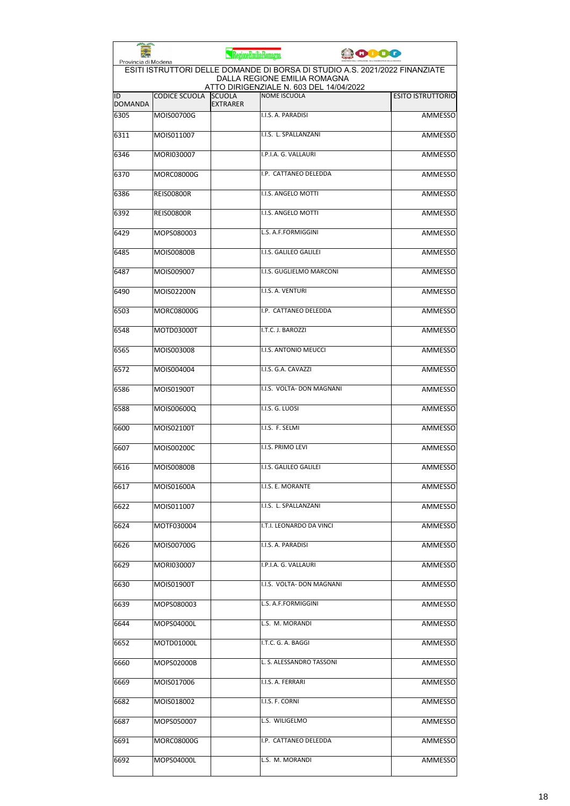|                      |                      | RegioneEmiliaRomagna             | 0000                                                                                                                                                   |                          |
|----------------------|----------------------|----------------------------------|--------------------------------------------------------------------------------------------------------------------------------------------------------|--------------------------|
| Provincia di Modena  |                      |                                  | ESITI ISTRUTTORI DELLE DOMANDE DI BORSA DI STUDIO A.S. 2021/2022 FINANZIATE<br>DALLA REGIONE EMILIA ROMAGNA<br>ATTO DIRIGENZIALE N. 603 DEL 14/04/2022 |                          |
| ID<br><b>DOMANDA</b> | <b>CODICE SCUOLA</b> | <b>SCUOLA</b><br><b>EXTRARER</b> | <b>NOME ISCUOLA</b>                                                                                                                                    | <b>ESITO ISTRUTTORIO</b> |
| 6305                 | MOIS00700G           |                                  | I.I.S. A. PARADISI                                                                                                                                     | <b>AMMESSO</b>           |
| 6311                 | MOIS011007           |                                  | I.I.S. L. SPALLANZANI                                                                                                                                  | <b>AMMESSO</b>           |
| 6346                 | MORI030007           |                                  | I.P.I.A. G. VALLAURI                                                                                                                                   | <b>AMMESSO</b>           |
| 6370                 | <b>MORC08000G</b>    |                                  | I.P. CATTANEO DELEDDA                                                                                                                                  | AMMESSO                  |
| 6386                 | <b>REIS00800R</b>    |                                  | I.I.S. ANGELO MOTTI                                                                                                                                    | <b>AMMESSO</b>           |
| 6392                 | <b>REISO0800R</b>    |                                  | I.I.S. ANGELO MOTTI                                                                                                                                    | <b>AMMESSO</b>           |
| 6429                 | MOPS080003           |                                  | L.S. A.F.FORMIGGINI                                                                                                                                    | AMMESSO                  |
| 6485                 | <b>MOIS00800B</b>    |                                  | I.I.S. GALILEO GALILEI                                                                                                                                 | <b>AMMESSO</b>           |
| 6487                 | MOIS009007           |                                  | I.I.S. GUGLIELMO MARCONI                                                                                                                               | AMMESSO                  |
| 6490                 | MOIS02200N           |                                  | I.I.S. A. VENTURI                                                                                                                                      | AMMESSO                  |
| 6503                 | <b>MORC08000G</b>    |                                  | I.P. CATTANEO DELEDDA                                                                                                                                  | AMMESSO                  |
| 6548                 | MOTD03000T           |                                  | I.T.C. J. BAROZZI                                                                                                                                      | <b>AMMESSO</b>           |
| 6565                 | MOIS003008           |                                  | I.I.S. ANTONIO MEUCCI                                                                                                                                  | <b>AMMESSO</b>           |
| 6572                 | MOIS004004           |                                  | I.I.S. G.A. CAVAZZI                                                                                                                                    | AMMESSO                  |
| 6586                 | MOIS01900T           |                                  | I.I.S. VOLTA- DON MAGNANI                                                                                                                              | AMMESSO                  |
| 6588                 | MOIS00600Q           |                                  | I.I.S. G. LUOSI                                                                                                                                        | <b>AMMESSO</b>           |
| 6600                 | MOIS02100T           |                                  | I.I.S. F. SELMI                                                                                                                                        | AMMESSO                  |
| 6607                 | MOIS00200C           |                                  | <b>I.I.S. PRIMO LEVI</b>                                                                                                                               | AMMESSO                  |
| 6616                 | <b>MOIS00800B</b>    |                                  | I.I.S. GALILEO GALILEI                                                                                                                                 | <b>AMMESSO</b>           |
| 6617                 | MOIS01600A           |                                  | I.I.S. E. MORANTE                                                                                                                                      | AMMESSO                  |
| 6622                 | MOIS011007           |                                  | I.I.S. L. SPALLANZANI                                                                                                                                  | <b>AMMESSO</b>           |
| 6624                 | MOTF030004           |                                  | I.T.I. LEONARDO DA VINCI                                                                                                                               | AMMESSO                  |
| 6626                 | MOIS00700G           |                                  | I.I.S. A. PARADISI                                                                                                                                     | <b>AMMESSO</b>           |
| 6629                 | MORI030007           |                                  | I.P.I.A. G. VALLAURI                                                                                                                                   | AMMESSO                  |
| 6630                 | MOIS01900T           |                                  | I.I.S. VOLTA- DON MAGNANI                                                                                                                              | <b>AMMESSO</b>           |
| 6639                 | MOPS080003           |                                  | L.S. A.F.FORMIGGINI                                                                                                                                    | <b>AMMESSO</b>           |
| 6644                 | MOPS04000L           |                                  | L.S. M. MORANDI                                                                                                                                        | AMMESSO                  |
| 6652                 | MOTD01000L           |                                  | I.T.C. G. A. BAGGI                                                                                                                                     | AMMESSO                  |
| 6660                 | MOPS02000B           |                                  | L. S. ALESSANDRO TASSONI                                                                                                                               | <b>AMMESSO</b>           |
| 6669                 | MOIS017006           |                                  | I.I.S. A. FERRARI                                                                                                                                      | AMMESSO                  |
| 6682                 | MOIS018002           |                                  | I.I.S. F. CORNI                                                                                                                                        | AMMESSO                  |
| 6687                 | MOPS050007           |                                  | L.S. WILIGELMO                                                                                                                                         | AMMESSO                  |
| 6691                 | MORC08000G           |                                  | I.P. CATTANEO DELEDDA                                                                                                                                  | AMMESSO                  |
| 6692                 | MOPS04000L           |                                  | L.S. M. MORANDI                                                                                                                                        | <b>AMMESSO</b>           |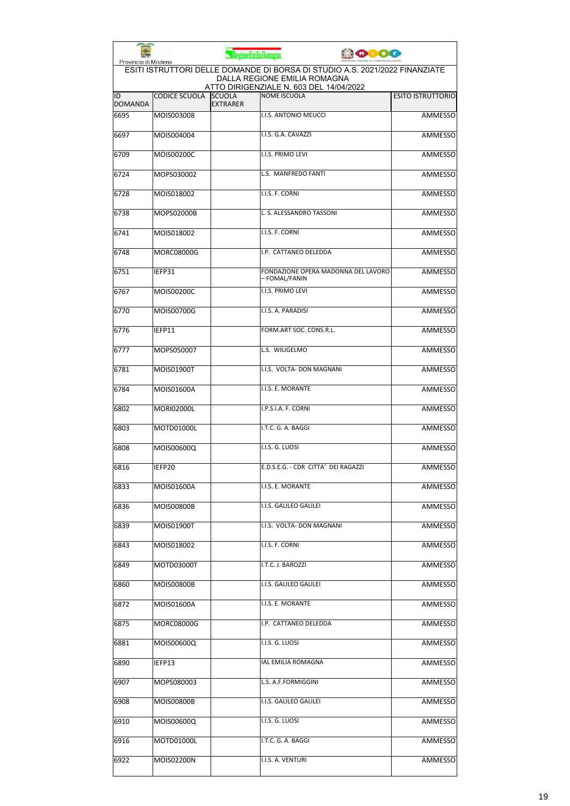| Provincia di Modena  |                      | RegioneEmiliaRomagna             | obog                                                                                                                                                   |                          |
|----------------------|----------------------|----------------------------------|--------------------------------------------------------------------------------------------------------------------------------------------------------|--------------------------|
|                      |                      |                                  | ESITI ISTRUTTORI DELLE DOMANDE DI BORSA DI STUDIO A.S. 2021/2022 FINANZIATE<br>DALLA REGIONE EMILIA ROMAGNA<br>ATTO DIRIGENZIALE N. 603 DEL 14/04/2022 |                          |
| ID<br><b>DOMANDA</b> | <b>CODICE SCUOLA</b> | <b>SCUOLA</b><br><b>EXTRARER</b> | <b>NOME ISCUOLA</b>                                                                                                                                    | <b>ESITO ISTRUTTORIO</b> |
| 6695                 | MOIS003008           |                                  | <b>I.I.S. ANTONIO MEUCCI</b>                                                                                                                           | <b>AMMESSO</b>           |
| 6697                 | MOIS004004           |                                  | I.I.S. G.A. CAVAZZI                                                                                                                                    | <b>AMMESSO</b>           |
| 6709                 | MOIS00200C           |                                  | I.I.S. PRIMO LEVI                                                                                                                                      | <b>AMMESSO</b>           |
| 6724                 | MOPS030002           |                                  | L.S. MANFREDO FANTI                                                                                                                                    | AMMESSO                  |
| 6728                 | MOIS018002           |                                  | I.I.S. F. CORNI                                                                                                                                        | <b>AMMESSO</b>           |
| 6738                 | MOPS02000B           |                                  | L. S. ALESSANDRO TASSONI                                                                                                                               | AMMESSO                  |
| 6741                 | MOIS018002           |                                  | I.I.S. F. CORNI                                                                                                                                        | AMMESSO                  |
| 6748                 | <b>MORC08000G</b>    |                                  | I.P. CATTANEO DELEDDA                                                                                                                                  | <b>AMMESSO</b>           |
| 6751                 | IEFP31               |                                  | FONDAZIONE OPERA MADONNA DEL LAVORO<br>– FOMAL/FANIN                                                                                                   | <b>AMMESSO</b>           |
| 6767                 | MOIS00200C           |                                  | I.I.S. PRIMO LEVI                                                                                                                                      | AMMESSO                  |
| 6770                 | MOIS00700G           |                                  | I.I.S. A. PARADISI                                                                                                                                     | AMMESSO                  |
| 6776                 | IEFP11               |                                  | FORM.ART SOC. CONS.R.L.                                                                                                                                | <b>AMMESSO</b>           |
| 6777                 | MOPS050007           |                                  | L.S. WILIGELMO                                                                                                                                         | <b>AMMESSO</b>           |
| 6781                 | MOIS01900T           |                                  | I.I.S. VOLTA- DON MAGNANI                                                                                                                              | AMMESSO                  |
| 6784                 | MOIS01600A           |                                  | I.I.S. E. MORANTE                                                                                                                                      | AMMESSO                  |
| 6802                 | <b>MORI02000L</b>    |                                  | I.P.S.I.A. F. CORNI                                                                                                                                    | <b>AMMESSO</b>           |
| 6803                 | MOTD01000L           |                                  | I.T.C. G. A. BAGGI                                                                                                                                     | AMMESSO                  |
| 6808                 | MOIS00600Q           |                                  | I.I.S. G. LUOSI                                                                                                                                        | AMMESSO                  |
| 6816                 | IEFP20               |                                  | E.D.S.E.G. - CDR CITTA' DEI RAGAZZI                                                                                                                    | <b>AMMESSO</b>           |
| 6833                 | MOIS01600A           |                                  | I.I.S. E. MORANTE                                                                                                                                      | AMMESSO                  |
| 6836                 | MOIS00800B           |                                  | I.I.S. GALILEO GALILEI                                                                                                                                 | <b>AMMESSO</b>           |
| 6839                 | MOIS01900T           |                                  | I.I.S. VOLTA- DON MAGNANI                                                                                                                              | AMMESSO                  |
| 6843                 | MOIS018002           |                                  | I.I.S. F. CORNI                                                                                                                                        | <b>AMMESSO</b>           |
| 6849                 | MOTD03000T           |                                  | I.T.C. J. BAROZZI                                                                                                                                      | AMMESSO                  |
| 6860                 | MOIS00800B           |                                  | I.I.S. GALILEO GALILEI                                                                                                                                 | AMMESSO                  |
| 6872                 | MOIS01600A           |                                  | I.I.S. E. MORANTE                                                                                                                                      | AMMESSO                  |
| 6875                 | MORC08000G           |                                  | I.P. CATTANEO DELEDDA                                                                                                                                  | AMMESSO                  |
| 6881                 | MOIS00600Q           |                                  | I.I.S. G. LUOSI                                                                                                                                        | AMMESSO                  |
| 6890                 | IEFP13               |                                  | IAL EMILIA ROMAGNA                                                                                                                                     | <b>AMMESSO</b>           |
| 6907                 | MOPS080003           |                                  | L.S. A.F.FORMIGGINI                                                                                                                                    | AMMESSO                  |
| 6908                 | MOIS00800B           |                                  | I.I.S. GALILEO GALILEI                                                                                                                                 | AMMESSO                  |
| 6910                 | MOIS00600Q           |                                  | I.I.S. G. LUOSI                                                                                                                                        | AMMESSO                  |
| 6916                 | MOTD01000L           |                                  | I.T.C. G. A. BAGGI                                                                                                                                     | AMMESSO                  |
| 6922                 | MOIS02200N           |                                  | I.I.S. A. VENTURI                                                                                                                                      | AMMESSO                  |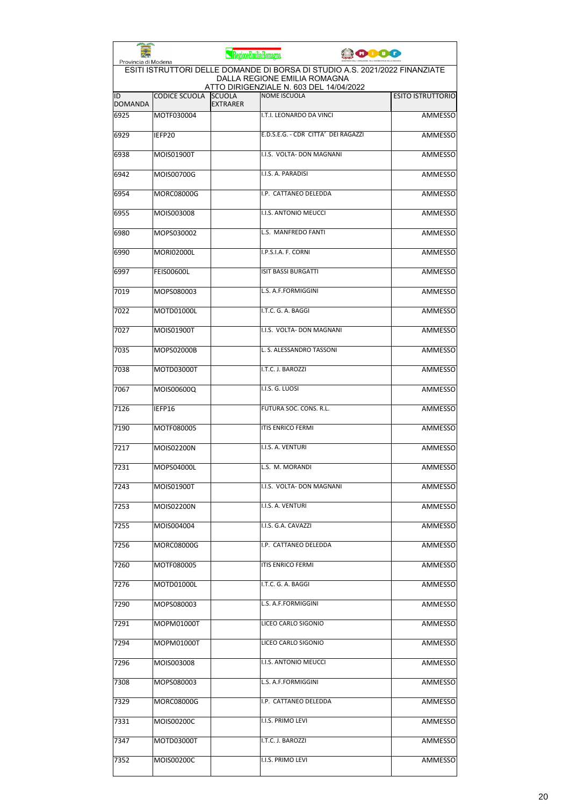| Provincia di Modena                                                                                                                                    |                   | RegioneEmiliaRomagna             |                                     | <b>ODO</b> |                          |  |
|--------------------------------------------------------------------------------------------------------------------------------------------------------|-------------------|----------------------------------|-------------------------------------|------------|--------------------------|--|
| ESITI ISTRUTTORI DELLE DOMANDE DI BORSA DI STUDIO A.S. 2021/2022 FINANZIATE<br>DALLA REGIONE EMILIA ROMAGNA<br>ATTO DIRIGENZIALE N. 603 DEL 14/04/2022 |                   |                                  |                                     |            |                          |  |
| ID<br><b>DOMANDA</b>                                                                                                                                   | CODICE SCUOLA     | <b>SCUOLA</b><br><b>EXTRARER</b> | <b>NOME ISCUOLA</b>                 |            | <b>ESITO ISTRUTTORIO</b> |  |
| 6925                                                                                                                                                   | MOTF030004        |                                  | I.T.I. LEONARDO DA VINCI            |            | <b>AMMESSO</b>           |  |
| 6929                                                                                                                                                   | IEFP20            |                                  | E.D.S.E.G. - CDR CITTA' DEI RAGAZZI |            | AMMESSO                  |  |
| 6938                                                                                                                                                   | MOIS01900T        |                                  | I.I.S. VOLTA- DON MAGNANI           |            | AMMESSO                  |  |
| 6942                                                                                                                                                   | MOIS00700G        |                                  | I.I.S. A. PARADISI                  |            | <b>AMMESSO</b>           |  |
| 6954                                                                                                                                                   | MORC08000G        |                                  | I.P. CATTANEO DELEDDA               |            | AMMESSO                  |  |
| 6955                                                                                                                                                   | MOIS003008        |                                  | I.I.S. ANTONIO MEUCCI               |            | <b>AMMESSO</b>           |  |
| 6980                                                                                                                                                   | MOPS030002        |                                  | L.S. MANFREDO FANTI                 |            | <b>AMMESSO</b>           |  |
| 6990                                                                                                                                                   | <b>MORI02000L</b> |                                  | I.P.S.I.A. F. CORNI                 |            | <b>AMMESSO</b>           |  |
| 6997                                                                                                                                                   | <b>FEIS00600L</b> |                                  | <b>ISIT BASSI BURGATTI</b>          |            | <b>AMMESSO</b>           |  |
| 7019                                                                                                                                                   | MOPS080003        |                                  | L.S. A.F.FORMIGGINI                 |            | <b>AMMESSO</b>           |  |
| 7022                                                                                                                                                   | MOTD01000L        |                                  | I.T.C. G. A. BAGGI                  |            | <b>AMMESSO</b>           |  |
| 7027                                                                                                                                                   | MOIS01900T        |                                  | I.I.S. VOLTA- DON MAGNANI           |            | <b>AMMESSO</b>           |  |
| 7035                                                                                                                                                   | MOPS02000B        |                                  | L. S. ALESSANDRO TASSONI            |            | <b>AMMESSO</b>           |  |
| 7038                                                                                                                                                   | MOTD03000T        |                                  | I.T.C. J. BAROZZI                   |            | <b>AMMESSO</b>           |  |
| 7067                                                                                                                                                   | MOIS00600Q        |                                  | I.I.S. G. LUOSI                     |            | AMMESSO                  |  |
| 7126                                                                                                                                                   | IEFP16            |                                  | FUTURA SOC. CONS. R.L.              |            | <b>AMMESSO</b>           |  |
| 7190                                                                                                                                                   | MOTF080005        |                                  | <b>ITIS ENRICO FERMI</b>            |            | <b>AMMESSO</b>           |  |
| 7217                                                                                                                                                   | MOIS02200N        |                                  | I.I.S. A. VENTURI                   |            | <b>AMMESSO</b>           |  |
| 7231                                                                                                                                                   | MOPS04000L        |                                  | L.S. M. MORANDI                     |            | <b>AMMESSO</b>           |  |
| 7243                                                                                                                                                   | MOIS01900T        |                                  | I.I.S. VOLTA- DON MAGNANI           |            | <b>AMMESSO</b>           |  |
| 7253                                                                                                                                                   | MOIS02200N        |                                  | I.I.S. A. VENTURI                   |            | AMMESSO                  |  |
| 7255                                                                                                                                                   | MOIS004004        |                                  | I.I.S. G.A. CAVAZZI                 |            | AMMESSO                  |  |
| 7256                                                                                                                                                   | MORC08000G        |                                  | I.P. CATTANEO DELEDDA               |            | <b>AMMESSO</b>           |  |
| 7260                                                                                                                                                   | MOTF080005        |                                  | <b>ITIS ENRICO FERMI</b>            |            | <b>AMMESSO</b>           |  |
| 7276                                                                                                                                                   | MOTD01000L        |                                  | I.T.C. G. A. BAGGI                  |            | <b>AMMESSO</b>           |  |
| 7290                                                                                                                                                   | MOPS080003        |                                  | L.S. A.F.FORMIGGINI                 |            | <b>AMMESSO</b>           |  |
| 7291                                                                                                                                                   | MOPM01000T        |                                  | LICEO CARLO SIGONIO                 |            | AMMESSO                  |  |
| 7294                                                                                                                                                   | MOPM01000T        |                                  | LICEO CARLO SIGONIO                 |            | <b>AMMESSO</b>           |  |
| 7296                                                                                                                                                   | MOIS003008        |                                  | I.I.S. ANTONIO MEUCCI               |            | <b>AMMESSO</b>           |  |
| 7308                                                                                                                                                   | MOPS080003        |                                  | L.S. A.F.FORMIGGINI                 |            | AMMESSO                  |  |
| 7329                                                                                                                                                   | MORC08000G        |                                  | I.P. CATTANEO DELEDDA               |            | <b>AMMESSO</b>           |  |
| 7331                                                                                                                                                   | MOIS00200C        |                                  | I.I.S. PRIMO LEVI                   |            | <b>AMMESSO</b>           |  |
| 7347                                                                                                                                                   | MOTD03000T        |                                  | I.T.C. J. BAROZZI                   |            | AMMESSO                  |  |
| 7352                                                                                                                                                   | MOIS00200C        |                                  | I.I.S. PRIMO LEVI                   |            | <b>AMMESSO</b>           |  |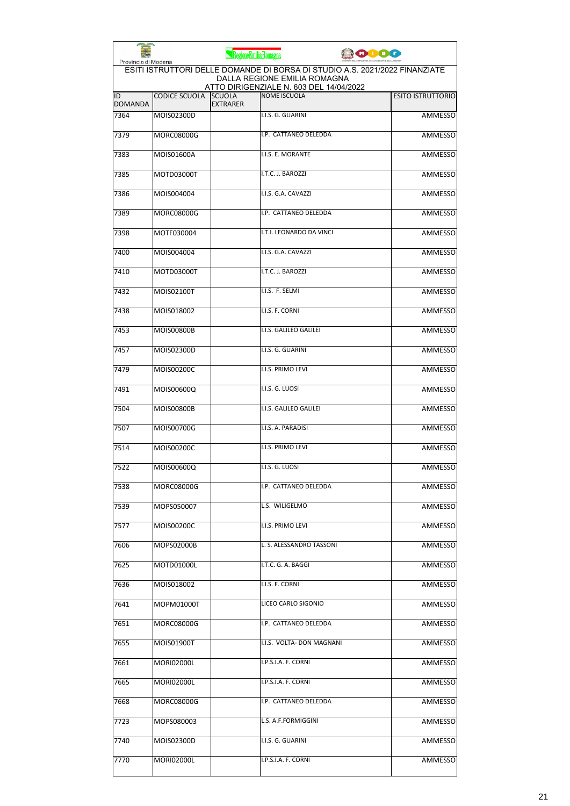| <b>PERSONAL PROPERTY</b><br>Provincia di Modena |                   | RegioneEmiliaRomagna             |                                                                                                             | 10000 |                          |
|-------------------------------------------------|-------------------|----------------------------------|-------------------------------------------------------------------------------------------------------------|-------|--------------------------|
|                                                 |                   |                                  | ESITI ISTRUTTORI DELLE DOMANDE DI BORSA DI STUDIO A.S. 2021/2022 FINANZIATE<br>DALLA REGIONE EMILIA ROMAGNA |       |                          |
| ID<br><b>DOMANDA</b>                            | CODICE SCUOLA     | <b>SCUOLA</b><br><b>EXTRARER</b> | ATTO DIRIGENZIALE N. 603 DEL 14/04/2022<br><b>NOME ISCUOLA</b>                                              |       | <b>ESITO ISTRUTTORIO</b> |
| 7364                                            | MOIS02300D        |                                  | I.I.S. G. GUARINI                                                                                           |       | <b>AMMESSO</b>           |
| 7379                                            | MORC08000G        |                                  | I.P. CATTANEO DELEDDA                                                                                       |       | AMMESSO                  |
| 7383                                            | MOIS01600A        |                                  | I.I.S. E. MORANTE                                                                                           |       | AMMESSO                  |
| 7385                                            | MOTD03000T        |                                  | I.T.C. J. BAROZZI                                                                                           |       | AMMESSO                  |
| 7386                                            | MOIS004004        |                                  | I.I.S. G.A. CAVAZZI                                                                                         |       | <b>AMMESSO</b>           |
| 7389                                            | <b>MORC08000G</b> |                                  | I.P. CATTANEO DELEDDA                                                                                       |       | <b>AMMESSO</b>           |
| 7398                                            | MOTF030004        |                                  | I.T.I. LEONARDO DA VINCI                                                                                    |       | <b>AMMESSO</b>           |
| 7400                                            | MOIS004004        |                                  | I.I.S. G.A. CAVAZZI                                                                                         |       | <b>AMMESSO</b>           |
| 7410                                            | MOTD03000T        |                                  | I.T.C. J. BAROZZI                                                                                           |       | <b>AMMESSO</b>           |
| 7432                                            | MOIS02100T        |                                  | I.I.S. F. SELMI                                                                                             |       | <b>AMMESSO</b>           |
| 7438                                            | MOIS018002        |                                  | I.I.S. F. CORNI                                                                                             |       | AMMESSO                  |
| 7453                                            | <b>MOIS00800B</b> |                                  | I.I.S. GALILEO GALILEI                                                                                      |       | AMMESSO                  |
| 7457                                            | MOIS02300D        |                                  | I.I.S. G. GUARINI                                                                                           |       | <b>AMMESSO</b>           |
| 7479                                            | MOIS00200C        |                                  | I.I.S. PRIMO LEVI                                                                                           |       | <b>AMMESSO</b>           |
| 7491                                            | MOIS00600Q        |                                  | I.I.S. G. LUOSI                                                                                             |       | AMMESSO                  |
| 7504                                            | <b>MOIS00800B</b> |                                  | I.I.S. GALILEO GALILEI                                                                                      |       | <b>AMMESSO</b>           |
| 7507                                            | MOIS00700G        |                                  | I.I.S. A. PARADISI                                                                                          |       | <b>AMMESSO</b>           |
| 7514                                            | MOIS00200C        |                                  | <b>I.I.S. PRIMO LEVI</b>                                                                                    |       | AMMESSO                  |
| 7522                                            | MOIS00600Q        |                                  | I.I.S. G. LUOSI                                                                                             |       | AMMESSO                  |
| 7538                                            | MORC08000G        |                                  | I.P. CATTANEO DELEDDA                                                                                       |       | AMMESSO                  |
| 7539                                            | MOPS050007        |                                  | L.S. WILIGELMO                                                                                              |       | AMMESSO                  |
| 7577                                            | MOIS00200C        |                                  | I.I.S. PRIMO LEVI                                                                                           |       | AMMESSO                  |
| 7606                                            | MOPS02000B        |                                  | L. S. ALESSANDRO TASSONI                                                                                    |       | <b>AMMESSO</b>           |
| 7625                                            | MOTD01000L        |                                  | I.T.C. G. A. BAGGI                                                                                          |       | <b>AMMESSO</b>           |
| 7636                                            | MOIS018002        |                                  | I.I.S. F. CORNI                                                                                             |       | AMMESSO                  |
| 7641                                            | MOPM01000T        |                                  | LICEO CARLO SIGONIO                                                                                         |       | AMMESSO                  |
| 7651                                            | MORC08000G        |                                  | I.P. CATTANEO DELEDDA                                                                                       |       | AMMESSO                  |
| 7655                                            | MOIS01900T        |                                  | I.I.S. VOLTA- DON MAGNANI                                                                                   |       | AMMESSO                  |
| 7661                                            | <b>MORI02000L</b> |                                  | I.P.S.I.A. F. CORNI                                                                                         |       | <b>AMMESSO</b>           |
| 7665                                            | <b>MORI02000L</b> |                                  | I.P.S.I.A. F. CORNI                                                                                         |       | AMMESSO                  |
| 7668                                            | MORC08000G        |                                  | I.P. CATTANEO DELEDDA                                                                                       |       | AMMESSO                  |
| 7723                                            | MOPS080003        |                                  | L.S. A.F.FORMIGGINI                                                                                         |       | AMMESSO                  |
| 7740                                            | MOIS02300D        |                                  | I.I.S. G. GUARINI                                                                                           |       | AMMESSO                  |
| 7770                                            | MORI02000L        |                                  | I.P.S.I.A. F. CORNI                                                                                         |       | <b>AMMESSO</b>           |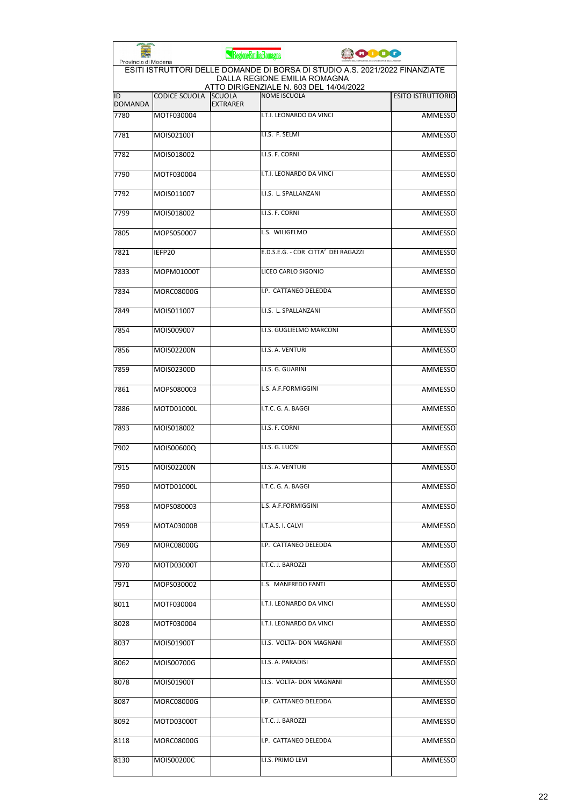| Provincia di Modena  |                      | RegioneEmiliaRomagna             |                                                                                                                                                        | 0000 |                          |
|----------------------|----------------------|----------------------------------|--------------------------------------------------------------------------------------------------------------------------------------------------------|------|--------------------------|
|                      |                      |                                  | ESITI ISTRUTTORI DELLE DOMANDE DI BORSA DI STUDIO A.S. 2021/2022 FINANZIATE<br>DALLA REGIONE EMILIA ROMAGNA<br>ATTO DIRIGENZIALE N. 603 DEL 14/04/2022 |      |                          |
| ID<br><b>DOMANDA</b> | <b>CODICE SCUOLA</b> | <b>SCUOLA</b><br><b>EXTRARER</b> | <b>NOME ISCUOLA</b>                                                                                                                                    |      | <b>ESITO ISTRUTTORIO</b> |
| 7780                 | MOTF030004           |                                  | I.T.I. LEONARDO DA VINCI                                                                                                                               |      | <b>AMMESSO</b>           |
| 7781                 | MOIS02100T           |                                  | I.I.S. F. SELMI                                                                                                                                        |      | <b>AMMESSO</b>           |
| 7782                 | MOIS018002           |                                  | I.I.S. F. CORNI                                                                                                                                        |      | <b>AMMESSO</b>           |
| 7790                 | MOTF030004           |                                  | I.T.I. LEONARDO DA VINCI                                                                                                                               |      | AMMESSO                  |
| 7792                 | MOIS011007           |                                  | I.I.S. L. SPALLANZANI                                                                                                                                  |      | <b>AMMESSO</b>           |
| 7799                 | MOIS018002           |                                  | I.I.S. F. CORNI                                                                                                                                        |      | <b>AMMESSO</b>           |
| 7805                 | MOPS050007           |                                  | L.S. WILIGELMO                                                                                                                                         |      | AMMESSO                  |
| 7821                 | IEFP20               |                                  | E.D.S.E.G. - CDR CITTA' DEI RAGAZZI                                                                                                                    |      | <b>AMMESSO</b>           |
| 7833                 | MOPM01000T           |                                  | LICEO CARLO SIGONIO                                                                                                                                    |      | AMMESSO                  |
| 7834                 | <b>MORC08000G</b>    |                                  | I.P. CATTANEO DELEDDA                                                                                                                                  |      | <b>AMMESSO</b>           |
| 7849                 | MOIS011007           |                                  | I.I.S. L. SPALLANZANI                                                                                                                                  |      | AMMESSO                  |
| 7854                 | MOIS009007           |                                  | I.I.S. GUGLIELMO MARCONI                                                                                                                               |      | <b>AMMESSO</b>           |
| 7856                 | MOIS02200N           |                                  | I.I.S. A. VENTURI                                                                                                                                      |      | <b>AMMESSO</b>           |
| 7859                 | MOIS02300D           |                                  | I.I.S. G. GUARINI                                                                                                                                      |      | AMMESSO                  |
| 7861                 | MOPS080003           |                                  | L.S. A.F.FORMIGGINI                                                                                                                                    |      | AMMESSO                  |
| 7886                 | MOTD01000L           |                                  | I.T.C. G. A. BAGGI                                                                                                                                     |      | <b>AMMESSO</b>           |
| 7893                 | MOIS018002           |                                  | I.I.S. F. CORNI                                                                                                                                        |      | AMMESSO                  |
| 7902                 | MOIS00600Q           |                                  | I.I.S. G. LUOSI                                                                                                                                        |      | AMMESSO                  |
| 7915                 | MOIS02200N           |                                  | I.I.S. A. VENTURI                                                                                                                                      |      | <b>AMMESSO</b>           |
| 7950                 | MOTD01000L           |                                  | I.T.C. G. A. BAGGI                                                                                                                                     |      | AMMESSO                  |
| 7958                 | MOPS080003           |                                  | L.S. A.F.FORMIGGINI                                                                                                                                    |      | <b>AMMESSO</b>           |
| 7959                 | MOTA03000B           |                                  | I.T.A.S. I. CALVI                                                                                                                                      |      | AMMESSO                  |
| 7969                 | MORC08000G           |                                  | I.P. CATTANEO DELEDDA                                                                                                                                  |      | <b>AMMESSO</b>           |
| 7970                 | MOTD03000T           |                                  | I.T.C. J. BAROZZI                                                                                                                                      |      | AMMESSO                  |
| 7971                 | MOPS030002           |                                  | L.S. MANFREDO FANTI                                                                                                                                    |      | AMMESSO                  |
| 8011                 | MOTF030004           |                                  | I.T.I. LEONARDO DA VINCI                                                                                                                               |      | AMMESSO                  |
| 8028                 | MOTF030004           |                                  | I.T.I. LEONARDO DA VINCI                                                                                                                               |      | AMMESSO                  |
| 8037                 | MOIS01900T           |                                  | I.I.S. VOLTA- DON MAGNANI                                                                                                                              |      | AMMESSO                  |
| 8062                 | MOIS00700G           |                                  | I.I.S. A. PARADISI                                                                                                                                     |      | <b>AMMESSO</b>           |
| 8078                 | MOIS01900T           |                                  | I.I.S. VOLTA- DON MAGNANI                                                                                                                              |      | AMMESSO                  |
| 8087                 | MORC08000G           |                                  | I.P. CATTANEO DELEDDA                                                                                                                                  |      | AMMESSO                  |
| 8092                 | MOTD03000T           |                                  | I.T.C. J. BAROZZI                                                                                                                                      |      | AMMESSO                  |
| 8118                 | MORC08000G           |                                  | I.P. CATTANEO DELEDDA                                                                                                                                  |      | AMMESSO                  |
| 8130                 | MOIS00200C           |                                  | I.I.S. PRIMO LEVI                                                                                                                                      |      | AMMESSO                  |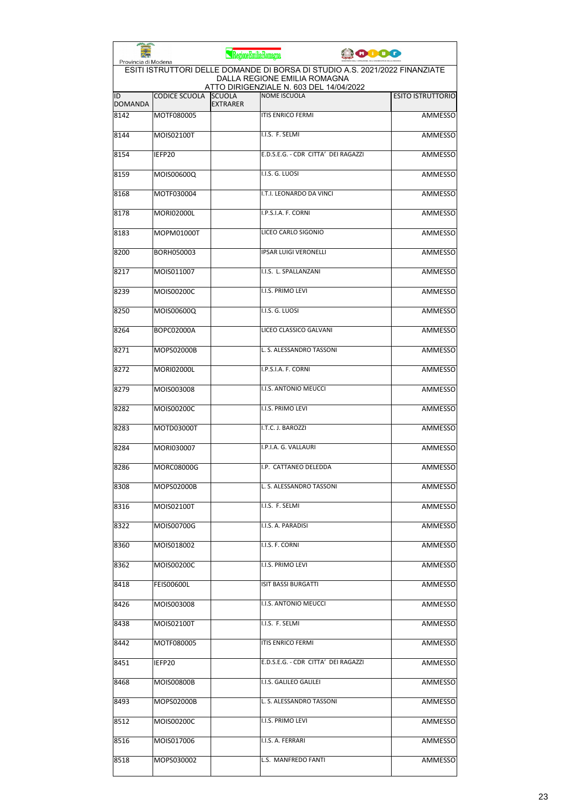| Provincia di Modena  |                      | RegioneEmiliaRomagna             |                              | <b>0000</b>                                                                                                                                            |                          |
|----------------------|----------------------|----------------------------------|------------------------------|--------------------------------------------------------------------------------------------------------------------------------------------------------|--------------------------|
|                      |                      |                                  |                              | ESITI ISTRUTTORI DELLE DOMANDE DI BORSA DI STUDIO A.S. 2021/2022 FINANZIATE<br>DALLA REGIONE EMILIA ROMAGNA<br>ATTO DIRIGENZIALE N. 603 DEL 14/04/2022 |                          |
| ID<br><b>DOMANDA</b> | <b>CODICE SCUOLA</b> | <b>SCUOLA</b><br><b>EXTRARER</b> | <b>NOME ISCUOLA</b>          |                                                                                                                                                        | <b>ESITO ISTRUTTORIO</b> |
| 8142                 | MOTF080005           |                                  | <b>ITIS ENRICO FERMI</b>     |                                                                                                                                                        | <b>AMMESSO</b>           |
| 8144                 | MOIS02100T           |                                  | I.I.S. F. SELMI              |                                                                                                                                                        | <b>AMMESSO</b>           |
| 8154                 | IEFP20               |                                  |                              | E.D.S.E.G. - CDR CITTA' DEI RAGAZZI                                                                                                                    | <b>AMMESSO</b>           |
| 8159                 | MOIS00600Q           |                                  | I.I.S. G. LUOSI              |                                                                                                                                                        | <b>AMMESSO</b>           |
| 8168                 | MOTF030004           |                                  |                              | I.T.I. LEONARDO DA VINCI                                                                                                                               | <b>AMMESSO</b>           |
| 8178                 | <b>MORI02000L</b>    |                                  | I.P.S.I.A. F. CORNI          |                                                                                                                                                        | <b>AMMESSO</b>           |
| 8183                 | MOPM01000T           |                                  | LICEO CARLO SIGONIO          |                                                                                                                                                        | <b>AMMESSO</b>           |
| 8200                 | BORH050003           |                                  | <b>IPSAR LUIGI VERONELLI</b> |                                                                                                                                                        | <b>AMMESSO</b>           |
| 8217                 | MOIS011007           |                                  | I.I.S. L. SPALLANZANI        |                                                                                                                                                        | <b>AMMESSO</b>           |
| 8239                 | MOIS00200C           |                                  | I.I.S. PRIMO LEVI            |                                                                                                                                                        | AMMESSO                  |
| 8250                 | MOIS00600Q           |                                  | I.I.S. G. LUOSI              |                                                                                                                                                        | <b>AMMESSO</b>           |
| 8264                 | BOPC02000A           |                                  |                              | LICEO CLASSICO GALVANI                                                                                                                                 | <b>AMMESSO</b>           |
| 8271                 | MOPS02000B           |                                  |                              | L. S. ALESSANDRO TASSONI                                                                                                                               | <b>AMMESSO</b>           |
| 8272                 | <b>MORI02000L</b>    |                                  | I.P.S.I.A. F. CORNI          |                                                                                                                                                        | <b>AMMESSO</b>           |
| 8279                 | MOIS003008           |                                  | I.I.S. ANTONIO MEUCCI        |                                                                                                                                                        | <b>AMMESSO</b>           |
| 8282                 | MOIS00200C           |                                  | I.I.S. PRIMO LEVI            |                                                                                                                                                        | <b>AMMESSO</b>           |
| 8283                 | MOTD03000T           |                                  | I.T.C. J. BAROZZI            |                                                                                                                                                        | <b>AMMESSO</b>           |
| 8284                 | MORI030007           |                                  | I.P.I.A. G. VALLAURI         |                                                                                                                                                        | <b>AMMESSO</b>           |
| 8286                 | <b>MORC08000G</b>    |                                  |                              | I.P. CATTANEO DELEDDA                                                                                                                                  | <b>AMMESSO</b>           |
| 8308                 | MOPS02000B           |                                  |                              | L. S. ALESSANDRO TASSONI                                                                                                                               | AMMESSO                  |
| 8316                 | MOIS02100T           |                                  | I.I.S. F. SELMI              |                                                                                                                                                        | AMMESSO                  |
| 8322                 | MOIS00700G           |                                  | I.I.S. A. PARADISI           |                                                                                                                                                        | AMMESSO                  |
| 8360                 | MOIS018002           |                                  | I.I.S. F. CORNI              |                                                                                                                                                        | <b>AMMESSO</b>           |
| 8362                 | MOIS00200C           |                                  | I.I.S. PRIMO LEVI            |                                                                                                                                                        | AMMESSO                  |
| 8418                 | FEIS00600L           |                                  | <b>ISIT BASSI BURGATTI</b>   |                                                                                                                                                        | AMMESSO                  |
| 8426                 | MOIS003008           |                                  | I.I.S. ANTONIO MEUCCI        |                                                                                                                                                        | AMMESSO                  |
| 8438                 | MOIS02100T           |                                  | I.I.S. F. SELMI              |                                                                                                                                                        | AMMESSO                  |
| 8442                 | MOTF080005           |                                  | <b>ITIS ENRICO FERMI</b>     |                                                                                                                                                        | <b>AMMESSO</b>           |
| 8451                 | IEFP20               |                                  |                              | E.D.S.E.G. - CDR CITTA' DEI RAGAZZI                                                                                                                    | AMMESSO                  |
| 8468                 | MOIS00800B           |                                  | I.I.S. GALILEO GALILEI       |                                                                                                                                                        | AMMESSO                  |
| 8493                 | MOPS02000B           |                                  |                              | L. S. ALESSANDRO TASSONI                                                                                                                               | AMMESSO                  |
| 8512                 | MOIS00200C           |                                  | I.I.S. PRIMO LEVI            |                                                                                                                                                        | AMMESSO                  |
| 8516                 | MOIS017006           |                                  | I.I.S. A. FERRARI            |                                                                                                                                                        | AMMESSO                  |
| 8518                 | MOPS030002           |                                  | L.S. MANFREDO FANTI          |                                                                                                                                                        | AMMESSO                  |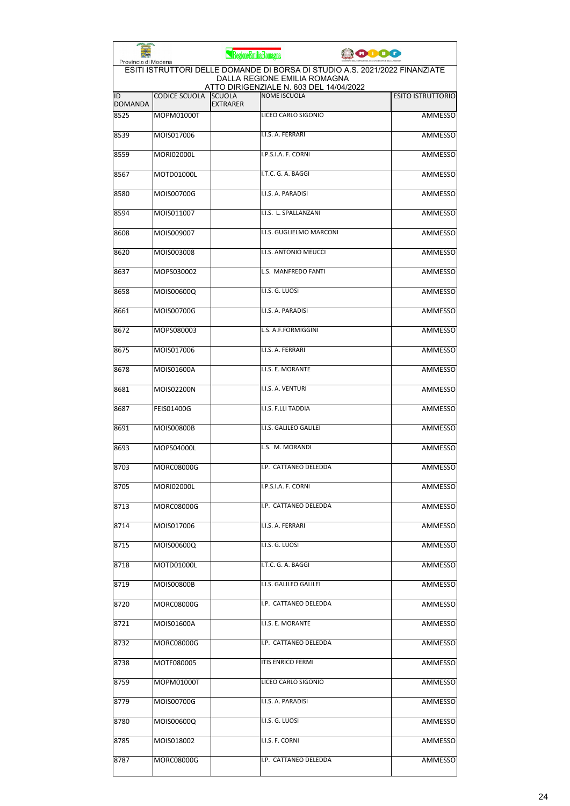| Provincia di Modena  |                      | RegioneEmiliaRomagna             |                                                                                                             | 10000 |                          |
|----------------------|----------------------|----------------------------------|-------------------------------------------------------------------------------------------------------------|-------|--------------------------|
|                      |                      |                                  | ESITI ISTRUTTORI DELLE DOMANDE DI BORSA DI STUDIO A.S. 2021/2022 FINANZIATE<br>DALLA REGIONE EMILIA ROMAGNA |       |                          |
| ID<br><b>DOMANDA</b> | <b>CODICE SCUOLA</b> | <b>SCUOLA</b><br><b>EXTRARER</b> | ATTO DIRIGENZIALE N. 603 DEL 14/04/2022<br><b>NOME ISCUOLA</b>                                              |       | <b>ESITO ISTRUTTORIO</b> |
| 8525                 | MOPM01000T           |                                  | LICEO CARLO SIGONIO                                                                                         |       | <b>AMMESSO</b>           |
| 8539                 | MOIS017006           |                                  | I.I.S. A. FERRARI                                                                                           |       | <b>AMMESSO</b>           |
| 8559                 | <b>MORI02000L</b>    |                                  | I.P.S.I.A. F. CORNI                                                                                         |       | AMMESSO                  |
| 8567                 | MOTD01000L           |                                  | I.T.C. G. A. BAGGI                                                                                          |       | AMMESSO                  |
| 8580                 | MOIS00700G           |                                  | I.I.S. A. PARADISI                                                                                          |       | AMMESSO                  |
| 8594                 | MOIS011007           |                                  | I.I.S. L. SPALLANZANI                                                                                       |       | <b>AMMESSO</b>           |
| 8608                 | MOIS009007           |                                  | I.I.S. GUGLIELMO MARCONI                                                                                    |       | <b>AMMESSO</b>           |
| 8620                 | MOIS003008           |                                  | I.I.S. ANTONIO MEUCCI                                                                                       |       | AMMESSO                  |
| 8637                 | MOPS030002           |                                  | L.S. MANFREDO FANTI                                                                                         |       | <b>AMMESSO</b>           |
| 8658                 | MOIS00600Q           |                                  | I.I.S. G. LUOSI                                                                                             |       | <b>AMMESSO</b>           |
| 8661                 | MOIS00700G           |                                  | I.I.S. A. PARADISI                                                                                          |       | AMMESSO                  |
| 8672                 | MOPS080003           |                                  | L.S. A.F.FORMIGGINI                                                                                         |       | <b>AMMESSO</b>           |
| 8675                 | MOIS017006           |                                  | I.I.S. A. FERRARI                                                                                           |       | <b>AMMESSO</b>           |
| 8678                 | MOIS01600A           |                                  | I.I.S. E. MORANTE                                                                                           |       | AMMESSO                  |
| 8681                 | MOIS02200N           |                                  | I.I.S. A. VENTURI                                                                                           |       | AMMESSO                  |
| 8687                 | <b>FEIS01400G</b>    |                                  | I.I.S. F.LLI TADDIA                                                                                         |       | AMMESSO                  |
| 8691                 | <b>MOIS00800B</b>    |                                  | I.I.S. GALILEO GALILEI                                                                                      |       | AMMESSO                  |
| 8693                 | MOPS04000L           |                                  | L.S. M. MORANDI                                                                                             |       | AMMESSO                  |
| 8703                 | MORC08000G           |                                  | I.P. CATTANEO DELEDDA                                                                                       |       | AMMESSO                  |
| 8705                 | MORI02000L           |                                  | I.P.S.I.A. F. CORNI                                                                                         |       | AMMESSO                  |
| 8713                 | MORC08000G           |                                  | I.P. CATTANEO DELEDDA                                                                                       |       | AMMESSO                  |
| 8714                 | MOIS017006           |                                  | I.I.S. A. FERRARI                                                                                           |       | <b>AMMESSO</b>           |
| 8715                 | MOIS00600Q           |                                  | I.I.S. G. LUOSI                                                                                             |       | AMMESSO                  |
| 8718                 | MOTD01000L           |                                  | I.T.C. G. A. BAGGI                                                                                          |       | <b>AMMESSO</b>           |
| 8719                 | MOIS00800B           |                                  | I.I.S. GALILEO GALILEI                                                                                      |       | <b>AMMESSO</b>           |
| 8720                 | MORC08000G           |                                  | I.P. CATTANEO DELEDDA                                                                                       |       | AMMESSO                  |
| 8721                 | MOIS01600A           |                                  | I.I.S. E. MORANTE                                                                                           |       | AMMESSO                  |
| 8732                 | MORC08000G           |                                  | I.P. CATTANEO DELEDDA                                                                                       |       | AMMESSO                  |
| 8738                 | MOTF080005           |                                  | <b>ITIS ENRICO FERMI</b>                                                                                    |       | AMMESSO                  |
| 8759                 | MOPM01000T           |                                  | LICEO CARLO SIGONIO                                                                                         |       | AMMESSO                  |
| 8779                 | MOIS00700G           |                                  | I.I.S. A. PARADISI                                                                                          |       | AMMESSO                  |
| 8780                 | MOIS00600Q           |                                  | I.I.S. G. LUOSI                                                                                             |       | AMMESSO                  |
| 8785                 | MOIS018002           |                                  | I.I.S. F. CORNI                                                                                             |       | AMMESSO                  |
| 8787                 | MORC08000G           |                                  | I.P. CATTANEO DELEDDA                                                                                       |       | <b>AMMESSO</b>           |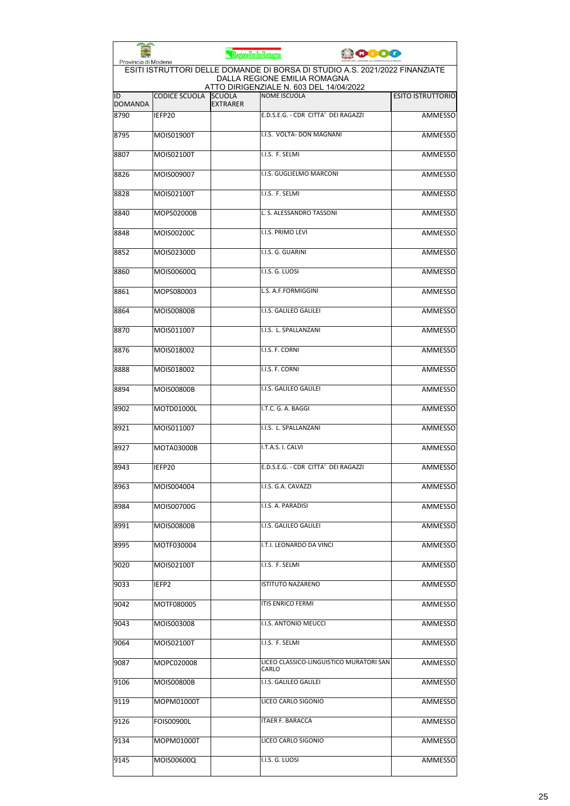| Provincia di Modena  |                      | RegioneEmiliaRomagna             | <b>COOO</b>                                                                                                                                            |                          |
|----------------------|----------------------|----------------------------------|--------------------------------------------------------------------------------------------------------------------------------------------------------|--------------------------|
|                      |                      |                                  | ESITI ISTRUTTORI DELLE DOMANDE DI BORSA DI STUDIO A.S. 2021/2022 FINANZIATE<br>DALLA REGIONE EMILIA ROMAGNA<br>ATTO DIRIGENZIALE N. 603 DEL 14/04/2022 |                          |
| ID<br><b>DOMANDA</b> | <b>CODICE SCUOLA</b> | <b>SCUOLA</b><br><b>EXTRARER</b> | <b>NOME ISCUOLA</b>                                                                                                                                    | <b>ESITO ISTRUTTORIO</b> |
| 8790                 | IEFP20               |                                  | E.D.S.E.G. - CDR CITTA' DEI RAGAZZI                                                                                                                    | <b>AMMESSO</b>           |
| 8795                 | MOIS01900T           |                                  | I.I.S. VOLTA- DON MAGNANI                                                                                                                              | AMMESSO                  |
| 8807                 | MOIS02100T           |                                  | I.I.S. F. SELMI                                                                                                                                        | AMMESSO                  |
| 8826                 | MOIS009007           |                                  | I.I.S. GUGLIELMO MARCONI                                                                                                                               | AMMESSO                  |
| 8828                 | MOIS02100T           |                                  | I.I.S. F. SELMI                                                                                                                                        | <b>AMMESSO</b>           |
| 8840                 | MOPS02000B           |                                  | L. S. ALESSANDRO TASSONI                                                                                                                               | <b>AMMESSO</b>           |
| 8848                 | MOIS00200C           |                                  | I.I.S. PRIMO LEVI                                                                                                                                      | AMMESSO                  |
| 8852                 | MOIS02300D           |                                  | I.I.S. G. GUARINI                                                                                                                                      | <b>AMMESSO</b>           |
| 8860                 | MOIS00600Q           |                                  | I.I.S. G. LUOSI                                                                                                                                        | <b>AMMESSO</b>           |
| 8861                 | MOPS080003           |                                  | L.S. A.F.FORMIGGINI                                                                                                                                    | <b>AMMESSO</b>           |
| 8864                 | <b>MOIS00800B</b>    |                                  | I.I.S. GALILEO GALILEI                                                                                                                                 | AMMESSO                  |
| 8870                 | MOIS011007           |                                  | I.I.S. L. SPALLANZANI                                                                                                                                  | AMMESSO                  |
| 8876                 | MOIS018002           |                                  | I.I.S. F. CORNI                                                                                                                                        | <b>AMMESSO</b>           |
| 8888                 | MOIS018002           |                                  | I.I.S. F. CORNI                                                                                                                                        | <b>AMMESSO</b>           |
| 8894                 | <b>MOIS00800B</b>    |                                  | I.I.S. GALILEO GALILEI                                                                                                                                 | AMMESSO                  |
| 8902                 | MOTD01000L           |                                  | I.T.C. G. A. BAGGI                                                                                                                                     | <b>AMMESSO</b>           |
| 8921                 | MOIS011007           |                                  | I.I.S. L. SPALLANZANI                                                                                                                                  | AMMESSO                  |
| 8927                 | MOTA03000B           |                                  | I.T.A.S. I. CALVI                                                                                                                                      | AMMESSO                  |
| 8943                 | IEFP20               |                                  | E.D.S.E.G. - CDR CITTA' DEI RAGAZZI                                                                                                                    | AMMESSO                  |
| 8963                 | MOIS004004           |                                  | I.I.S. G.A. CAVAZZI                                                                                                                                    | AMMESSO                  |
| 8984                 | MOIS00700G           |                                  | I.I.S. A. PARADISI                                                                                                                                     | <b>AMMESSO</b>           |
| 8991                 | <b>MOIS00800B</b>    |                                  | I.I.S. GALILEO GALILEI                                                                                                                                 | <b>AMMESSO</b>           |
| 8995                 | MOTF030004           |                                  | I.T.I. LEONARDO DA VINCI                                                                                                                               | AMMESSO                  |
| 9020                 | MOIS02100T           |                                  | I.I.S. F. SELMI                                                                                                                                        | <b>AMMESSO</b>           |
| 9033                 | IEFP2                |                                  | ISTITUTO NAZARENO                                                                                                                                      | AMMESSO                  |
| 9042                 | MOTF080005           |                                  | ITIS ENRICO FERMI                                                                                                                                      | AMMESSO                  |
| 9043                 | MOIS003008           |                                  | I.I.S. ANTONIO MEUCCI                                                                                                                                  | AMMESSO                  |
| 9064                 | MOIS02100T           |                                  | I.I.S. F. SELMI                                                                                                                                        | AMMESSO                  |
| 9087                 | MOPC020008           |                                  | LICEO CLASSICO-LINGUISTICO MURATORI SAN<br>CARLO                                                                                                       | <b>AMMESSO</b>           |
| 9106                 | <b>MOIS00800B</b>    |                                  | I.I.S. GALILEO GALILEI                                                                                                                                 | AMMESSO                  |
| 9119                 | MOPM01000T           |                                  | LICEO CARLO SIGONIO                                                                                                                                    | AMMESSO                  |
| 9126                 | <b>FOIS00900L</b>    |                                  | ITAER F. BARACCA                                                                                                                                       | AMMESSO                  |
| 9134                 | MOPM01000T           |                                  | LICEO CARLO SIGONIO                                                                                                                                    | AMMESSO                  |
| 9145                 | MOIS00600Q           |                                  | I.I.S. G. LUOSI                                                                                                                                        | AMMESSO                  |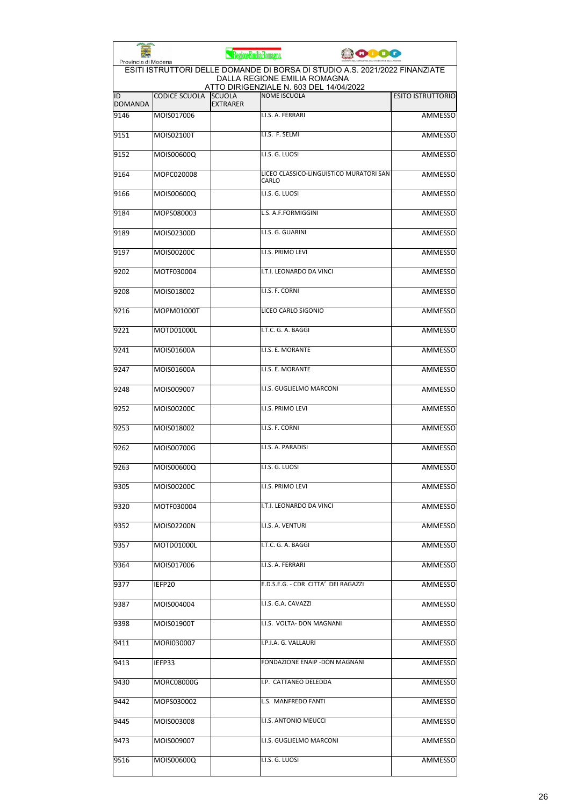| Provincia di Modena  |                      | RegioneEmiliaRomagna             | 0000                                                                                                                                                   |                          |
|----------------------|----------------------|----------------------------------|--------------------------------------------------------------------------------------------------------------------------------------------------------|--------------------------|
|                      |                      |                                  | ESITI ISTRUTTORI DELLE DOMANDE DI BORSA DI STUDIO A.S. 2021/2022 FINANZIATE<br>DALLA REGIONE EMILIA ROMAGNA<br>ATTO DIRIGENZIALE N. 603 DEL 14/04/2022 |                          |
| ID<br><b>DOMANDA</b> | <b>CODICE SCUOLA</b> | <b>SCUOLA</b><br><b>EXTRARER</b> | <b>NOME ISCUOLA</b>                                                                                                                                    | <b>ESITO ISTRUTTORIO</b> |
| 9146                 | MOIS017006           |                                  | I.I.S. A. FERRARI                                                                                                                                      | <b>AMMESSO</b>           |
| 9151                 | MOIS02100T           |                                  | I.I.S. F. SELMI                                                                                                                                        | <b>AMMESSO</b>           |
| 9152                 | MOIS00600Q           |                                  | I.I.S. G. LUOSI                                                                                                                                        | <b>AMMESSO</b>           |
| 9164                 | MOPC020008           |                                  | LICEO CLASSICO-LINGUISTICO MURATORI SAN<br>CARLO                                                                                                       | AMMESSO                  |
| 9166                 | MOIS00600Q           |                                  | I.I.S. G. LUOSI                                                                                                                                        | <b>AMMESSO</b>           |
| 9184                 | MOPS080003           |                                  | L.S. A.F.FORMIGGINI                                                                                                                                    | AMMESSO                  |
| 9189                 | MOIS02300D           |                                  | I.I.S. G. GUARINI                                                                                                                                      | AMMESSO                  |
| 9197                 | MOIS00200C           |                                  | I.I.S. PRIMO LEVI                                                                                                                                      | <b>AMMESSO</b>           |
| 9202                 | MOTF030004           |                                  | I.T.I. LEONARDO DA VINCI                                                                                                                               | AMMESSO                  |
| 9208                 | MOIS018002           |                                  | I.I.S. F. CORNI                                                                                                                                        | AMMESSO                  |
| 9216                 | MOPM01000T           |                                  | LICEO CARLO SIGONIO                                                                                                                                    | AMMESSO                  |
| 9221                 | MOTD01000L           |                                  | I.T.C. G. A. BAGGI                                                                                                                                     | <b>AMMESSO</b>           |
| 9241                 | MOIS01600A           |                                  | I.I.S. E. MORANTE                                                                                                                                      | <b>AMMESSO</b>           |
| 9247                 | MOIS01600A           |                                  | I.I.S. E. MORANTE                                                                                                                                      | AMMESSO                  |
| 9248                 | MOIS009007           |                                  | I.I.S. GUGLIELMO MARCONI                                                                                                                               | AMMESSO                  |
| 9252                 | MOIS00200C           |                                  | <b>I.I.S. PRIMO LEVI</b>                                                                                                                               | <b>AMMESSO</b>           |
| 9253                 | MOIS018002           |                                  | I.I.S. F. CORNI                                                                                                                                        | AMMESSO                  |
| 9262                 | MOIS00700G           |                                  | I.I.S. A. PARADISI                                                                                                                                     | AMMESSO                  |
| 9263                 | MOIS00600Q           |                                  | I.I.S. G. LUOSI                                                                                                                                        | <b>AMMESSO</b>           |
| 9305                 | MOIS00200C           |                                  | I.I.S. PRIMO LEVI                                                                                                                                      | AMMESSO                  |
| 9320                 | MOTF030004           |                                  | I.T.I. LEONARDO DA VINCI                                                                                                                               | AMMESSO                  |
| 9352                 | MOIS02200N           |                                  | I.I.S. A. VENTURI                                                                                                                                      | AMMESSO                  |
| 9357                 | MOTD01000L           |                                  | I.T.C. G. A. BAGGI                                                                                                                                     | <b>AMMESSO</b>           |
| 9364                 | MOIS017006           |                                  | I.I.S. A. FERRARI                                                                                                                                      | AMMESSO                  |
| 9377                 | IEFP20               |                                  | E.D.S.E.G. - CDR CITTA' DEI RAGAZZI                                                                                                                    | AMMESSO                  |
| 9387                 | MOIS004004           |                                  | I.I.S. G.A. CAVAZZI                                                                                                                                    | AMMESSO                  |
| 9398                 | MOIS01900T           |                                  | I.I.S. VOLTA- DON MAGNANI                                                                                                                              | AMMESSO                  |
| 9411                 | MORI030007           |                                  | I.P.I.A. G. VALLAURI                                                                                                                                   | AMMESSO                  |
| 9413                 | IEFP33               |                                  | FONDAZIONE ENAIP -DON MAGNANI                                                                                                                          | <b>AMMESSO</b>           |
| 9430                 | MORC08000G           |                                  | I.P. CATTANEO DELEDDA                                                                                                                                  | AMMESSO                  |
| 9442                 | MOPS030002           |                                  | L.S. MANFREDO FANTI                                                                                                                                    | AMMESSO                  |
| 9445                 | MOIS003008           |                                  | I.I.S. ANTONIO MEUCCI                                                                                                                                  | AMMESSO                  |
| 9473                 | MOIS009007           |                                  | I.I.S. GUGLIELMO MARCONI                                                                                                                               | AMMESSO                  |
| 9516                 | MOIS00600Q           |                                  | I.I.S. G. LUOSI                                                                                                                                        | AMMESSO                  |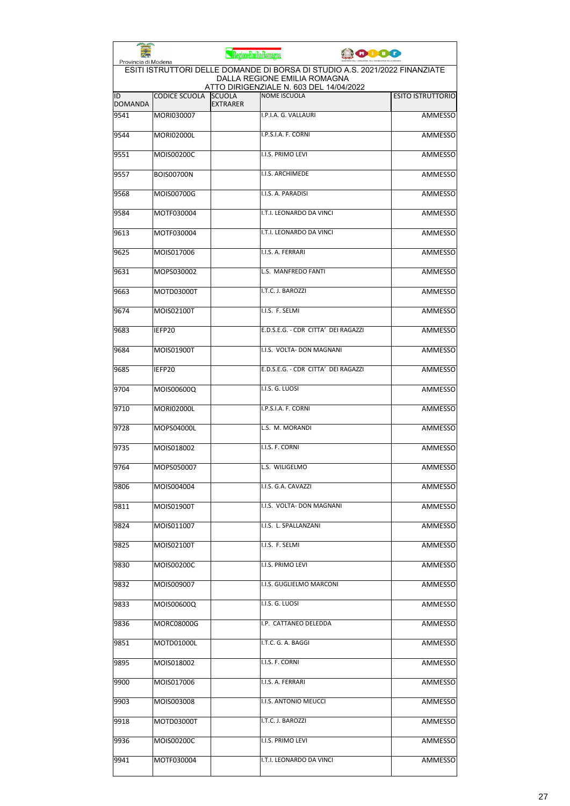|                      |                      | RegioneEmiliaRomagna             |                                                                                                                                                        | ooog |                          |
|----------------------|----------------------|----------------------------------|--------------------------------------------------------------------------------------------------------------------------------------------------------|------|--------------------------|
| Provincia di Modena  |                      |                                  | ESITI ISTRUTTORI DELLE DOMANDE DI BORSA DI STUDIO A.S. 2021/2022 FINANZIATE<br>DALLA REGIONE EMILIA ROMAGNA<br>ATTO DIRIGENZIALE N. 603 DEL 14/04/2022 |      |                          |
| ID<br><b>DOMANDA</b> | <b>CODICE SCUOLA</b> | <b>SCUOLA</b><br><b>EXTRARER</b> | <b>NOME ISCUOLA</b>                                                                                                                                    |      | <b>ESITO ISTRUTTORIO</b> |
| 9541                 | MORI030007           |                                  | I.P.I.A. G. VALLAURI                                                                                                                                   |      | <b>AMMESSO</b>           |
| 9544                 | <b>MORI02000L</b>    |                                  | I.P.S.I.A. F. CORNI                                                                                                                                    |      | <b>AMMESSO</b>           |
| 9551                 | MOIS00200C           |                                  | I.I.S. PRIMO LEVI                                                                                                                                      |      | <b>AMMESSO</b>           |
| 9557                 | <b>BOIS00700N</b>    |                                  | I.I.S. ARCHIMEDE                                                                                                                                       |      | <b>AMMESSO</b>           |
| 9568                 | MOIS00700G           |                                  | I.I.S. A. PARADISI                                                                                                                                     |      | <b>AMMESSO</b>           |
| 9584                 | MOTF030004           |                                  | I.T.I. LEONARDO DA VINCI                                                                                                                               |      | <b>AMMESSO</b>           |
| 9613                 | MOTF030004           |                                  | I.T.I. LEONARDO DA VINCI                                                                                                                               |      | <b>AMMESSO</b>           |
| 9625                 | MOIS017006           |                                  | I.I.S. A. FERRARI                                                                                                                                      |      | <b>AMMESSO</b>           |
| 9631                 | MOPS030002           |                                  | L.S. MANFREDO FANTI                                                                                                                                    |      | <b>AMMESSO</b>           |
| 9663                 | MOTD03000T           |                                  | I.T.C. J. BAROZZI                                                                                                                                      |      | <b>AMMESSO</b>           |
| 9674                 | MOIS02100T           |                                  | I.I.S. F. SELMI                                                                                                                                        |      | <b>AMMESSO</b>           |
| 9683                 | IEFP20               |                                  | E.D.S.E.G. - CDR CITTA' DEI RAGAZZI                                                                                                                    |      | <b>AMMESSO</b>           |
| 9684                 | MOIS01900T           |                                  | I.I.S. VOLTA- DON MAGNANI                                                                                                                              |      | <b>AMMESSO</b>           |
| 9685                 | IEFP20               |                                  | E.D.S.E.G. - CDR CITTA' DEI RAGAZZI                                                                                                                    |      | <b>AMMESSO</b>           |
| 9704                 | MOIS00600Q           |                                  | I.I.S. G. LUOSI                                                                                                                                        |      | <b>AMMESSO</b>           |
| 9710                 | <b>MORI02000L</b>    |                                  | I.P.S.I.A. F. CORNI                                                                                                                                    |      | <b>AMMESSO</b>           |
| 9728                 | MOPS04000L           |                                  | L.S. M. MORANDI                                                                                                                                        |      | AMMESSO                  |
| 9735                 | MOIS018002           |                                  | I.I.S. F. CORNI                                                                                                                                        |      | AMMESSO                  |
| 9764                 | MOPS050007           |                                  | L.S. WILIGELMO                                                                                                                                         |      | <b>AMMESSO</b>           |
| 9806                 | MOIS004004           |                                  | I.I.S. G.A. CAVAZZI                                                                                                                                    |      | AMMESSO                  |
| 9811                 | MOIS01900T           |                                  | I.I.S. VOLTA- DON MAGNANI                                                                                                                              |      | AMMESSO                  |
| 9824                 | MOIS011007           |                                  | I.I.S. L. SPALLANZANI                                                                                                                                  |      | <b>AMMESSO</b>           |
| 9825                 | MOIS02100T           |                                  | I.I.S. F. SELMI                                                                                                                                        |      | AMMESSO                  |
| 9830                 | MOIS00200C           |                                  | I.I.S. PRIMO LEVI                                                                                                                                      |      | AMMESSO                  |
| 9832                 | MOIS009007           |                                  | I.I.S. GUGLIELMO MARCONI                                                                                                                               |      | AMMESSO                  |
| 9833                 | MOIS00600Q           |                                  | I.I.S. G. LUOSI                                                                                                                                        |      | AMMESSO                  |
| 9836                 | MORC08000G           |                                  | I.P. CATTANEO DELEDDA                                                                                                                                  |      | <b>AMMESSO</b>           |
| 9851                 | MOTD01000L           |                                  | I.T.C. G. A. BAGGI                                                                                                                                     |      | AMMESSO                  |
| 9895                 | MOIS018002           |                                  | I.I.S. F. CORNI                                                                                                                                        |      | AMMESSO                  |
| 9900                 | MOIS017006           |                                  | I.I.S. A. FERRARI                                                                                                                                      |      | AMMESSO                  |
| 9903                 | MOIS003008           |                                  | I.I.S. ANTONIO MEUCCI                                                                                                                                  |      | AMMESSO                  |
| 9918                 | MOTD03000T           |                                  | I.T.C. J. BAROZZI                                                                                                                                      |      | <b>AMMESSO</b>           |
| 9936                 | MOIS00200C           |                                  | I.I.S. PRIMO LEVI                                                                                                                                      |      | AMMESSO                  |
| 9941                 | MOTF030004           |                                  | I.T.I. LEONARDO DA VINCI                                                                                                                               |      | AMMESSO                  |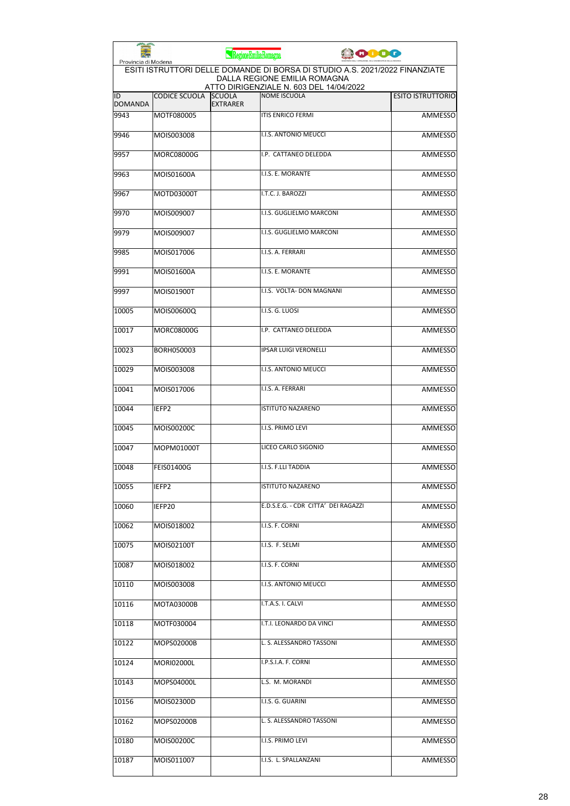|                      |                      | RegioneEmilia-Romagna            |                                                                                                                                                        | ooog |                          |
|----------------------|----------------------|----------------------------------|--------------------------------------------------------------------------------------------------------------------------------------------------------|------|--------------------------|
| Provincia di Modena  |                      |                                  | ESITI ISTRUTTORI DELLE DOMANDE DI BORSA DI STUDIO A.S. 2021/2022 FINANZIATE<br>DALLA REGIONE EMILIA ROMAGNA<br>ATTO DIRIGENZIALE N. 603 DEL 14/04/2022 |      |                          |
| ID<br><b>DOMANDA</b> | <b>CODICE SCUOLA</b> | <b>SCUOLA</b><br><b>EXTRARER</b> | <b>NOME ISCUOLA</b>                                                                                                                                    |      | <b>ESITO ISTRUTTORIO</b> |
| 9943                 | MOTF080005           |                                  | <b>ITIS ENRICO FERMI</b>                                                                                                                               |      | <b>AMMESSO</b>           |
| 9946                 | MOIS003008           |                                  | <b>I.I.S. ANTONIO MEUCCI</b>                                                                                                                           |      | <b>AMMESSO</b>           |
| 9957                 | <b>MORC08000G</b>    |                                  | I.P. CATTANEO DELEDDA                                                                                                                                  |      | <b>AMMESSO</b>           |
| 9963                 | MOIS01600A           |                                  | I.I.S. E. MORANTE                                                                                                                                      |      | <b>AMMESSO</b>           |
| 9967                 | MOTD03000T           |                                  | I.T.C. J. BAROZZI                                                                                                                                      |      | <b>AMMESSO</b>           |
| 9970                 | MOIS009007           |                                  | I.I.S. GUGLIELMO MARCONI                                                                                                                               |      | AMMESSO                  |
| 9979                 | MOIS009007           |                                  | I.I.S. GUGLIELMO MARCONI                                                                                                                               |      | <b>AMMESSO</b>           |
| 9985                 | MOIS017006           |                                  | I.I.S. A. FERRARI                                                                                                                                      |      | AMMESSO                  |
| 9991                 | MOIS01600A           |                                  | I.I.S. E. MORANTE                                                                                                                                      |      | <b>AMMESSO</b>           |
| 9997                 | MOIS01900T           |                                  | I.I.S. VOLTA- DON MAGNANI                                                                                                                              |      | AMMESSO                  |
| 10005                | MOIS00600Q           |                                  | I.I.S. G. LUOSI                                                                                                                                        |      | <b>AMMESSO</b>           |
| 10017                | MORC08000G           |                                  | I.P. CATTANEO DELEDDA                                                                                                                                  |      | <b>AMMESSO</b>           |
| 10023                | BORH050003           |                                  | <b>IPSAR LUIGI VERONELLI</b>                                                                                                                           |      | AMMESSO                  |
| 10029                | MOIS003008           |                                  | I.I.S. ANTONIO MEUCCI                                                                                                                                  |      | <b>AMMESSO</b>           |
| 10041                | MOIS017006           |                                  | I.I.S. A. FERRARI                                                                                                                                      |      | AMMESSO                  |
| 10044                | IEFP <sub>2</sub>    |                                  | <b>ISTITUTO NAZARENO</b>                                                                                                                               |      | AMMESSO                  |
| 10045                | MOIS00200C           |                                  | I.I.S. PRIMO LEVI                                                                                                                                      |      | <b>AMMESSO</b>           |
| 10047                | MOPM01000T           |                                  | LICEO CARLO SIGONIO                                                                                                                                    |      | AMMESSO                  |
| 10048                | <b>FEIS01400G</b>    |                                  | I.I.S. F.LLI TADDIA                                                                                                                                    |      | <b>AMMESSO</b>           |
| 10055                | IEFP2                |                                  | <b>ISTITUTO NAZARENO</b>                                                                                                                               |      | AMMESSO                  |
| 10060                | IEFP20               |                                  | E.D.S.E.G. - CDR CITTA' DEI RAGAZZI                                                                                                                    |      | AMMESSO                  |
| 10062                | MOIS018002           |                                  | I.I.S. F. CORNI                                                                                                                                        |      | <b>AMMESSO</b>           |
| 10075                | MOIS02100T           |                                  | I.I.S. F. SELMI                                                                                                                                        |      | <b>AMMESSO</b>           |
| 10087                | MOIS018002           |                                  | I.I.S. F. CORNI                                                                                                                                        |      | <b>AMMESSO</b>           |
| 10110                | MOIS003008           |                                  | I.I.S. ANTONIO MEUCCI                                                                                                                                  |      | AMMESSO                  |
| 10116                | MOTA03000B           |                                  | I.T.A.S. I. CALVI                                                                                                                                      |      | AMMESSO                  |
| 10118                | MOTF030004           |                                  | I.T.I. LEONARDO DA VINCI                                                                                                                               |      | <b>AMMESSO</b>           |
| 10122                | MOPS02000B           |                                  | L. S. ALESSANDRO TASSONI                                                                                                                               |      | AMMESSO                  |
| 10124                | MORI02000L           |                                  | I.P.S.I.A. F. CORNI                                                                                                                                    |      | AMMESSO                  |
| 10143                | MOPS04000L           |                                  | L.S. M. MORANDI                                                                                                                                        |      | AMMESSO                  |
| 10156                | MOIS02300D           |                                  | I.I.S. G. GUARINI                                                                                                                                      |      | AMMESSO                  |
| 10162                | MOPS02000B           |                                  | L. S. ALESSANDRO TASSONI                                                                                                                               |      | <b>AMMESSO</b>           |
| 10180                | MOIS00200C           |                                  | I.I.S. PRIMO LEVI                                                                                                                                      |      | AMMESSO                  |
| 10187                | MOIS011007           |                                  | I.I.S. L. SPALLANZANI                                                                                                                                  |      | AMMESSO                  |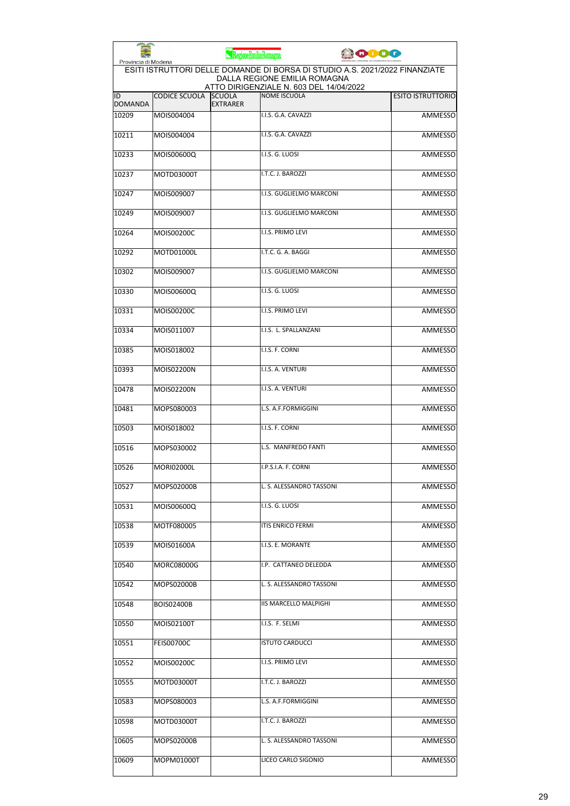| Provincia di Modena  |                      | RegioneEmiliaRomagna             |                                                                                                                                                        | 0000 |                          |
|----------------------|----------------------|----------------------------------|--------------------------------------------------------------------------------------------------------------------------------------------------------|------|--------------------------|
|                      |                      |                                  | ESITI ISTRUTTORI DELLE DOMANDE DI BORSA DI STUDIO A.S. 2021/2022 FINANZIATE<br>DALLA REGIONE EMILIA ROMAGNA<br>ATTO DIRIGENZIALE N. 603 DEL 14/04/2022 |      |                          |
| ID<br><b>DOMANDA</b> | <b>CODICE SCUOLA</b> | <b>SCUOLA</b><br><b>EXTRARER</b> | <b>NOME ISCUOLA</b>                                                                                                                                    |      | <b>ESITO ISTRUTTORIO</b> |
| 10209                | MOIS004004           |                                  | I.I.S. G.A. CAVAZZI                                                                                                                                    |      | <b>AMMESSO</b>           |
| 10211                | MOIS004004           |                                  | I.I.S. G.A. CAVAZZI                                                                                                                                    |      | <b>AMMESSO</b>           |
| 10233                | MOIS00600Q           |                                  | I.I.S. G. LUOSI                                                                                                                                        |      | AMMESSO                  |
| 10237                | MOTD03000T           |                                  | I.T.C. J. BAROZZI                                                                                                                                      |      | <b>AMMESSO</b>           |
| 10247                | MOIS009007           |                                  | I.I.S. GUGLIELMO MARCONI                                                                                                                               |      | <b>AMMESSO</b>           |
| 10249                | MOIS009007           |                                  | I.I.S. GUGLIELMO MARCONI                                                                                                                               |      | AMMESSO                  |
| 10264                | MOIS00200C           |                                  | I.I.S. PRIMO LEVI                                                                                                                                      |      | <b>AMMESSO</b>           |
| 10292                | MOTD01000L           |                                  | I.T.C. G. A. BAGGI                                                                                                                                     |      | AMMESSO                  |
| 10302                | MOIS009007           |                                  | I.I.S. GUGLIELMO MARCONI                                                                                                                               |      | <b>AMMESSO</b>           |
| 10330                | MOIS00600Q           |                                  | I.I.S. G. LUOSI                                                                                                                                        |      | AMMESSO                  |
| 10331                | MOIS00200C           |                                  | <b>I.I.S. PRIMO LEVI</b>                                                                                                                               |      | <b>AMMESSO</b>           |
| 10334                | MOIS011007           |                                  | I.I.S. L. SPALLANZANI                                                                                                                                  |      | <b>AMMESSO</b>           |
| 10385                | MOIS018002           |                                  | I.I.S. F. CORNI                                                                                                                                        |      | <b>AMMESSO</b>           |
| 10393                | MOIS02200N           |                                  | I.I.S. A. VENTURI                                                                                                                                      |      | <b>AMMESSO</b>           |
| 10478                | MOIS02200N           |                                  | I.I.S. A. VENTURI                                                                                                                                      |      | AMMESSO                  |
| 10481                | MOPS080003           |                                  | L.S. A.F.FORMIGGINI                                                                                                                                    |      | <b>AMMESSO</b>           |
| 10503                | MOIS018002           |                                  | I.I.S. F. CORNI                                                                                                                                        |      | <b>AMMESSO</b>           |
| 10516                | MOPS030002           |                                  | L.S. MANFREDO FANTI                                                                                                                                    |      | AMMESSO                  |
| 10526                | MORI02000L           |                                  | I.P.S.I.A. F. CORNI                                                                                                                                    |      | <b>AMMESSO</b>           |
| 10527                | MOPS02000B           |                                  | L. S. ALESSANDRO TASSONI                                                                                                                               |      | AMMESSO                  |
| 10531                | MOIS00600Q           |                                  | I.I.S. G. LUOSI                                                                                                                                        |      | AMMESSO                  |
| 10538                | MOTF080005           |                                  | <b>ITIS ENRICO FERMI</b>                                                                                                                               |      | <b>AMMESSO</b>           |
| 10539                | MOIS01600A           |                                  | I.I.S. E. MORANTE                                                                                                                                      |      | AMMESSO                  |
| 10540                | MORC08000G           |                                  | I.P. CATTANEO DELEDDA                                                                                                                                  |      | <b>AMMESSO</b>           |
| 10542                | MOPS02000B           |                                  | L. S. ALESSANDRO TASSONI                                                                                                                               |      | AMMESSO                  |
| 10548                | <b>BOIS02400B</b>    |                                  | <b>IIS MARCELLO MALPIGHI</b>                                                                                                                           |      | AMMESSO                  |
| 10550                | MOIS02100T           |                                  | I.I.S. F. SELMI                                                                                                                                        |      | <b>AMMESSO</b>           |
| 10551                | <b>FEIS00700C</b>    |                                  | <b>ISTUTO CARDUCCI</b>                                                                                                                                 |      | AMMESSO                  |
| 10552                | MOIS00200C           |                                  | I.I.S. PRIMO LEVI                                                                                                                                      |      | AMMESSO                  |
| 10555                | MOTD03000T           |                                  | I.T.C. J. BAROZZI                                                                                                                                      |      | AMMESSO                  |
| 10583                | MOPS080003           |                                  | L.S. A.F.FORMIGGINI                                                                                                                                    |      | AMMESSO                  |
| 10598                | MOTD03000T           |                                  | I.T.C. J. BAROZZI                                                                                                                                      |      | <b>AMMESSO</b>           |
| 10605                | MOPS02000B           |                                  | L. S. ALESSANDRO TASSONI                                                                                                                               |      | AMMESSO                  |
| 10609                | MOPM01000T           |                                  | LICEO CARLO SIGONIO                                                                                                                                    |      | <b>AMMESSO</b>           |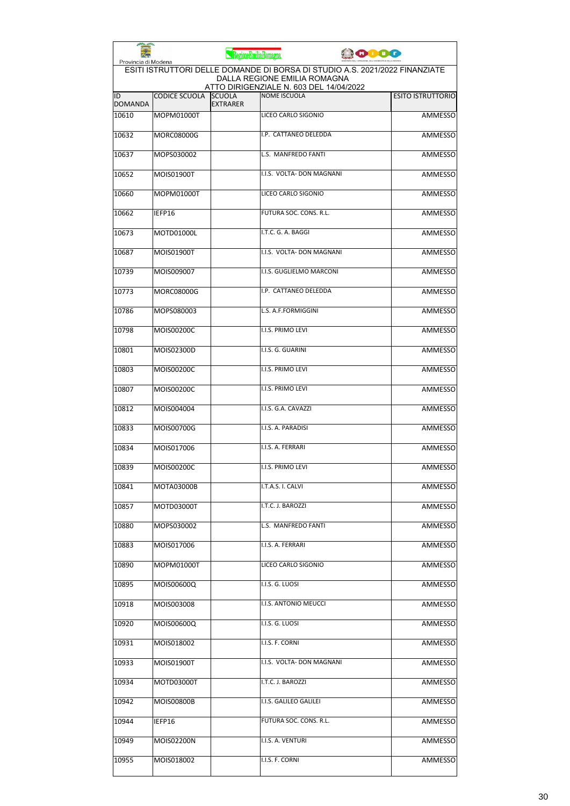| Provincia di Modena  |                      | RegioneEmiliaRomagna             |                                                                                                             | <b>POOO</b> |                          |
|----------------------|----------------------|----------------------------------|-------------------------------------------------------------------------------------------------------------|-------------|--------------------------|
|                      |                      |                                  | ESITI ISTRUTTORI DELLE DOMANDE DI BORSA DI STUDIO A.S. 2021/2022 FINANZIATE<br>DALLA REGIONE EMILIA ROMAGNA |             |                          |
| ID<br><b>DOMANDA</b> | <b>CODICE SCUOLA</b> | <b>SCUOLA</b><br><b>EXTRARER</b> | ATTO DIRIGENZIALE N. 603 DEL 14/04/2022<br><b>NOME ISCUOLA</b>                                              |             | <b>ESITO ISTRUTTORIO</b> |
| 10610                | MOPM01000T           |                                  | LICEO CARLO SIGONIO                                                                                         |             | <b>AMMESSO</b>           |
| 10632                | MORC08000G           |                                  | I.P. CATTANEO DELEDDA                                                                                       |             | <b>AMMESSO</b>           |
| 10637                | MOPS030002           |                                  | L.S. MANFREDO FANTI                                                                                         |             | AMMESSO                  |
| 10652                | MOIS01900T           |                                  | I.I.S. VOLTA- DON MAGNANI                                                                                   |             | AMMESSO                  |
| 10660                | MOPM01000T           |                                  | LICEO CARLO SIGONIO                                                                                         |             | AMMESSO                  |
| 10662                | IEFP16               |                                  | FUTURA SOC. CONS. R.L.                                                                                      |             | AMMESSO                  |
| 10673                | MOTD01000L           |                                  | I.T.C. G. A. BAGGI                                                                                          |             | <b>AMMESSO</b>           |
| 10687                | MOIS01900T           |                                  | I.I.S. VOLTA- DON MAGNANI                                                                                   |             | AMMESSO                  |
| 10739                | MOIS009007           |                                  | I.I.S. GUGLIELMO MARCONI                                                                                    |             | AMMESSO                  |
| 10773                | MORC08000G           |                                  | I.P. CATTANEO DELEDDA                                                                                       |             | AMMESSO                  |
| 10786                | MOPS080003           |                                  | L.S. A.F.FORMIGGINI                                                                                         |             | AMMESSO                  |
| 10798                | MOIS00200C           |                                  | I.I.S. PRIMO LEVI                                                                                           |             | <b>AMMESSO</b>           |
| 10801                | MOIS02300D           |                                  | I.I.S. G. GUARINI                                                                                           |             | AMMESSO                  |
| 10803                | MOIS00200C           |                                  | I.I.S. PRIMO LEVI                                                                                           |             | AMMESSO                  |
| 10807                | MOIS00200C           |                                  | I.I.S. PRIMO LEVI                                                                                           |             | AMMESSO                  |
| 10812                | MOIS004004           |                                  | I.I.S. G.A. CAVAZZI                                                                                         |             | AMMESSO                  |
| 10833                | MOIS00700G           |                                  | I.I.S. A. PARADISI                                                                                          |             | AMMESSO                  |
| 10834                | MOIS017006           |                                  | I.I.S. A. FERRARI                                                                                           |             | AMMESSO                  |
| 10839                | MOIS00200C           |                                  | I.I.S. PRIMO LEVI                                                                                           |             | AMMESSO                  |
| 10841                | MOTA03000B           |                                  | I.T.A.S. I. CALVI                                                                                           |             | AMMESSO                  |
| 10857                | MOTD03000T           |                                  | I.T.C. J. BAROZZI                                                                                           |             | <b>AMMESSO</b>           |
| 10880                | MOPS030002           |                                  | L.S. MANFREDO FANTI                                                                                         |             | AMMESSO                  |
| 10883                | MOIS017006           |                                  | I.I.S. A. FERRARI                                                                                           |             | AMMESSO                  |
| 10890                | MOPM01000T           |                                  | LICEO CARLO SIGONIO                                                                                         |             | <b>AMMESSO</b>           |
| 10895                | MOIS00600Q           |                                  | I.I.S. G. LUOSI                                                                                             |             | <b>AMMESSO</b>           |
| 10918                | MOIS003008           |                                  | I.I.S. ANTONIO MEUCCI                                                                                       |             | AMMESSO                  |
| 10920                | MOIS00600Q           |                                  | I.I.S. G. LUOSI                                                                                             |             | AMMESSO                  |
| 10931                | MOIS018002           |                                  | I.I.S. F. CORNI                                                                                             |             | AMMESSO                  |
| 10933                | MOIS01900T           |                                  | I.I.S. VOLTA- DON MAGNANI                                                                                   |             | AMMESSO                  |
| 10934                | MOTD03000T           |                                  | I.T.C. J. BAROZZI                                                                                           |             | AMMESSO                  |
| 10942                | MOIS00800B           |                                  | I.I.S. GALILEO GALILEI                                                                                      |             | AMMESSO                  |
| 10944                | IEFP16               |                                  | FUTURA SOC. CONS. R.L.                                                                                      |             | AMMESSO                  |
| 10949                | MOIS02200N           |                                  | I.I.S. A. VENTURI                                                                                           |             | AMMESSO                  |
| 10955                | MOIS018002           |                                  | I.I.S. F. CORNI                                                                                             |             | AMMESSO                  |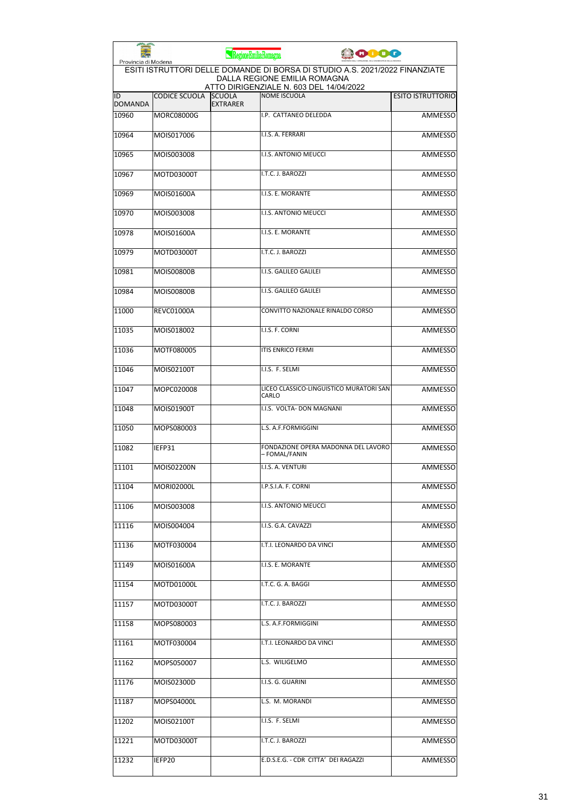| Provincia di Modena  |                      | RegioneEmiliaRomagna             |                                                                                                             | <b>CODO</b> |                          |
|----------------------|----------------------|----------------------------------|-------------------------------------------------------------------------------------------------------------|-------------|--------------------------|
|                      |                      |                                  | ESITI ISTRUTTORI DELLE DOMANDE DI BORSA DI STUDIO A.S. 2021/2022 FINANZIATE<br>DALLA REGIONE EMILIA ROMAGNA |             |                          |
| ID<br><b>DOMANDA</b> | <b>CODICE SCUOLA</b> | <b>SCUOLA</b><br><b>EXTRARER</b> | ATTO DIRIGENZIALE N. 603 DEL 14/04/2022<br><b>NOME ISCUOLA</b>                                              |             | <b>ESITO ISTRUTTORIO</b> |
| 10960                | <b>MORC08000G</b>    |                                  | I.P. CATTANEO DELEDDA                                                                                       |             | <b>AMMESSO</b>           |
| 10964                | MOIS017006           |                                  | I.I.S. A. FERRARI                                                                                           |             | <b>AMMESSO</b>           |
| 10965                | MOIS003008           |                                  | I.I.S. ANTONIO MEUCCI                                                                                       |             | AMMESSO                  |
| 10967                | MOTD03000T           |                                  | I.T.C. J. BAROZZI                                                                                           |             | AMMESSO                  |
| 10969                | MOIS01600A           |                                  | I.I.S. E. MORANTE                                                                                           |             | AMMESSO                  |
| 10970                | MOIS003008           |                                  | <b>I.I.S. ANTONIO MEUCCI</b>                                                                                |             | AMMESSO                  |
| 10978                | MOIS01600A           |                                  | I.I.S. E. MORANTE                                                                                           |             | AMMESSO                  |
| 10979                | MOTD03000T           |                                  | I.T.C. J. BAROZZI                                                                                           |             | AMMESSO                  |
| 10981                | <b>MOIS00800B</b>    |                                  | I.I.S. GALILEO GALILEI                                                                                      |             | <b>AMMESSO</b>           |
| 10984                | <b>MOIS00800B</b>    |                                  | I.I.S. GALILEO GALILEI                                                                                      |             | <b>AMMESSO</b>           |
| 11000                | <b>REVC01000A</b>    |                                  | CONVITTO NAZIONALE RINALDO CORSO                                                                            |             | AMMESSO                  |
| 11035                | MOIS018002           |                                  | I.I.S. F. CORNI                                                                                             |             | <b>AMMESSO</b>           |
| 11036                | MOTF080005           |                                  | <b>ITIS ENRICO FERMI</b>                                                                                    |             | <b>AMMESSO</b>           |
| 11046                | MOIS02100T           |                                  | I.I.S. F. SELMI                                                                                             |             | <b>AMMESSO</b>           |
| 11047                | MOPC020008           |                                  | LICEO CLASSICO-LINGUISTICO MURATORI SAN<br>CARLO                                                            |             | AMMESSO                  |
| 11048                | MOIS01900T           |                                  | I.I.S. VOLTA- DON MAGNANI                                                                                   |             | <b>AMMESSO</b>           |
| 11050                | MOPS080003           |                                  | L.S. A.F.FORMIGGINI                                                                                         |             | AMMESSO                  |
| 11082                | IEFP31               |                                  | FONDAZIONE OPERA MADONNA DEL LAVORO<br>- FOMAL/FANIN                                                        |             | AMMESSO                  |
| 11101                | <b>MOIS02200N</b>    |                                  | I.I.S. A. VENTURI                                                                                           |             | <b>AMMESSO</b>           |
| 11104                | MORI02000L           |                                  | I.P.S.I.A. F. CORNI                                                                                         |             | AMMESSO                  |
| 11106                | MOIS003008           |                                  | <b>I.I.S. ANTONIO MEUCCI</b>                                                                                |             | AMMESSO                  |
| 11116                | MOIS004004           |                                  | I.I.S. G.A. CAVAZZI                                                                                         |             | AMMESSO                  |
| 11136                | MOTF030004           |                                  | I.T.I. LEONARDO DA VINCI                                                                                    |             | AMMESSO                  |
| 11149                | MOIS01600A           |                                  | I.I.S. E. MORANTE                                                                                           |             | AMMESSO                  |
| 11154                | MOTD01000L           |                                  | I.T.C. G. A. BAGGI                                                                                          |             | <b>AMMESSO</b>           |
| 11157                | MOTD03000T           |                                  | I.T.C. J. BAROZZI                                                                                           |             | AMMESSO                  |
| 11158                | MOPS080003           |                                  | L.S. A.F.FORMIGGINI                                                                                         |             | AMMESSO                  |
| 11161                | MOTF030004           |                                  | I.T.I. LEONARDO DA VINCI                                                                                    |             | AMMESSO                  |
| 11162                | MOPS050007           |                                  | L.S. WILIGELMO                                                                                              |             | AMMESSO                  |
| 11176                | MOIS02300D           |                                  | I.I.S. G. GUARINI                                                                                           |             | AMMESSO                  |
| 11187                | MOPS04000L           |                                  | L.S. M. MORANDI                                                                                             |             | AMMESSO                  |
| 11202                | MOIS02100T           |                                  | I.I.S. F. SELMI                                                                                             |             | AMMESSO                  |
| 11221                | MOTD03000T           |                                  | I.T.C. J. BAROZZI                                                                                           |             | AMMESSO                  |
| 11232                | IEFP20               |                                  | E.D.S.E.G. - CDR CITTA' DEI RAGAZZI                                                                         |             | AMMESSO                  |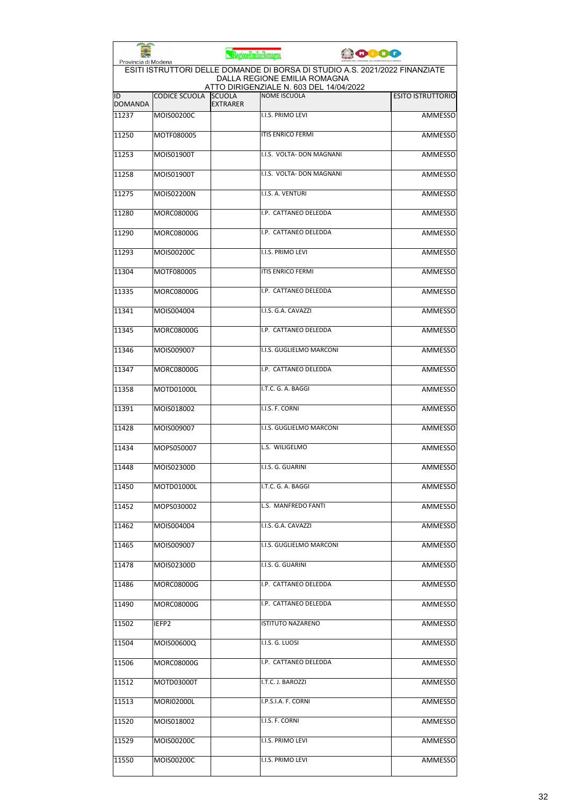| Provincia di Modena  |                      | RegioneEmiliaRomagna             |                                                                                                             | 0000 |                          |
|----------------------|----------------------|----------------------------------|-------------------------------------------------------------------------------------------------------------|------|--------------------------|
|                      |                      |                                  | ESITI ISTRUTTORI DELLE DOMANDE DI BORSA DI STUDIO A.S. 2021/2022 FINANZIATE<br>DALLA REGIONE EMILIA ROMAGNA |      |                          |
| ID<br><b>DOMANDA</b> | <b>CODICE SCUOLA</b> | <b>SCUOLA</b><br><b>EXTRARER</b> | ATTO DIRIGENZIALE N. 603 DEL 14/04/2022<br>NOME ISCUOLA                                                     |      | <b>ESITO ISTRUTTORIO</b> |
| 11237                | MOIS00200C           |                                  | <b>I.I.S. PRIMO LEVI</b>                                                                                    |      | <b>AMMESSO</b>           |
| 11250                | MOTF080005           |                                  | <b>ITIS ENRICO FERMI</b>                                                                                    |      | <b>AMMESSO</b>           |
| 11253                | MOIS01900T           |                                  | I.I.S. VOLTA- DON MAGNANI                                                                                   |      | <b>AMMESSO</b>           |
| 11258                | MOIS01900T           |                                  | I.I.S. VOLTA- DON MAGNANI                                                                                   |      | AMMESSO                  |
| 11275                | MOIS02200N           |                                  | I.I.S. A. VENTURI                                                                                           |      | <b>AMMESSO</b>           |
| 11280                | <b>MORC08000G</b>    |                                  | I.P. CATTANEO DELEDDA                                                                                       |      | <b>AMMESSO</b>           |
| 11290                | <b>MORC08000G</b>    |                                  | I.P. CATTANEO DELEDDA                                                                                       |      | AMMESSO                  |
| 11293                | MOIS00200C           |                                  | I.I.S. PRIMO LEVI                                                                                           |      | <b>AMMESSO</b>           |
| 11304                | MOTF080005           |                                  | <b>ITIS ENRICO FERMI</b>                                                                                    |      | AMMESSO                  |
| 11335                | MORC08000G           |                                  | I.P. CATTANEO DELEDDA                                                                                       |      | AMMESSO                  |
| 11341                | MOIS004004           |                                  | I.I.S. G.A. CAVAZZI                                                                                         |      | AMMESSO                  |
| 11345                | <b>MORC08000G</b>    |                                  | I.P. CATTANEO DELEDDA                                                                                       |      | AMMESSO                  |
| 11346                | MOIS009007           |                                  | I.I.S. GUGLIELMO MARCONI                                                                                    |      | <b>AMMESSO</b>           |
| 11347                | <b>MORC08000G</b>    |                                  | I.P. CATTANEO DELEDDA                                                                                       |      | AMMESSO                  |
| 11358                | MOTD01000L           |                                  | I.T.C. G. A. BAGGI                                                                                          |      | AMMESSO                  |
| 11391                | MOIS018002           |                                  | I.I.S. F. CORNI                                                                                             |      | <b>AMMESSO</b>           |
| 11428                | MOIS009007           |                                  | I.I.S. GUGLIELMO MARCONI                                                                                    |      | AMMESSO                  |
| 11434                | MOPS050007           |                                  | L.S. WILIGELMO                                                                                              |      | <b>AMMESSO</b>           |
| 11448                | MOIS02300D           |                                  | I.I.S. G. GUARINI                                                                                           |      | AMMESSO                  |
| 11450                | MOTD01000L           |                                  | I.T.C. G. A. BAGGI                                                                                          |      | AMMESSO                  |
| 11452                | MOPS030002           |                                  | L.S. MANFREDO FANTI                                                                                         |      | <b>AMMESSO</b>           |
| 11462                | MOIS004004           |                                  | I.I.S. G.A. CAVAZZI                                                                                         |      | AMMESSO                  |
| 11465                | MOIS009007           |                                  | I.I.S. GUGLIELMO MARCONI                                                                                    |      | <b>AMMESSO</b>           |
| 11478                | MOIS02300D           |                                  | I.I.S. G. GUARINI                                                                                           |      | AMMESSO                  |
| 11486                | MORC08000G           |                                  | I.P. CATTANEO DELEDDA                                                                                       |      | AMMESSO                  |
| 11490                | MORC08000G           |                                  | I.P. CATTANEO DELEDDA                                                                                       |      | AMMESSO                  |
| 11502                | IEFP2                |                                  | <b>ISTITUTO NAZARENO</b>                                                                                    |      | AMMESSO                  |
| 11504                | MOIS00600Q           |                                  | I.I.S. G. LUOSI                                                                                             |      | AMMESSO                  |
| 11506                | MORC08000G           |                                  | I.P. CATTANEO DELEDDA                                                                                       |      | <b>AMMESSO</b>           |
| 11512                | MOTD03000T           |                                  | I.T.C. J. BAROZZI                                                                                           |      | AMMESSO                  |
| 11513                | MORI02000L           |                                  | I.P.S.I.A. F. CORNI                                                                                         |      | AMMESSO                  |
| 11520                | MOIS018002           |                                  | I.I.S. F. CORNI                                                                                             |      | AMMESSO                  |
| 11529                | MOIS00200C           |                                  | I.I.S. PRIMO LEVI                                                                                           |      | AMMESSO                  |
| 11550                | MOIS00200C           |                                  | I.I.S. PRIMO LEVI                                                                                           |      | AMMESSO                  |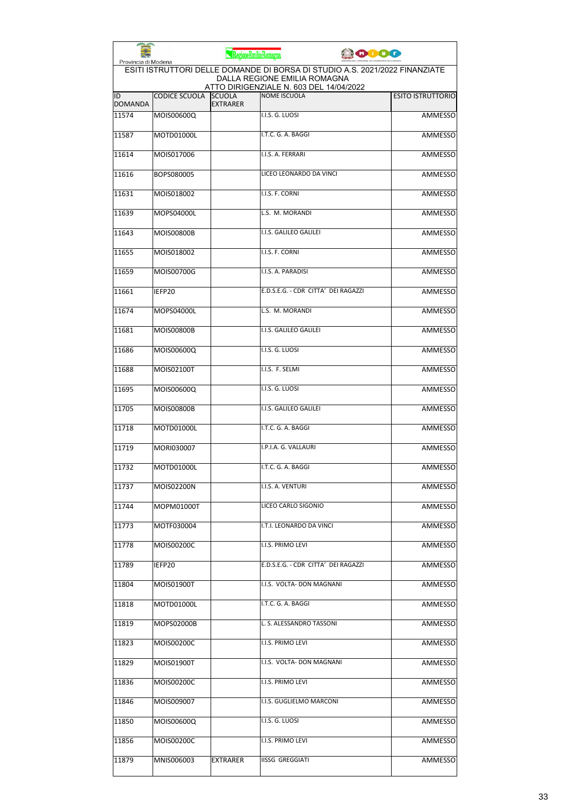| Provincia di Modena  |                      | RegioneEmiliaRomagna             |                                                                                                                                                        | <b>ODO</b> |                          |
|----------------------|----------------------|----------------------------------|--------------------------------------------------------------------------------------------------------------------------------------------------------|------------|--------------------------|
|                      |                      |                                  | ESITI ISTRUTTORI DELLE DOMANDE DI BORSA DI STUDIO A.S. 2021/2022 FINANZIATE<br>DALLA REGIONE EMILIA ROMAGNA<br>ATTO DIRIGENZIALE N. 603 DEL 14/04/2022 |            |                          |
| ID<br><b>DOMANDA</b> | <b>CODICE SCUOLA</b> | <b>SCUOLA</b><br><b>EXTRARER</b> | <b>NOME ISCUOLA</b>                                                                                                                                    |            | <b>ESITO ISTRUTTORIO</b> |
| 11574                | MOIS00600Q           |                                  | I.I.S. G. LUOSI                                                                                                                                        |            | <b>AMMESSO</b>           |
| 11587                | MOTD01000L           |                                  | I.T.C. G. A. BAGGI                                                                                                                                     |            | <b>AMMESSO</b>           |
| 11614                | MOIS017006           |                                  | I.I.S. A. FERRARI                                                                                                                                      |            | AMMESSO                  |
| 11616                | BOPS080005           |                                  | LICEO LEONARDO DA VINCI                                                                                                                                |            | AMMESSO                  |
| 11631                | MOIS018002           |                                  | I.I.S. F. CORNI                                                                                                                                        |            | AMMESSO                  |
| 11639                | MOPS04000L           |                                  | L.S. M. MORANDI                                                                                                                                        |            | <b>AMMESSO</b>           |
| 11643                | <b>MOIS00800B</b>    |                                  | I.I.S. GALILEO GALILEI                                                                                                                                 |            | <b>AMMESSO</b>           |
| 11655                | MOIS018002           |                                  | I.I.S. F. CORNI                                                                                                                                        |            | AMMESSO                  |
| 11659                | MOIS00700G           |                                  | I.I.S. A. PARADISI                                                                                                                                     |            | <b>AMMESSO</b>           |
| 11661                | IEFP20               |                                  | E.D.S.E.G. - CDR CITTA' DEI RAGAZZI                                                                                                                    |            | <b>AMMESSO</b>           |
| 11674                | MOPS04000L           |                                  | L.S. M. MORANDI                                                                                                                                        |            | AMMESSO                  |
| 11681                | MOIS00800B           |                                  | I.I.S. GALILEO GALILEI                                                                                                                                 |            | <b>AMMESSO</b>           |
| 11686                | MOIS00600Q           |                                  | I.I.S. G. LUOSI                                                                                                                                        |            | <b>AMMESSO</b>           |
| 11688                | MOIS02100T           |                                  | I.I.S. F. SELMI                                                                                                                                        |            | <b>AMMESSO</b>           |
| 11695                | MOIS00600Q           |                                  | I.I.S. G. LUOSI                                                                                                                                        |            | AMMESSO                  |
| 11705                | <b>MOIS00800B</b>    |                                  | I.I.S. GALILEO GALILEI                                                                                                                                 |            | <b>AMMESSO</b>           |
| 11718                | MOTD01000L           |                                  | I.T.C. G. A. BAGGI                                                                                                                                     |            | AMMESSO                  |
| 11719                | MORI030007           |                                  | I.P.I.A. G. VALLAURI                                                                                                                                   |            | <b>AMMESSO</b>           |
| 11732                | MOTD01000L           |                                  | I.T.C. G. A. BAGGI                                                                                                                                     |            | AMMESSO                  |
| 11737                | MOIS02200N           |                                  | I.I.S. A. VENTURI                                                                                                                                      |            | AMMESSO                  |
| 11744                | MOPM01000T           |                                  | LICEO CARLO SIGONIO                                                                                                                                    |            | AMMESSO                  |
| 11773                | MOTF030004           |                                  | I.T.I. LEONARDO DA VINCI                                                                                                                               |            | <b>AMMESSO</b>           |
| 11778                | MOIS00200C           |                                  | I.I.S. PRIMO LEVI                                                                                                                                      |            | AMMESSO                  |
| 11789                | IEFP20               |                                  | E.D.S.E.G. - CDR CITTA' DEI RAGAZZI                                                                                                                    |            | AMMESSO                  |
| 11804                | MOIS01900T           |                                  | I.I.S. VOLTA- DON MAGNANI                                                                                                                              |            | <b>AMMESSO</b>           |
| 11818                | MOTD01000L           |                                  | I.T.C. G. A. BAGGI                                                                                                                                     |            | AMMESSO                  |
| 11819                | MOPS02000B           |                                  | L. S. ALESSANDRO TASSONI                                                                                                                               |            | AMMESSO                  |
| 11823                | MOIS00200C           |                                  | I.I.S. PRIMO LEVI                                                                                                                                      |            | AMMESSO                  |
| 11829                | MOIS01900T           |                                  | I.I.S. VOLTA- DON MAGNANI                                                                                                                              |            | AMMESSO                  |
| 11836                | MOIS00200C           |                                  | I.I.S. PRIMO LEVI                                                                                                                                      |            | AMMESSO                  |
| 11846                | MOIS009007           |                                  | I.I.S. GUGLIELMO MARCONI                                                                                                                               |            | AMMESSO                  |
| 11850                | MOIS00600Q           |                                  | I.I.S. G. LUOSI                                                                                                                                        |            | AMMESSO                  |
| 11856                | MOIS00200C           |                                  | I.I.S. PRIMO LEVI                                                                                                                                      |            | AMMESSO                  |
| 11879                | MNIS006003           | <b>EXTRARER</b>                  | <b>IISSG GREGGIATI</b>                                                                                                                                 |            | AMMESSO                  |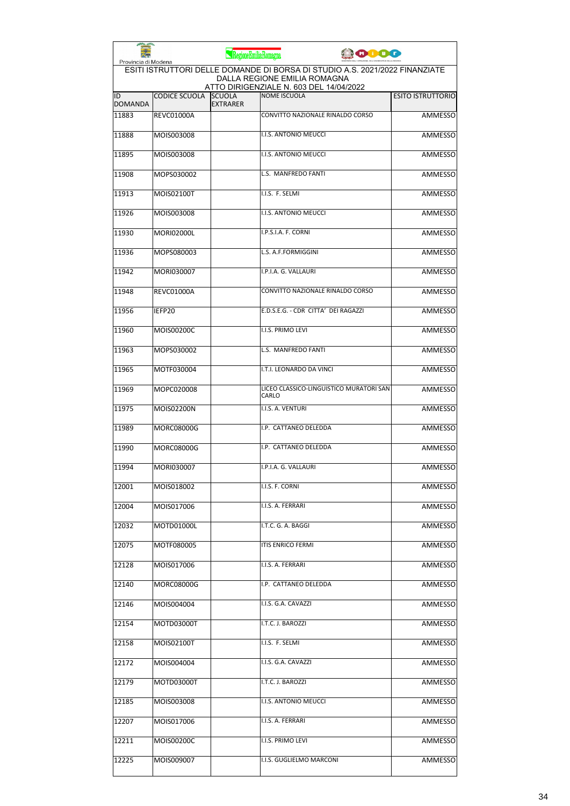| Provincia di Modena  |                      | RegioneEmiliaRomagna             |                                                                                                             | <b>JOIDO</b> |                          |
|----------------------|----------------------|----------------------------------|-------------------------------------------------------------------------------------------------------------|--------------|--------------------------|
|                      |                      |                                  | ESITI ISTRUTTORI DELLE DOMANDE DI BORSA DI STUDIO A.S. 2021/2022 FINANZIATE<br>DALLA REGIONE EMILIA ROMAGNA |              |                          |
| ID<br><b>DOMANDA</b> | <b>CODICE SCUOLA</b> | <b>SCUOLA</b><br><b>EXTRARER</b> | ATTO DIRIGENZIALE N. 603 DEL 14/04/2022<br><b>NOME ISCUOLA</b>                                              |              | <b>ESITO ISTRUTTORIO</b> |
| 11883                | <b>REVC01000A</b>    |                                  | CONVITTO NAZIONALE RINALDO CORSO                                                                            |              | <b>AMMESSO</b>           |
| 11888                | MOIS003008           |                                  | I.I.S. ANTONIO MEUCCI                                                                                       |              | <b>AMMESSO</b>           |
| 11895                | MOIS003008           |                                  | I.I.S. ANTONIO MEUCCI                                                                                       |              | AMMESSO                  |
| 11908                | MOPS030002           |                                  | L.S. MANFREDO FANTI                                                                                         |              | AMMESSO                  |
| 11913                | MOIS02100T           |                                  | I.I.S. F. SELMI                                                                                             |              | AMMESSO                  |
| 11926                | MOIS003008           |                                  | I.I.S. ANTONIO MEUCCI                                                                                       |              | AMMESSO                  |
| 11930                | MORI02000L           |                                  | I.P.S.I.A. F. CORNI                                                                                         |              | <b>AMMESSO</b>           |
| 11936                | MOPS080003           |                                  | L.S. A.F.FORMIGGINI                                                                                         |              | AMMESSO                  |
| 11942                | MORI030007           |                                  | I.P.I.A. G. VALLAURI                                                                                        |              | AMMESSO                  |
| 11948                | <b>REVC01000A</b>    |                                  | CONVITTO NAZIONALE RINALDO CORSO                                                                            |              | AMMESSO                  |
| 11956                | IEFP20               |                                  | E.D.S.E.G. - CDR CITTA' DEI RAGAZZI                                                                         |              | AMMESSO                  |
| 11960                | MOIS00200C           |                                  | I.I.S. PRIMO LEVI                                                                                           |              | <b>AMMESSO</b>           |
| 11963                | MOPS030002           |                                  | L.S. MANFREDO FANTI                                                                                         |              | <b>AMMESSO</b>           |
| 11965                | MOTF030004           |                                  | I.T.I. LEONARDO DA VINCI                                                                                    |              | <b>AMMESSO</b>           |
| 11969                | MOPC020008           |                                  | LICEO CLASSICO-LINGUISTICO MURATORI SAN<br><b>CARLO</b>                                                     |              | AMMESSO                  |
| 11975                | MOIS02200N           |                                  | I.I.S. A. VENTURI                                                                                           |              | <b>AMMESSO</b>           |
| 11989                | <b>MORC08000G</b>    |                                  | I.P. CATTANEO DELEDDA                                                                                       |              | AMMESSO                  |
| 11990                | <b>MORC08000G</b>    |                                  | I.P. CATTANEO DELEDDA                                                                                       |              | <b>AMMESSO</b>           |
| 11994                | MORI030007           |                                  | II.P.I.A. G. VALLAURI                                                                                       |              | <b>AMMESSO</b>           |
| 12001                | MOIS018002           |                                  | I.I.S. F. CORNI                                                                                             |              | AMMESSO                  |
| 12004                | MOIS017006           |                                  | I.I.S. A. FERRARI                                                                                           |              | AMMESSO                  |
| 12032                | MOTD01000L           |                                  | I.T.C. G. A. BAGGI                                                                                          |              | <b>AMMESSO</b>           |
| 12075                | MOTF080005           |                                  | <b>ITIS ENRICO FERMI</b>                                                                                    |              | AMMESSO                  |
| 12128                | MOIS017006           |                                  | I.I.S. A. FERRARI                                                                                           |              | AMMESSO                  |
| 12140                | MORC08000G           |                                  | I.P. CATTANEO DELEDDA                                                                                       |              | <b>AMMESSO</b>           |
| 12146                | MOIS004004           |                                  | I.I.S. G.A. CAVAZZI                                                                                         |              | AMMESSO                  |
| 12154                | MOTD03000T           |                                  | I.T.C. J. BAROZZI                                                                                           |              | AMMESSO                  |
| 12158                | MOIS02100T           |                                  | I.I.S. F. SELMI                                                                                             |              | AMMESSO                  |
| 12172                | MOIS004004           |                                  | I.I.S. G.A. CAVAZZI                                                                                         |              | AMMESSO                  |
| 12179                | MOTD03000T           |                                  | I.T.C. J. BAROZZI                                                                                           |              | AMMESSO                  |
| 12185                | MOIS003008           |                                  | I.I.S. ANTONIO MEUCCI                                                                                       |              | AMMESSO                  |
| 12207                | MOIS017006           |                                  | I.I.S. A. FERRARI                                                                                           |              | AMMESSO                  |
| 12211                | MOIS00200C           |                                  | I.I.S. PRIMO LEVI                                                                                           |              | AMMESSO                  |
| 12225                | MOIS009007           |                                  | I.I.S. GUGLIELMO MARCONI                                                                                    |              | <b>AMMESSO</b>           |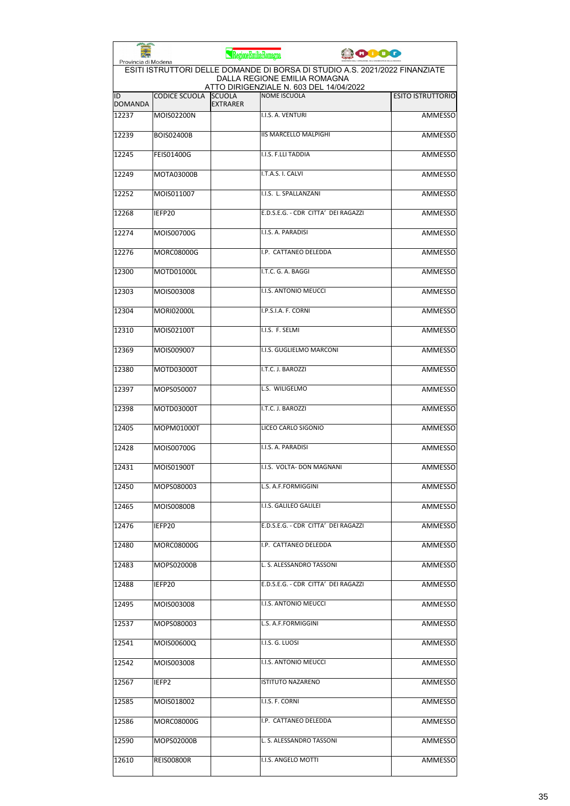|                      |                      | RegioneEmilia-Romagna            |                                                                                                                                                        | 0000 |                          |
|----------------------|----------------------|----------------------------------|--------------------------------------------------------------------------------------------------------------------------------------------------------|------|--------------------------|
| Provincia di Modena  |                      |                                  | ESITI ISTRUTTORI DELLE DOMANDE DI BORSA DI STUDIO A.S. 2021/2022 FINANZIATE<br>DALLA REGIONE EMILIA ROMAGNA<br>ATTO DIRIGENZIALE N. 603 DEL 14/04/2022 |      |                          |
| ID<br><b>DOMANDA</b> | <b>CODICE SCUOLA</b> | <b>SCUOLA</b><br><b>EXTRARER</b> | <b>NOME ISCUOLA</b>                                                                                                                                    |      | <b>ESITO ISTRUTTORIO</b> |
| 12237                | MOIS02200N           |                                  | I.I.S. A. VENTURI                                                                                                                                      |      | <b>AMMESSO</b>           |
| 12239                | <b>BOIS02400B</b>    |                                  | <b>IIS MARCELLO MALPIGHI</b>                                                                                                                           |      | <b>AMMESSO</b>           |
| 12245                | <b>FEIS01400G</b>    |                                  | I.I.S. F.LLI TADDIA                                                                                                                                    |      | <b>AMMESSO</b>           |
| 12249                | MOTA03000B           |                                  | I.T.A.S. I. CALVI                                                                                                                                      |      | <b>AMMESSO</b>           |
| 12252                | MOIS011007           |                                  | I.I.S. L. SPALLANZANI                                                                                                                                  |      | <b>AMMESSO</b>           |
| 12268                | IEFP20               |                                  | E.D.S.E.G. - CDR CITTA' DEI RAGAZZI                                                                                                                    |      | <b>AMMESSO</b>           |
| 12274                | MOIS00700G           |                                  | I.I.S. A. PARADISI                                                                                                                                     |      | <b>AMMESSO</b>           |
| 12276                | MORC08000G           |                                  | I.P. CATTANEO DELEDDA                                                                                                                                  |      | AMMESSO                  |
| 12300                | MOTD01000L           |                                  | I.T.C. G. A. BAGGI                                                                                                                                     |      | <b>AMMESSO</b>           |
| 12303                | MOIS003008           |                                  | I.I.S. ANTONIO MEUCCI                                                                                                                                  |      | <b>AMMESSO</b>           |
| 12304                | <b>MORI02000L</b>    |                                  | I.P.S.I.A. F. CORNI                                                                                                                                    |      | <b>AMMESSO</b>           |
| 12310                | MOIS02100T           |                                  | I.I.S. F. SELMI                                                                                                                                        |      | <b>AMMESSO</b>           |
| 12369                | MOIS009007           |                                  | I.I.S. GUGLIELMO MARCONI                                                                                                                               |      | <b>AMMESSO</b>           |
| 12380                | MOTD03000T           |                                  | I.T.C. J. BAROZZI                                                                                                                                      |      | <b>AMMESSO</b>           |
| 12397                | MOPS050007           |                                  | L.S. WILIGELMO                                                                                                                                         |      | <b>AMMESSO</b>           |
| 12398                | MOTD03000T           |                                  | I.T.C. J. BAROZZI                                                                                                                                      |      | <b>AMMESSO</b>           |
| 12405                | MOPM01000T           |                                  | LICEO CARLO SIGONIO                                                                                                                                    |      | <b>AMMESSO</b>           |
| 12428                | MOIS00700G           |                                  | I.I.S. A. PARADISI                                                                                                                                     |      | AMMESSO                  |
| 12431                | MOIS01900T           |                                  | I.I.S. VOLTA- DON MAGNANI                                                                                                                              |      | <b>AMMESSO</b>           |
| 12450                | MOPS080003           |                                  | L.S. A.F.FORMIGGINI                                                                                                                                    |      | AMMESSO                  |
| 12465                | MOIS00800B           |                                  | I.I.S. GALILEO GALILEI                                                                                                                                 |      | <b>AMMESSO</b>           |
| 12476                | IEFP20               |                                  | E.D.S.E.G. - CDR CITTA' DEI RAGAZZI                                                                                                                    |      | <b>AMMESSO</b>           |
| 12480                | MORC08000G           |                                  | I.P. CATTANEO DELEDDA                                                                                                                                  |      | AMMESSO                  |
| 12483                | MOPS02000B           |                                  | L. S. ALESSANDRO TASSONI                                                                                                                               |      | <b>AMMESSO</b>           |
| 12488                | IEFP20               |                                  | E.D.S.E.G. - CDR CITTA' DEI RAGAZZI                                                                                                                    |      | <b>AMMESSO</b>           |
| 12495                | MOIS003008           |                                  | I.I.S. ANTONIO MEUCCI                                                                                                                                  |      | AMMESSO                  |
| 12537                | MOPS080003           |                                  | L.S. A.F.FORMIGGINI                                                                                                                                    |      | AMMESSO                  |
| 12541                | MOIS00600Q           |                                  | I.I.S. G. LUOSI                                                                                                                                        |      | <b>AMMESSO</b>           |
| 12542                | MOIS003008           |                                  | I.I.S. ANTONIO MEUCCI                                                                                                                                  |      | <b>AMMESSO</b>           |
| 12567                | IEFP2                |                                  | <b>ISTITUTO NAZARENO</b>                                                                                                                               |      | AMMESSO                  |
| 12585                | MOIS018002           |                                  | I.I.S. F. CORNI                                                                                                                                        |      | AMMESSO                  |
| 12586                | MORC08000G           |                                  | I.P. CATTANEO DELEDDA                                                                                                                                  |      | <b>AMMESSO</b>           |
| 12590                | MOPS02000B           |                                  | L. S. ALESSANDRO TASSONI                                                                                                                               |      | AMMESSO                  |
| 12610                | REIS00800R           |                                  | I.I.S. ANGELO MOTTI                                                                                                                                    |      | AMMESSO                  |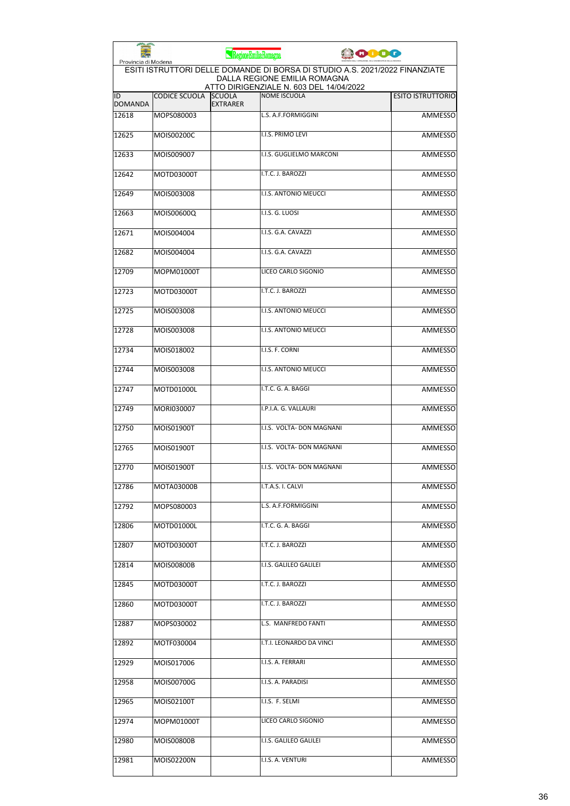| Provincia di Modena  |                      | RegioneEmiliaRomagna             |                                                                                                             | <b>JOIDO</b> |                          |
|----------------------|----------------------|----------------------------------|-------------------------------------------------------------------------------------------------------------|--------------|--------------------------|
|                      |                      |                                  | ESITI ISTRUTTORI DELLE DOMANDE DI BORSA DI STUDIO A.S. 2021/2022 FINANZIATE<br>DALLA REGIONE EMILIA ROMAGNA |              |                          |
| ID<br><b>DOMANDA</b> | <b>CODICE SCUOLA</b> | <b>SCUOLA</b><br><b>EXTRARER</b> | ATTO DIRIGENZIALE N. 603 DEL 14/04/2022<br><b>NOME ISCUOLA</b>                                              |              | <b>ESITO ISTRUTTORIO</b> |
| 12618                | MOPS080003           |                                  | L.S. A.F.FORMIGGINI                                                                                         |              | <b>AMMESSO</b>           |
| 12625                | MOIS00200C           |                                  | I.I.S. PRIMO LEVI                                                                                           |              | <b>AMMESSO</b>           |
| 12633                | MOIS009007           |                                  | I.I.S. GUGLIELMO MARCONI                                                                                    |              | <b>AMMESSO</b>           |
| 12642                | MOTD03000T           |                                  | I.T.C. J. BAROZZI                                                                                           |              | AMMESSO                  |
| 12649                | MOIS003008           |                                  | I.I.S. ANTONIO MEUCCI                                                                                       |              | AMMESSO                  |
| 12663                | MOIS00600Q           |                                  | I.I.S. G. LUOSI                                                                                             |              | AMMESSO                  |
| 12671                | MOIS004004           |                                  | I.I.S. G.A. CAVAZZI                                                                                         |              | <b>AMMESSO</b>           |
| 12682                | MOIS004004           |                                  | I.I.S. G.A. CAVAZZI                                                                                         |              | AMMESSO                  |
| 12709                | MOPM01000T           |                                  | LICEO CARLO SIGONIO                                                                                         |              | AMMESSO                  |
| 12723                | MOTD03000T           |                                  | I.T.C. J. BAROZZI                                                                                           |              | AMMESSO                  |
| 12725                | MOIS003008           |                                  | <b>I.I.S. ANTONIO MEUCCI</b>                                                                                |              | AMMESSO                  |
| 12728                | MOIS003008           |                                  | I.I.S. ANTONIO MEUCCI                                                                                       |              | <b>AMMESSO</b>           |
| 12734                | MOIS018002           |                                  | I.I.S. F. CORNI                                                                                             |              | <b>AMMESSO</b>           |
| 12744                | MOIS003008           |                                  | I.I.S. ANTONIO MEUCCI                                                                                       |              | <b>AMMESSO</b>           |
| 12747                | MOTD01000L           |                                  | I.T.C. G. A. BAGGI                                                                                          |              | AMMESSO                  |
| 12749                | MORI030007           |                                  | I.P.I.A. G. VALLAURI                                                                                        |              | <b>AMMESSO</b>           |
| 12750                | MOIS01900T           |                                  | I.I.S. VOLTA- DON MAGNANI                                                                                   |              | AMMESSO                  |
| 12765                | MOIS01900T           |                                  | I.I.S. VOLTA- DON MAGNANI                                                                                   |              | <b>AMMESSO</b>           |
| 12770                | MOIS01900T           |                                  | I.I.S. VOLTA- DON MAGNANI                                                                                   |              | <b>AMMESSO</b>           |
| 12786                | MOTA03000B           |                                  | I.T.A.S. I. CALVI                                                                                           |              | AMMESSO                  |
| 12792                | MOPS080003           |                                  | L.S. A.F.FORMIGGINI                                                                                         |              | AMMESSO                  |
| 12806                | MOTD01000L           |                                  | I.T.C. G. A. BAGGI                                                                                          |              | <b>AMMESSO</b>           |
| 12807                | MOTD03000T           |                                  | I.T.C. J. BAROZZI                                                                                           |              | AMMESSO                  |
| 12814                | MOIS00800B           |                                  | I.I.S. GALILEO GALILEI                                                                                      |              | <b>AMMESSO</b>           |
| 12845                | MOTD03000T           |                                  | I.T.C. J. BAROZZI                                                                                           |              | <b>AMMESSO</b>           |
| 12860                | MOTD03000T           |                                  | I.T.C. J. BAROZZI                                                                                           |              | AMMESSO                  |
| 12887                | MOPS030002           |                                  | L.S. MANFREDO FANTI                                                                                         |              | AMMESSO                  |
| 12892                | MOTF030004           |                                  | I.T.I. LEONARDO DA VINCI                                                                                    |              | AMMESSO                  |
| 12929                | MOIS017006           |                                  | I.I.S. A. FERRARI                                                                                           |              | AMMESSO                  |
| 12958                | MOIS00700G           |                                  | I.I.S. A. PARADISI                                                                                          |              | AMMESSO                  |
| 12965                | MOIS02100T           |                                  | I.I.S. F. SELMI                                                                                             |              | AMMESSO                  |
| 12974                | MOPM01000T           |                                  | LICEO CARLO SIGONIO                                                                                         |              | AMMESSO                  |
| 12980                | MOIS00800B           |                                  | I.I.S. GALILEO GALILEI                                                                                      |              | AMMESSO                  |
| 12981                | MOIS02200N           |                                  | I.I.S. A. VENTURI                                                                                           |              | <b>AMMESSO</b>           |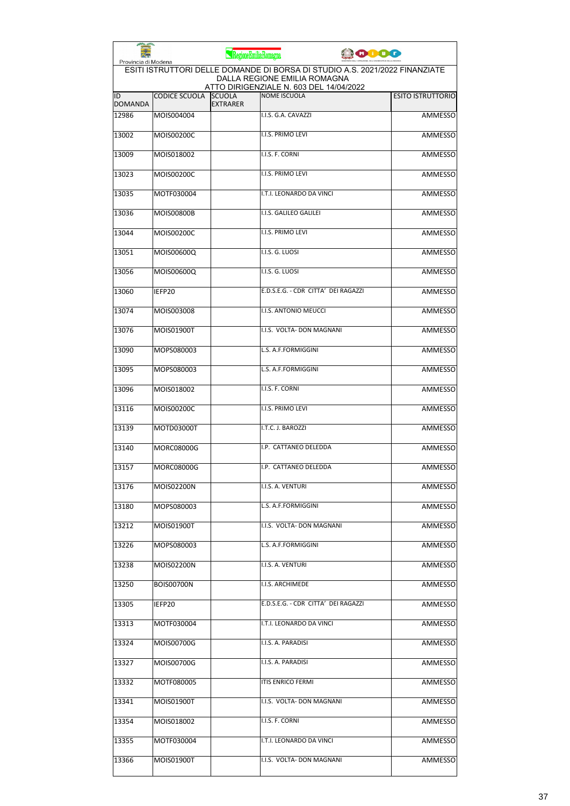| <b>PERSONAL</b>      |                                                                                                                                                                               | RegioneEmiliaRomagna             |                                     | <b>JODOG</b> |                          |  |  |
|----------------------|-------------------------------------------------------------------------------------------------------------------------------------------------------------------------------|----------------------------------|-------------------------------------|--------------|--------------------------|--|--|
|                      | Provincia di Modena<br>ESITI ISTRUTTORI DELLE DOMANDE DI BORSA DI STUDIO A.S. 2021/2022 FINANZIATE<br>DALLA REGIONE EMILIA ROMAGNA<br>ATTO DIRIGENZIALE N. 603 DEL 14/04/2022 |                                  |                                     |              |                          |  |  |
| ID<br><b>DOMANDA</b> | <b>CODICE SCUOLA</b>                                                                                                                                                          | <b>SCUOLA</b><br><b>EXTRARER</b> | <b>NOME ISCUOLA</b>                 |              | <b>ESITO ISTRUTTORIO</b> |  |  |
| 12986                | MOIS004004                                                                                                                                                                    |                                  | I.I.S. G.A. CAVAZZI                 |              | <b>AMMESSO</b>           |  |  |
| 13002                | MOIS00200C                                                                                                                                                                    |                                  | <b>I.I.S. PRIMO LEVI</b>            |              | AMMESSO                  |  |  |
| 13009                | MOIS018002                                                                                                                                                                    |                                  | I.I.S. F. CORNI                     |              | <b>AMMESSO</b>           |  |  |
| 13023                | MOIS00200C                                                                                                                                                                    |                                  | I.I.S. PRIMO LEVI                   |              | AMMESSO                  |  |  |
| 13035                | MOTF030004                                                                                                                                                                    |                                  | I.T.I. LEONARDO DA VINCI            |              | AMMESSO                  |  |  |
| 13036                | <b>MOIS00800B</b>                                                                                                                                                             |                                  | I.I.S. GALILEO GALILEI              |              | <b>AMMESSO</b>           |  |  |
| 13044                | MOIS00200C                                                                                                                                                                    |                                  | <b>I.I.S. PRIMO LEVI</b>            |              | AMMESSO                  |  |  |
| 13051                | MOIS00600Q                                                                                                                                                                    |                                  | I.I.S. G. LUOSI                     |              | <b>AMMESSO</b>           |  |  |
| 13056                | MOIS00600Q                                                                                                                                                                    |                                  | I.I.S. G. LUOSI                     |              | <b>AMMESSO</b>           |  |  |
| 13060                | IEFP20                                                                                                                                                                        |                                  | E.D.S.E.G. - CDR CITTA' DEI RAGAZZI |              | <b>AMMESSO</b>           |  |  |
| 13074                | MOIS003008                                                                                                                                                                    |                                  | I.I.S. ANTONIO MEUCCI               |              | <b>AMMESSO</b>           |  |  |
| 13076                | MOIS01900T                                                                                                                                                                    |                                  | I.I.S. VOLTA- DON MAGNANI           |              | AMMESSO                  |  |  |
| 13090                | MOPS080003                                                                                                                                                                    |                                  | L.S. A.F.FORMIGGINI                 |              | <b>AMMESSO</b>           |  |  |
| 13095                | MOPS080003                                                                                                                                                                    |                                  | L.S. A.F.FORMIGGINI                 |              | <b>AMMESSO</b>           |  |  |
| 13096                | MOIS018002                                                                                                                                                                    |                                  | I.I.S. F. CORNI                     |              | AMMESSO                  |  |  |
| 13116                | MOIS00200C                                                                                                                                                                    |                                  | I.I.S. PRIMO LEVI                   |              | <b>AMMESSO</b>           |  |  |
| 13139                | MOTD03000T                                                                                                                                                                    |                                  | I.T.C. J. BAROZZI                   |              | AMMESSO                  |  |  |
| 13140                | <b>MORC08000G</b>                                                                                                                                                             |                                  | I.P. CATTANEO DELEDDA               |              | AMMESSO                  |  |  |
| 13157                | MORC08000G                                                                                                                                                                    |                                  | I.P. CATTANEO DELEDDA               |              | AMMESSO                  |  |  |
| 13176                | MOIS02200N                                                                                                                                                                    |                                  | I.I.S. A. VENTURI                   |              | AMMESSO                  |  |  |
| 13180                | MOPS080003                                                                                                                                                                    |                                  | L.S. A.F.FORMIGGINI                 |              | <b>AMMESSO</b>           |  |  |
| 13212                | MOIS01900T                                                                                                                                                                    |                                  | I.I.S. VOLTA- DON MAGNANI           |              | <b>AMMESSO</b>           |  |  |
| 13226                | MOPS080003                                                                                                                                                                    |                                  | L.S. A.F.FORMIGGINI                 |              | AMMESSO                  |  |  |
| 13238                | MOIS02200N                                                                                                                                                                    |                                  | I.I.S. A. VENTURI                   |              | <b>AMMESSO</b>           |  |  |
| 13250                | <b>BOIS00700N</b>                                                                                                                                                             |                                  | I.I.S. ARCHIMEDE                    |              | AMMESSO                  |  |  |
| 13305                | IEFP20                                                                                                                                                                        |                                  | E.D.S.E.G. - CDR CITTA' DEI RAGAZZI |              | AMMESSO                  |  |  |
| 13313                | MOTF030004                                                                                                                                                                    |                                  | I.T.I. LEONARDO DA VINCI            |              | AMMESSO                  |  |  |
| 13324                | MOIS00700G                                                                                                                                                                    |                                  | I.I.S. A. PARADISI                  |              | AMMESSO                  |  |  |
| 13327                | MOIS00700G                                                                                                                                                                    |                                  | I.I.S. A. PARADISI                  |              | <b>AMMESSO</b>           |  |  |
| 13332                | MOTF080005                                                                                                                                                                    |                                  | <b>ITIS ENRICO FERMI</b>            |              | AMMESSO                  |  |  |
| 13341                | MOIS01900T                                                                                                                                                                    |                                  | I.I.S. VOLTA- DON MAGNANI           |              | AMMESSO                  |  |  |
| 13354                | MOIS018002                                                                                                                                                                    |                                  | I.I.S. F. CORNI                     |              | AMMESSO                  |  |  |
| 13355                | MOTF030004                                                                                                                                                                    |                                  | I.T.I. LEONARDO DA VINCI            |              | AMMESSO                  |  |  |
| 13366                | MOIS01900T                                                                                                                                                                    |                                  | I.I.S. VOLTA- DON MAGNANI           |              | AMMESSO                  |  |  |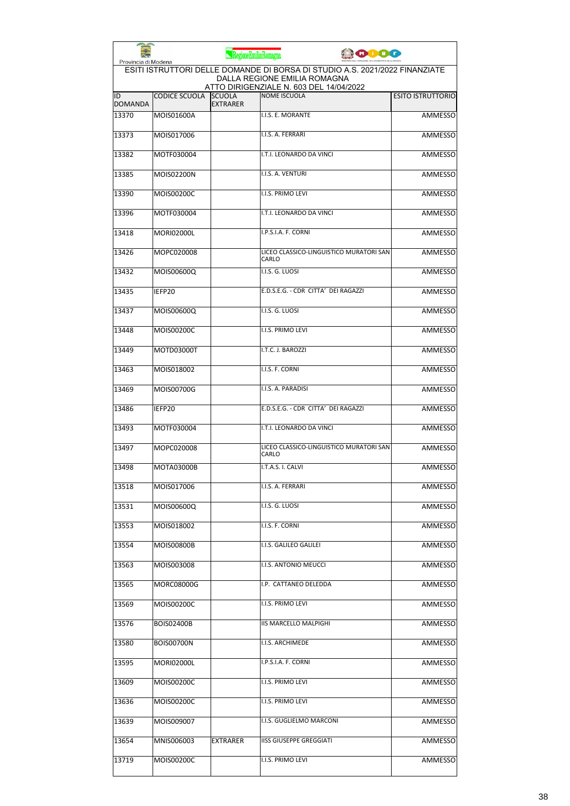| <b>PERSONAL PROPERTY</b><br>Provincia di Modena |                   | RegioneEmiliaRomagna             | <b>JOJOO</b>                                                                                                                                           |                          |
|-------------------------------------------------|-------------------|----------------------------------|--------------------------------------------------------------------------------------------------------------------------------------------------------|--------------------------|
|                                                 |                   |                                  | ESITI ISTRUTTORI DELLE DOMANDE DI BORSA DI STUDIO A.S. 2021/2022 FINANZIATE<br>DALLA REGIONE EMILIA ROMAGNA<br>ATTO DIRIGENZIALE N. 603 DEL 14/04/2022 |                          |
| ID<br><b>DOMANDA</b>                            | CODICE SCUOLA     | <b>SCUOLA</b><br><b>EXTRARER</b> | <b>NOME ISCUOLA</b>                                                                                                                                    | <b>ESITO ISTRUTTORIO</b> |
| 13370                                           | MOIS01600A        |                                  | I.I.S. E. MORANTE                                                                                                                                      | <b>AMMESSO</b>           |
| 13373                                           | MOIS017006        |                                  | I.I.S. A. FERRARI                                                                                                                                      | AMMESSO                  |
| 13382                                           | MOTF030004        |                                  | I.T.I. LEONARDO DA VINCI                                                                                                                               | <b>AMMESSO</b>           |
| 13385                                           | MOIS02200N        |                                  | I.I.S. A. VENTURI                                                                                                                                      | AMMESSO                  |
| 13390                                           | MOIS00200C        |                                  | I.I.S. PRIMO LEVI                                                                                                                                      | <b>AMMESSO</b>           |
| 13396                                           | MOTF030004        |                                  | I.T.I. LEONARDO DA VINCI                                                                                                                               | <b>AMMESSO</b>           |
| 13418                                           | <b>MORI02000L</b> |                                  | I.P.S.I.A. F. CORNI                                                                                                                                    | AMMESSO                  |
| 13426                                           | MOPC020008        |                                  | LICEO CLASSICO-LINGUISTICO MURATORI SAN<br>CARLO                                                                                                       | <b>AMMESSO</b>           |
| 13432                                           | MOIS00600Q        |                                  | I.I.S. G. LUOSI                                                                                                                                        | <b>AMMESSO</b>           |
| 13435                                           | IEFP20            |                                  | E.D.S.E.G. - CDR CITTA' DEI RAGAZZI                                                                                                                    | <b>AMMESSO</b>           |
| 13437                                           | MOIS00600Q        |                                  | I.I.S. G. LUOSI                                                                                                                                        | <b>AMMESSO</b>           |
| 13448                                           | MOIS00200C        |                                  | I.I.S. PRIMO LEVI                                                                                                                                      | AMMESSO                  |
| 13449                                           | MOTD03000T        |                                  | I.T.C. J. BAROZZI                                                                                                                                      | <b>AMMESSO</b>           |
| 13463                                           | MOIS018002        |                                  | I.I.S. F. CORNI                                                                                                                                        | <b>AMMESSO</b>           |
| 13469                                           | MOIS00700G        |                                  | I.I.S. A. PARADISI                                                                                                                                     | <b>AMMESSO</b>           |
| 13486                                           | IEFP20            |                                  | E.D.S.E.G. - CDR CITTA' DEI RAGAZZI                                                                                                                    | <b>AMMESSO</b>           |
| 13493                                           | MOTF030004        |                                  | I.T.I. LEONARDO DA VINCI                                                                                                                               | AMMESSO                  |
| 13497                                           | MOPC020008        |                                  | LICEO CLASSICO-LINGUISTICO MURATORI SAN<br>CARLO                                                                                                       | <b>AMMESSO</b>           |
| 13498                                           | MOTA03000B        |                                  | I.T.A.S. I. CALVI                                                                                                                                      | <b>AMMESSO</b>           |
| 13518                                           | MOIS017006        |                                  | I.I.S. A. FERRARI                                                                                                                                      | AMMESSO                  |
| 13531                                           | MOIS00600Q        |                                  | I.I.S. G. LUOSI                                                                                                                                        | AMMESSO                  |
| 13553                                           | MOIS018002        |                                  | I.I.S. F. CORNI                                                                                                                                        | AMMESSO                  |
| 13554                                           | MOIS00800B        |                                  | I.I.S. GALILEO GALILEI                                                                                                                                 | AMMESSO                  |
| 13563                                           | MOIS003008        |                                  | I.I.S. ANTONIO MEUCCI                                                                                                                                  | <b>AMMESSO</b>           |
| 13565                                           | MORC08000G        |                                  | I.P. CATTANEO DELEDDA                                                                                                                                  | <b>AMMESSO</b>           |
| 13569                                           | MOIS00200C        |                                  | I.I.S. PRIMO LEVI                                                                                                                                      | AMMESSO                  |
| 13576                                           | <b>BOIS02400B</b> |                                  | IIS MARCELLO MALPIGHI                                                                                                                                  | AMMESSO                  |
| 13580                                           | <b>BOIS00700N</b> |                                  | I.I.S. ARCHIMEDE                                                                                                                                       | AMMESSO                  |
| 13595                                           | <b>MORI02000L</b> |                                  | I.P.S.I.A. F. CORNI                                                                                                                                    | <b>AMMESSO</b>           |
| 13609                                           | MOIS00200C        |                                  | I.I.S. PRIMO LEVI                                                                                                                                      | AMMESSO                  |
| 13636                                           | MOIS00200C        |                                  | I.I.S. PRIMO LEVI                                                                                                                                      | AMMESSO                  |
| 13639                                           | MOIS009007        |                                  | I.I.S. GUGLIELMO MARCONI                                                                                                                               | AMMESSO                  |
| 13654                                           | MNIS006003        | <b>EXTRARER</b>                  | <b>IISS GIUSEPPE GREGGIATI</b>                                                                                                                         | AMMESSO                  |
| 13719                                           | MOIS00200C        |                                  | I.I.S. PRIMO LEVI                                                                                                                                      | AMMESSO                  |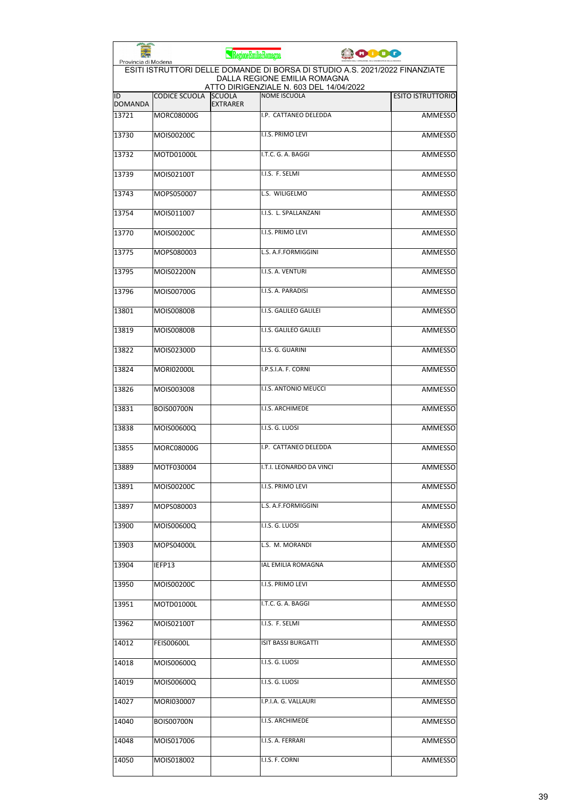| Provincia di Modena  |                      | RegioneEmiliaRomagna             |                                                                                                             | <b>CODOC</b> |                          |
|----------------------|----------------------|----------------------------------|-------------------------------------------------------------------------------------------------------------|--------------|--------------------------|
|                      |                      |                                  | ESITI ISTRUTTORI DELLE DOMANDE DI BORSA DI STUDIO A.S. 2021/2022 FINANZIATE<br>DALLA REGIONE EMILIA ROMAGNA |              |                          |
| ID<br><b>DOMANDA</b> | <b>CODICE SCUOLA</b> | <b>SCUOLA</b><br><b>EXTRARER</b> | ATTO DIRIGENZIALE N. 603 DEL 14/04/2022<br><b>NOME ISCUOLA</b>                                              |              | <b>ESITO ISTRUTTORIO</b> |
| 13721                | <b>MORC08000G</b>    |                                  | I.P. CATTANEO DELEDDA                                                                                       |              | <b>AMMESSO</b>           |
| 13730                | MOIS00200C           |                                  | I.I.S. PRIMO LEVI                                                                                           |              | <b>AMMESSO</b>           |
| 13732                | MOTD01000L           |                                  | I.T.C. G. A. BAGGI                                                                                          |              | AMMESSO                  |
| 13739                | MOIS02100T           |                                  | I.I.S. F. SELMI                                                                                             |              | AMMESSO                  |
| 13743                | MOPS050007           |                                  | L.S. WILIGELMO                                                                                              |              | AMMESSO                  |
| 13754                | MOIS011007           |                                  | I.I.S. L. SPALLANZANI                                                                                       |              | AMMESSO                  |
| 13770                | MOIS00200C           |                                  | I.I.S. PRIMO LEVI                                                                                           |              | <b>AMMESSO</b>           |
| 13775                | MOPS080003           |                                  | L.S. A.F.FORMIGGINI                                                                                         |              | AMMESSO                  |
| 13795                | MOIS02200N           |                                  | I.I.S. A. VENTURI                                                                                           |              | AMMESSO                  |
| 13796                | MOIS00700G           |                                  | I.I.S. A. PARADISI                                                                                          |              | <b>AMMESSO</b>           |
| 13801                | <b>MOIS00800B</b>    |                                  | I.I.S. GALILEO GALILEI                                                                                      |              | AMMESSO                  |
| 13819                | <b>MOIS00800B</b>    |                                  | I.I.S. GALILEO GALILEI                                                                                      |              | <b>AMMESSO</b>           |
| 13822                | MOIS02300D           |                                  | I.I.S. G. GUARINI                                                                                           |              | <b>AMMESSO</b>           |
| 13824                | <b>MORI02000L</b>    |                                  | I.P.S.I.A. F. CORNI                                                                                         |              | AMMESSO                  |
| 13826                | MOIS003008           |                                  | I.I.S. ANTONIO MEUCCI                                                                                       |              | AMMESSO                  |
| 13831                | <b>BOIS00700N</b>    |                                  | I.I.S. ARCHIMEDE                                                                                            |              | <b>AMMESSO</b>           |
| 13838                | MOIS00600Q           |                                  | I.I.S. G. LUOSI                                                                                             |              | AMMESSO                  |
| 13855                | <b>MORC08000G</b>    |                                  | I.P. CATTANEO DELEDDA                                                                                       |              | <b>AMMESSO</b>           |
| 13889                | MOTF030004           |                                  | I.T.I. LEONARDO DA VINCI                                                                                    |              | AMMESSO                  |
| 13891                | MOIS00200C           |                                  | I.I.S. PRIMO LEVI                                                                                           |              | AMMESSO                  |
| 13897                | MOPS080003           |                                  | L.S. A.F.FORMIGGINI                                                                                         |              | <b>AMMESSO</b>           |
| 13900                | MOIS00600Q           |                                  | I.I.S. G. LUOSI                                                                                             |              | AMMESSO                  |
| 13903                | MOPS04000L           |                                  | L.S. M. MORANDI                                                                                             |              | AMMESSO                  |
| 13904                | IEFP13               |                                  | IAL EMILIA ROMAGNA                                                                                          |              | AMMESSO                  |
| 13950                | MOIS00200C           |                                  | I.I.S. PRIMO LEVI                                                                                           |              | <b>AMMESSO</b>           |
| 13951                | MOTD01000L           |                                  | I.T.C. G. A. BAGGI                                                                                          |              | AMMESSO                  |
| 13962                | MOIS02100T           |                                  | I.I.S. F. SELMI                                                                                             |              | AMMESSO                  |
| 14012                | FEIS00600L           |                                  | <b>ISIT BASSI BURGATTI</b>                                                                                  |              | AMMESSO                  |
| 14018                | MOIS00600Q           |                                  | I.I.S. G. LUOSI                                                                                             |              | AMMESSO                  |
| 14019                | MOIS00600Q           |                                  | I.I.S. G. LUOSI                                                                                             |              | AMMESSO                  |
| 14027                | MORI030007           |                                  | I.P.I.A. G. VALLAURI                                                                                        |              | AMMESSO                  |
| 14040                | <b>BOIS00700N</b>    |                                  | I.I.S. ARCHIMEDE                                                                                            |              | AMMESSO                  |
| 14048                | MOIS017006           |                                  | I.I.S. A. FERRARI                                                                                           |              | AMMESSO                  |
| 14050                | MOIS018002           |                                  | I.I.S. F. CORNI                                                                                             |              | AMMESSO                  |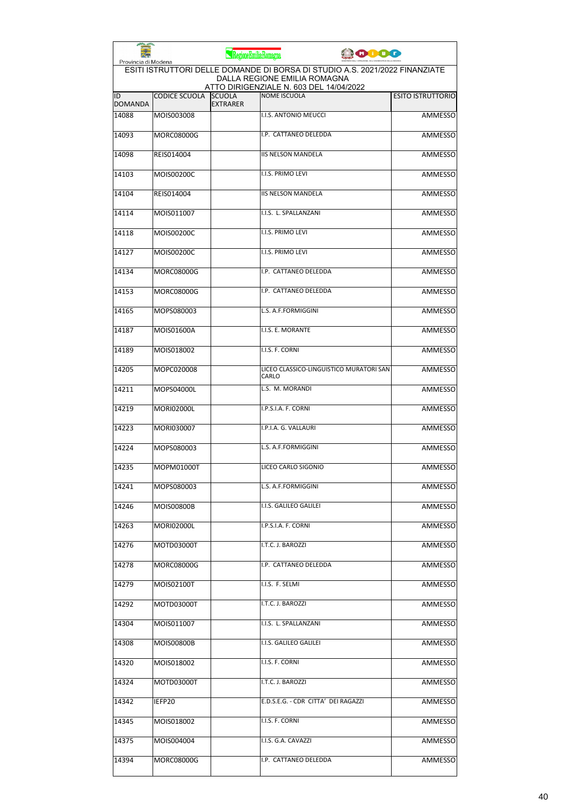| Provincia di Modena  |                      | RegioneEmiliaRomagna             | <b>JOIOO</b>                                                                                                |                          |
|----------------------|----------------------|----------------------------------|-------------------------------------------------------------------------------------------------------------|--------------------------|
|                      |                      |                                  | ESITI ISTRUTTORI DELLE DOMANDE DI BORSA DI STUDIO A.S. 2021/2022 FINANZIATE<br>DALLA REGIONE EMILIA ROMAGNA |                          |
| ID<br><b>DOMANDA</b> | <b>CODICE SCUOLA</b> | <b>SCUOLA</b><br><b>EXTRARER</b> | ATTO DIRIGENZIALE N. 603 DEL 14/04/2022<br><b>NOME ISCUOLA</b>                                              | <b>ESITO ISTRUTTORIO</b> |
| 14088                | MOIS003008           |                                  | I.I.S. ANTONIO MEUCCI                                                                                       | <b>AMMESSO</b>           |
| 14093                | <b>MORC08000G</b>    |                                  | I.P. CATTANEO DELEDDA                                                                                       | <b>AMMESSO</b>           |
| 14098                | REIS014004           |                                  | <b>IIS NELSON MANDELA</b>                                                                                   | <b>AMMESSO</b>           |
| 14103                | MOIS00200C           |                                  | I.I.S. PRIMO LEVI                                                                                           | AMMESSO                  |
| 14104                | REIS014004           |                                  | <b>IIS NELSON MANDELA</b>                                                                                   | AMMESSO                  |
| 14114                | MOIS011007           |                                  | I.I.S. L. SPALLANZANI                                                                                       | AMMESSO                  |
| 14118                | MOIS00200C           |                                  | I.I.S. PRIMO LEVI                                                                                           | <b>AMMESSO</b>           |
| 14127                | MOIS00200C           |                                  | <b>I.I.S. PRIMO LEVI</b>                                                                                    | AMMESSO                  |
| 14134                | <b>MORC08000G</b>    |                                  | I.P. CATTANEO DELEDDA                                                                                       | AMMESSO                  |
| 14153                | MORC08000G           |                                  | I.P. CATTANEO DELEDDA                                                                                       | AMMESSO                  |
| 14165                | MOPS080003           |                                  | L.S. A.F.FORMIGGINI                                                                                         | AMMESSO                  |
| 14187                | MOIS01600A           |                                  | I.I.S. E. MORANTE                                                                                           | <b>AMMESSO</b>           |
| 14189                | MOIS018002           |                                  | I.I.S. F. CORNI                                                                                             | <b>AMMESSO</b>           |
| 14205                | MOPC020008           |                                  | LICEO CLASSICO-LINGUISTICO MURATORI SAN<br>CARLO                                                            | <b>AMMESSO</b>           |
| 14211                | MOPS04000L           |                                  | L.S. M. MORANDI                                                                                             | AMMESSO                  |
| 14219                | <b>MORI02000L</b>    |                                  | I.P.S.I.A. F. CORNI                                                                                         | <b>AMMESSO</b>           |
| 14223                | MORI030007           |                                  | I.P.I.A. G. VALLAURI                                                                                        | AMMESSO                  |
| 14224                | MOPS080003           |                                  | L.S. A.F.FORMIGGINI                                                                                         | <b>AMMESSO</b>           |
| 14235                | MOPM01000T           |                                  | LICEO CARLO SIGONIO                                                                                         | <b>AMMESSO</b>           |
| 14241                | MOPS080003           |                                  | L.S. A.F.FORMIGGINI                                                                                         | AMMESSO                  |
| 14246                | MOIS00800B           |                                  | I.I.S. GALILEO GALILEI                                                                                      | AMMESSO                  |
| 14263                | <b>MORI02000L</b>    |                                  | I.P.S.I.A. F. CORNI                                                                                         | <b>AMMESSO</b>           |
| 14276                | MOTD03000T           |                                  | I.T.C. J. BAROZZI                                                                                           | AMMESSO                  |
| 14278                | MORC08000G           |                                  | I.P. CATTANEO DELEDDA                                                                                       | <b>AMMESSO</b>           |
| 14279                | MOIS02100T           |                                  | I.I.S. F. SELMI                                                                                             | <b>AMMESSO</b>           |
| 14292                | MOTD03000T           |                                  | I.T.C. J. BAROZZI                                                                                           | AMMESSO                  |
| 14304                | MOIS011007           |                                  | I.I.S. L. SPALLANZANI                                                                                       | AMMESSO                  |
| 14308                | MOIS00800B           |                                  | I.I.S. GALILEO GALILEI                                                                                      | AMMESSO                  |
| 14320                | MOIS018002           |                                  | I.I.S. F. CORNI                                                                                             | AMMESSO                  |
| 14324                | MOTD03000T           |                                  | I.T.C. J. BAROZZI                                                                                           | AMMESSO                  |
| 14342                | IEFP20               |                                  | E.D.S.E.G. - CDR CITTA' DEI RAGAZZI                                                                         | AMMESSO                  |
| 14345                | MOIS018002           |                                  | I.I.S. F. CORNI                                                                                             | AMMESSO                  |
| 14375                | MOIS004004           |                                  | I.I.S. G.A. CAVAZZI                                                                                         | AMMESSO                  |
| 14394                | MORC08000G           |                                  | I.P. CATTANEO DELEDDA                                                                                       | AMMESSO                  |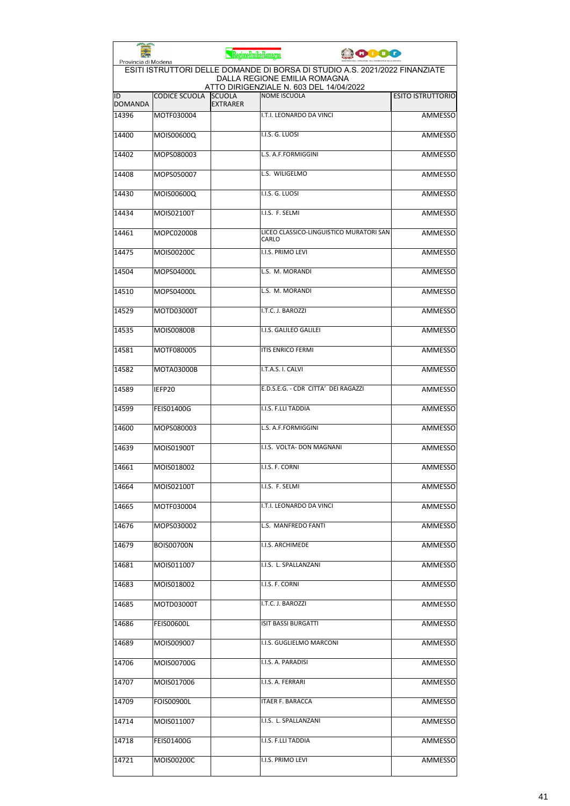| Provincia di Modena  |                      | RegioneEmiliaRomagna             |                                                                                                             | <b>PODO</b> |                          |
|----------------------|----------------------|----------------------------------|-------------------------------------------------------------------------------------------------------------|-------------|--------------------------|
|                      |                      |                                  | ESITI ISTRUTTORI DELLE DOMANDE DI BORSA DI STUDIO A.S. 2021/2022 FINANZIATE<br>DALLA REGIONE EMILIA ROMAGNA |             |                          |
| ID<br><b>DOMANDA</b> | <b>CODICE SCUOLA</b> | <b>SCUOLA</b><br><b>EXTRARER</b> | ATTO DIRIGENZIALE N. 603 DEL 14/04/2022<br><b>NOME ISCUOLA</b>                                              |             | <b>ESITO ISTRUTTORIO</b> |
| 14396                | MOTF030004           |                                  | I.T.I. LEONARDO DA VINCI                                                                                    |             | <b>AMMESSO</b>           |
| 14400                | MOIS00600Q           |                                  | I.I.S. G. LUOSI                                                                                             |             | <b>AMMESSO</b>           |
| 14402                | MOPS080003           |                                  | L.S. A.F.FORMIGGINI                                                                                         |             | AMMESSO                  |
| 14408                | MOPS050007           |                                  | L.S. WILIGELMO                                                                                              |             | AMMESSO                  |
| 14430                | MOIS00600Q           |                                  | I.I.S. G. LUOSI                                                                                             |             | AMMESSO                  |
| 14434                | MOIS02100T           |                                  | I.I.S. F. SELMI                                                                                             |             | AMMESSO                  |
| 14461                | MOPC020008           |                                  | LICEO CLASSICO-LINGUISTICO MURATORI SAN<br>CARLO                                                            |             | <b>AMMESSO</b>           |
| 14475                | MOIS00200C           |                                  | <b>I.I.S. PRIMO LEVI</b>                                                                                    |             | AMMESSO                  |
| 14504                | MOPS04000L           |                                  | L.S. M. MORANDI                                                                                             |             | AMMESSO                  |
| 14510                | MOPS04000L           |                                  | L.S. M. MORANDI                                                                                             |             | <b>AMMESSO</b>           |
| 14529                | MOTD03000T           |                                  | I.T.C. J. BAROZZI                                                                                           |             | AMMESSO                  |
| 14535                | <b>MOIS00800B</b>    |                                  | I.I.S. GALILEO GALILEI                                                                                      |             | <b>AMMESSO</b>           |
| 14581                | MOTF080005           |                                  | <b>ITIS ENRICO FERMI</b>                                                                                    |             | <b>AMMESSO</b>           |
| 14582                | <b>MOTA03000B</b>    |                                  | I.T.A.S. I. CALVI                                                                                           |             | <b>AMMESSO</b>           |
| 14589                | IEFP20               |                                  | E.D.S.E.G. - CDR CITTA' DEI RAGAZZI                                                                         |             | AMMESSO                  |
| 14599                | <b>FEIS01400G</b>    |                                  | I.I.S. F.LLI TADDIA                                                                                         |             | <b>AMMESSO</b>           |
| 14600                | MOPS080003           |                                  | L.S. A.F.FORMIGGINI                                                                                         |             | AMMESSO                  |
| 14639                | MOIS01900T           |                                  | I.I.S. VOLTA- DON MAGNANI                                                                                   |             | <b>AMMESSO</b>           |
| 14661                | MOIS018002           |                                  | I.I.S. F. CORNI                                                                                             |             | <b>AMMESSO</b>           |
| 14664                | MOIS02100T           |                                  | I.I.S. F. SELMI                                                                                             |             | AMMESSO                  |
| 14665                | MOTF030004           |                                  | I.T.I. LEONARDO DA VINCI                                                                                    |             | AMMESSO                  |
| 14676                | MOPS030002           |                                  | L.S. MANFREDO FANTI                                                                                         |             | <b>AMMESSO</b>           |
| 14679                | <b>BOIS00700N</b>    |                                  | I.I.S. ARCHIMEDE                                                                                            |             | AMMESSO                  |
| 14681                | MOIS011007           |                                  | I.I.S. L. SPALLANZANI                                                                                       |             | AMMESSO                  |
| 14683                | MOIS018002           |                                  | I.I.S. F. CORNI                                                                                             |             | <b>AMMESSO</b>           |
| 14685                | MOTD03000T           |                                  | I.T.C. J. BAROZZI                                                                                           |             | AMMESSO                  |
| 14686                | FEIS00600L           |                                  | <b>ISIT BASSI BURGATTI</b>                                                                                  |             | AMMESSO                  |
| 14689                | MOIS009007           |                                  | I.I.S. GUGLIELMO MARCONI                                                                                    |             | AMMESSO                  |
| 14706                | MOIS00700G           |                                  | I.I.S. A. PARADISI                                                                                          |             | AMMESSO                  |
| 14707                | MOIS017006           |                                  | I.I.S. A. FERRARI                                                                                           |             | AMMESSO                  |
| 14709                | FOIS00900L           |                                  | ITAER F. BARACCA                                                                                            |             | AMMESSO                  |
| 14714                | MOIS011007           |                                  | I.I.S. L. SPALLANZANI                                                                                       |             | AMMESSO                  |
| 14718                | <b>FEIS01400G</b>    |                                  | I.I.S. F.LLI TADDIA                                                                                         |             | AMMESSO                  |
| 14721                | MOIS00200C           |                                  | I.I.S. PRIMO LEVI                                                                                           |             | AMMESSO                  |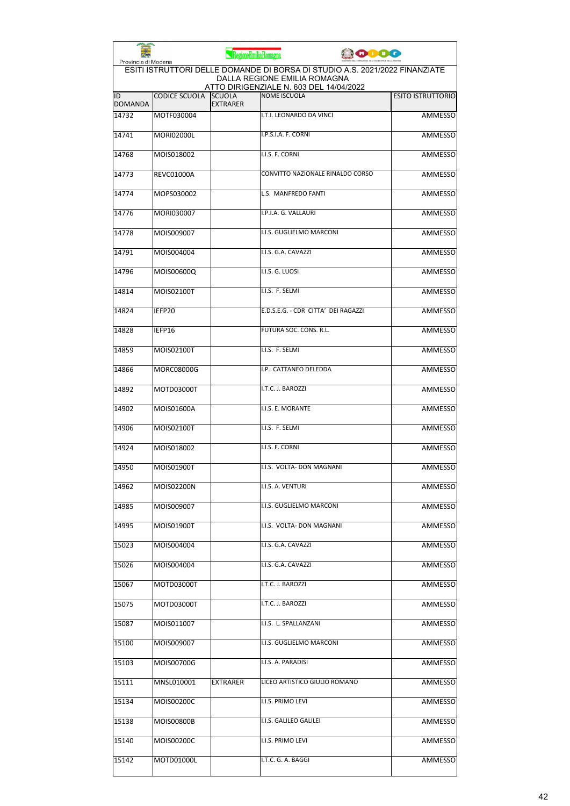|                      |                                                                                                                                    | RegioneEmiliaRomagna             |                                                                | <b>ODO</b>               |  |  |
|----------------------|------------------------------------------------------------------------------------------------------------------------------------|----------------------------------|----------------------------------------------------------------|--------------------------|--|--|
|                      | Provincia di Modena<br>ESITI ISTRUTTORI DELLE DOMANDE DI BORSA DI STUDIO A.S. 2021/2022 FINANZIATE<br>DALLA REGIONE EMILIA ROMAGNA |                                  |                                                                |                          |  |  |
| ID<br><b>DOMANDA</b> | <b>CODICE SCUOLA</b>                                                                                                               | <b>SCUOLA</b><br><b>EXTRARER</b> | ATTO DIRIGENZIALE N. 603 DEL 14/04/2022<br><b>NOME ISCUOLA</b> | <b>ESITO ISTRUTTORIO</b> |  |  |
| 14732                | MOTF030004                                                                                                                         |                                  | I.T.I. LEONARDO DA VINCI                                       | <b>AMMESSO</b>           |  |  |
| 14741                | <b>MORI02000L</b>                                                                                                                  |                                  | I.P.S.I.A. F. CORNI                                            | <b>AMMESSO</b>           |  |  |
| 14768                | MOIS018002                                                                                                                         |                                  | I.I.S. F. CORNI                                                | AMMESSO                  |  |  |
| 14773                | <b>REVC01000A</b>                                                                                                                  |                                  | CONVITTO NAZIONALE RINALDO CORSO                               | AMMESSO                  |  |  |
| 14774                | MOPS030002                                                                                                                         |                                  | L.S. MANFREDO FANTI                                            | AMMESSO                  |  |  |
| 14776                | MORI030007                                                                                                                         |                                  | I.P.I.A. G. VALLAURI                                           | AMMESSO                  |  |  |
| 14778                | MOIS009007                                                                                                                         |                                  | I.I.S. GUGLIELMO MARCONI                                       | AMMESSO                  |  |  |
| 14791                | MOIS004004                                                                                                                         |                                  | I.I.S. G.A. CAVAZZI                                            | AMMESSO                  |  |  |
| 14796                | MOIS00600Q                                                                                                                         |                                  | I.I.S. G. LUOSI                                                | AMMESSO                  |  |  |
| 14814                | MOIS02100T                                                                                                                         |                                  | I.I.S. F. SELMI                                                | AMMESSO                  |  |  |
| 14824                | IEFP20                                                                                                                             |                                  | E.D.S.E.G. - CDR CITTA' DEI RAGAZZI                            | <b>AMMESSO</b>           |  |  |
| 14828                | IEFP16                                                                                                                             |                                  | FUTURA SOC. CONS. R.L.                                         | AMMESSO                  |  |  |
| 14859                | MOIS02100T                                                                                                                         |                                  | I.I.S. F. SELMI                                                | AMMESSO                  |  |  |
| 14866                | <b>MORC08000G</b>                                                                                                                  |                                  | I.P. CATTANEO DELEDDA                                          | <b>AMMESSO</b>           |  |  |
| 14892                | MOTD03000T                                                                                                                         |                                  | I.T.C. J. BAROZZI                                              | AMMESSO                  |  |  |
| 14902                | MOIS01600A                                                                                                                         |                                  | I.I.S. E. MORANTE                                              | <b>AMMESSO</b>           |  |  |
| 14906                | MOIS02100T                                                                                                                         |                                  | I.I.S. F. SELMI                                                | <b>AMMESSO</b>           |  |  |
| 14924                | MOIS018002                                                                                                                         |                                  | I.I.S. F. CORNI                                                | AMMESSO                  |  |  |
| 14950                | MOIS01900T                                                                                                                         |                                  | I.I.S. VOLTA- DON MAGNANI                                      | <b>AMMESSO</b>           |  |  |
| 14962                | MOIS02200N                                                                                                                         |                                  | I.I.S. A. VENTURI                                              | AMMESSO                  |  |  |
| 14985                | MOIS009007                                                                                                                         |                                  | I.I.S. GUGLIELMO MARCONI                                       | AMMESSO                  |  |  |
| 14995                | MOIS01900T                                                                                                                         |                                  | I.I.S. VOLTA- DON MAGNANI                                      | AMMESSO                  |  |  |
| 15023                | MOIS004004                                                                                                                         |                                  | I.I.S. G.A. CAVAZZI                                            | <b>AMMESSO</b>           |  |  |
| 15026                | MOIS004004                                                                                                                         |                                  | I.I.S. G.A. CAVAZZI                                            | AMMESSO                  |  |  |
| 15067                | MOTD03000T                                                                                                                         |                                  | I.T.C. J. BAROZZI                                              | AMMESSO                  |  |  |
| 15075                | MOTD03000T                                                                                                                         |                                  | I.T.C. J. BAROZZI                                              | AMMESSO                  |  |  |
| 15087                | MOIS011007                                                                                                                         |                                  | I.I.S. L. SPALLANZANI                                          | AMMESSO                  |  |  |
| 15100                | MOIS009007                                                                                                                         |                                  | I.I.S. GUGLIELMO MARCONI                                       | AMMESSO                  |  |  |
| 15103                | MOIS00700G                                                                                                                         |                                  | I.I.S. A. PARADISI                                             | <b>AMMESSO</b>           |  |  |
| 15111                | MNSL010001                                                                                                                         | <b>EXTRARER</b>                  | LICEO ARTISTICO GIULIO ROMANO                                  | AMMESSO                  |  |  |
| 15134                | MOIS00200C                                                                                                                         |                                  | I.I.S. PRIMO LEVI                                              | AMMESSO                  |  |  |
| 15138                | MOIS00800B                                                                                                                         |                                  | I.I.S. GALILEO GALILEI                                         | AMMESSO                  |  |  |
| 15140                | MOIS00200C                                                                                                                         |                                  | I.I.S. PRIMO LEVI                                              | AMMESSO                  |  |  |
| 15142                | MOTD01000L                                                                                                                         |                                  | I.T.C. G. A. BAGGI                                             | <b>AMMESSO</b>           |  |  |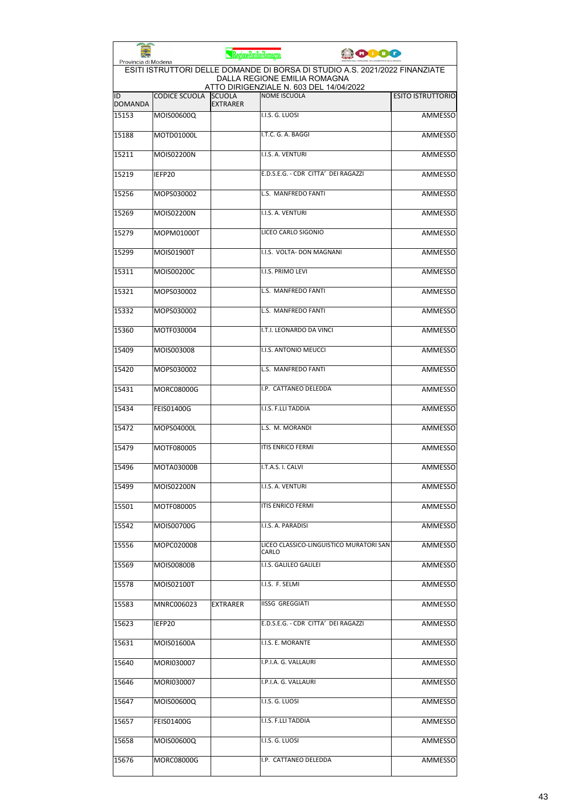| Provincia di Modena  |                      | RegioneEmiliaRomagna             | 0000                                                                                                                                                   |                          |
|----------------------|----------------------|----------------------------------|--------------------------------------------------------------------------------------------------------------------------------------------------------|--------------------------|
|                      |                      |                                  | ESITI ISTRUTTORI DELLE DOMANDE DI BORSA DI STUDIO A.S. 2021/2022 FINANZIATE<br>DALLA REGIONE EMILIA ROMAGNA<br>ATTO DIRIGENZIALE N. 603 DEL 14/04/2022 |                          |
| ID<br><b>DOMANDA</b> | <b>CODICE SCUOLA</b> | <b>SCUOLA</b><br><b>EXTRARER</b> | NOME ISCUOLA                                                                                                                                           | <b>ESITO ISTRUTTORIO</b> |
| 15153                | MOIS00600Q           |                                  | I.I.S. G. LUOSI                                                                                                                                        | <b>AMMESSO</b>           |
| 15188                | MOTD01000L           |                                  | I.T.C. G. A. BAGGI                                                                                                                                     | <b>AMMESSO</b>           |
| 15211                | MOIS02200N           |                                  | I.I.S. A. VENTURI                                                                                                                                      | <b>AMMESSO</b>           |
| 15219                | IEFP20               |                                  | E.D.S.E.G. - CDR CITTA' DEI RAGAZZI                                                                                                                    | <b>AMMESSO</b>           |
| 15256                | MOPS030002           |                                  | L.S. MANFREDO FANTI                                                                                                                                    | <b>AMMESSO</b>           |
| 15269                | MOIS02200N           |                                  | I.I.S. A. VENTURI                                                                                                                                      | <b>AMMESSO</b>           |
| 15279                | MOPM01000T           |                                  | LICEO CARLO SIGONIO                                                                                                                                    | <b>AMMESSO</b>           |
| 15299                | MOIS01900T           |                                  | I.I.S. VOLTA- DON MAGNANI                                                                                                                              | AMMESSO                  |
| 15311                | MOIS00200C           |                                  | I.I.S. PRIMO LEVI                                                                                                                                      | <b>AMMESSO</b>           |
| 15321                | MOPS030002           |                                  | L.S. MANFREDO FANTI                                                                                                                                    | AMMESSO                  |
| 15332                | MOPS030002           |                                  | L.S. MANFREDO FANTI                                                                                                                                    | AMMESSO                  |
| 15360                | MOTF030004           |                                  | I.T.I. LEONARDO DA VINCI                                                                                                                               | <b>AMMESSO</b>           |
| 15409                | MOIS003008           |                                  | I.I.S. ANTONIO MEUCCI                                                                                                                                  | <b>AMMESSO</b>           |
| 15420                | MOPS030002           |                                  | L.S. MANFREDO FANTI                                                                                                                                    | <b>AMMESSO</b>           |
| 15431                | MORC08000G           |                                  | I.P. CATTANEO DELEDDA                                                                                                                                  | AMMESSO                  |
| 15434                | <b>FEIS01400G</b>    |                                  | I.I.S. F.LLI TADDIA                                                                                                                                    | <b>AMMESSO</b>           |
| 15472                | MOPS04000L           |                                  | L.S. M. MORANDI                                                                                                                                        | <b>AMMESSO</b>           |
| 15479                | MOTF080005           |                                  | <b>ITIS ENRICO FERMI</b>                                                                                                                               | AMMESSO                  |
| 15496                | <b>MOTA03000B</b>    |                                  | I.T.A.S. I. CALVI                                                                                                                                      | <b>AMMESSO</b>           |
| 15499                | MOIS02200N           |                                  | I.I.S. A. VENTURI                                                                                                                                      | <b>AMMESSO</b>           |
| 15501                | MOTF080005           |                                  | <b>ITIS ENRICO FERMI</b>                                                                                                                               | AMMESSO                  |
| 15542                | MOIS00700G           |                                  | I.I.S. A. PARADISI                                                                                                                                     | AMMESSO                  |
| 15556                | MOPC020008           |                                  | LICEO CLASSICO-LINGUISTICO MURATORI SAN<br>CARLO                                                                                                       | AMMESSO                  |
| 15569                | MOIS00800B           |                                  | I.I.S. GALILEO GALILEI                                                                                                                                 | AMMESSO                  |
| 15578                | MOIS02100T           |                                  | I.I.S. F. SELMI                                                                                                                                        | <b>AMMESSO</b>           |
| 15583                | MNRC006023           | EXTRARER                         | <b>IISSG GREGGIATI</b>                                                                                                                                 | AMMESSO                  |
| 15623                | IEFP20               |                                  | E.D.S.E.G. - CDR CITTA' DEI RAGAZZI                                                                                                                    | AMMESSO                  |
| 15631                | MOIS01600A           |                                  | I.I.S. E. MORANTE                                                                                                                                      | AMMESSO                  |
| 15640                | MORI030007           |                                  | I.P.I.A. G. VALLAURI                                                                                                                                   | AMMESSO                  |
| 15646                | MORI030007           |                                  | I.P.I.A. G. VALLAURI                                                                                                                                   | AMMESSO                  |
| 15647                | MOIS00600Q           |                                  | I.I.S. G. LUOSI                                                                                                                                        | AMMESSO                  |
| 15657                | <b>FEIS01400G</b>    |                                  | I.I.S. F.LLI TADDIA                                                                                                                                    | AMMESSO                  |
| 15658                | MOIS00600Q           |                                  | I.I.S. G. LUOSI                                                                                                                                        | AMMESSO                  |
| 15676                | MORC08000G           |                                  | I.P. CATTANEO DELEDDA                                                                                                                                  | AMMESSO                  |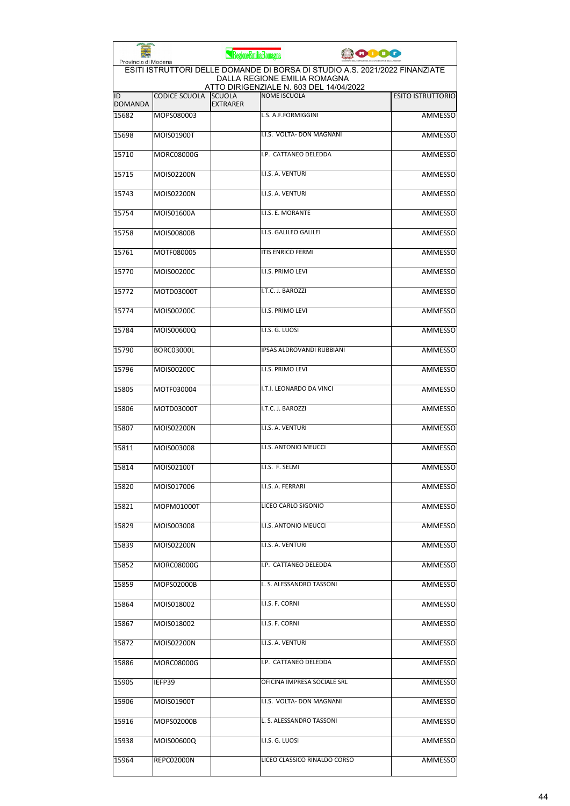| Provincia di Modena  |                      | RegioneEmiliaRomagna             |                                                                                                             | 10000 |                          |
|----------------------|----------------------|----------------------------------|-------------------------------------------------------------------------------------------------------------|-------|--------------------------|
|                      |                      |                                  | ESITI ISTRUTTORI DELLE DOMANDE DI BORSA DI STUDIO A.S. 2021/2022 FINANZIATE<br>DALLA REGIONE EMILIA ROMAGNA |       |                          |
| ID<br><b>DOMANDA</b> | <b>CODICE SCUOLA</b> | <b>SCUOLA</b><br><b>EXTRARER</b> | ATTO DIRIGENZIALE N. 603 DEL 14/04/2022<br><b>NOME ISCUOLA</b>                                              |       | <b>ESITO ISTRUTTORIO</b> |
| 15682                | MOPS080003           |                                  | L.S. A.F.FORMIGGINI                                                                                         |       | <b>AMMESSO</b>           |
| 15698                | MOIS01900T           |                                  | I.I.S. VOLTA- DON MAGNANI                                                                                   |       | <b>AMMESSO</b>           |
| 15710                | <b>MORC08000G</b>    |                                  | I.P. CATTANEO DELEDDA                                                                                       |       | <b>AMMESSO</b>           |
| 15715                | MOIS02200N           |                                  | I.I.S. A. VENTURI                                                                                           |       | AMMESSO                  |
| 15743                | MOIS02200N           |                                  | I.I.S. A. VENTURI                                                                                           |       | AMMESSO                  |
| 15754                | MOIS01600A           |                                  | I.I.S. E. MORANTE                                                                                           |       | AMMESSO                  |
| 15758                | <b>MOIS00800B</b>    |                                  | I.I.S. GALILEO GALILEI                                                                                      |       | <b>AMMESSO</b>           |
| 15761                | MOTF080005           |                                  | <b>ITIS ENRICO FERMI</b>                                                                                    |       | AMMESSO                  |
| 15770                | MOIS00200C           |                                  | I.I.S. PRIMO LEVI                                                                                           |       | AMMESSO                  |
| 15772                | MOTD03000T           |                                  | I.T.C. J. BAROZZI                                                                                           |       | AMMESSO                  |
| 15774                | MOIS00200C           |                                  | <b>I.I.S. PRIMO LEVI</b>                                                                                    |       | AMMESSO                  |
| 15784                | MOIS00600Q           |                                  | I.I.S. G. LUOSI                                                                                             |       | <b>AMMESSO</b>           |
| 15790                | BORC03000L           |                                  | <b>IPSAS ALDROVANDI RUBBIANI</b>                                                                            |       | AMMESSO                  |
| 15796                | MOIS00200C           |                                  | I.I.S. PRIMO LEVI                                                                                           |       | <b>AMMESSO</b>           |
| 15805                | MOTF030004           |                                  | I.T.I. LEONARDO DA VINCI                                                                                    |       | AMMESSO                  |
| 15806                | MOTD03000T           |                                  | I.T.C. J. BAROZZI                                                                                           |       | AMMESSO                  |
| 15807                | MOIS02200N           |                                  | I.I.S. A. VENTURI                                                                                           |       | <b>AMMESSO</b>           |
| 15811                | MOIS003008           |                                  | I.I.S. ANTONIO MEUCCI                                                                                       |       | AMMESSO                  |
| 15814                | MOIS02100T           |                                  | I.I.S. F. SELMI                                                                                             |       | AMMESSO                  |
| 15820                | MOIS017006           |                                  | I.I.S. A. FERRARI                                                                                           |       | AMMESSO                  |
| 15821                | MOPM01000T           |                                  | LICEO CARLO SIGONIO                                                                                         |       | AMMESSO                  |
| 15829                | MOIS003008           |                                  | I.I.S. ANTONIO MEUCCI                                                                                       |       | AMMESSO                  |
| 15839                | MOIS02200N           |                                  | I.I.S. A. VENTURI                                                                                           |       | AMMESSO                  |
| 15852                | MORC08000G           |                                  | I.P. CATTANEO DELEDDA                                                                                       |       | <b>AMMESSO</b>           |
| 15859                | MOPS02000B           |                                  | L. S. ALESSANDRO TASSONI                                                                                    |       | <b>AMMESSO</b>           |
| 15864                | MOIS018002           |                                  | I.I.S. F. CORNI                                                                                             |       | AMMESSO                  |
| 15867                | MOIS018002           |                                  | I.I.S. F. CORNI                                                                                             |       | AMMESSO                  |
| 15872                | MOIS02200N           |                                  | I.I.S. A. VENTURI                                                                                           |       | AMMESSO                  |
| 15886                | MORC08000G           |                                  | I.P. CATTANEO DELEDDA                                                                                       |       | AMMESSO                  |
| 15905                | IEFP39               |                                  | OFICINA IMPRESA SOCIALE SRL                                                                                 |       | AMMESSO                  |
| 15906                | MOIS01900T           |                                  | I.I.S. VOLTA- DON MAGNANI                                                                                   |       | AMMESSO                  |
| 15916                | MOPS02000B           |                                  | L. S. ALESSANDRO TASSONI                                                                                    |       | AMMESSO                  |
| 15938                | MOIS00600Q           |                                  | I.I.S. G. LUOSI                                                                                             |       | AMMESSO                  |
| 15964                | REPC02000N           |                                  | LICEO CLASSICO RINALDO CORSO                                                                                |       | AMMESSO                  |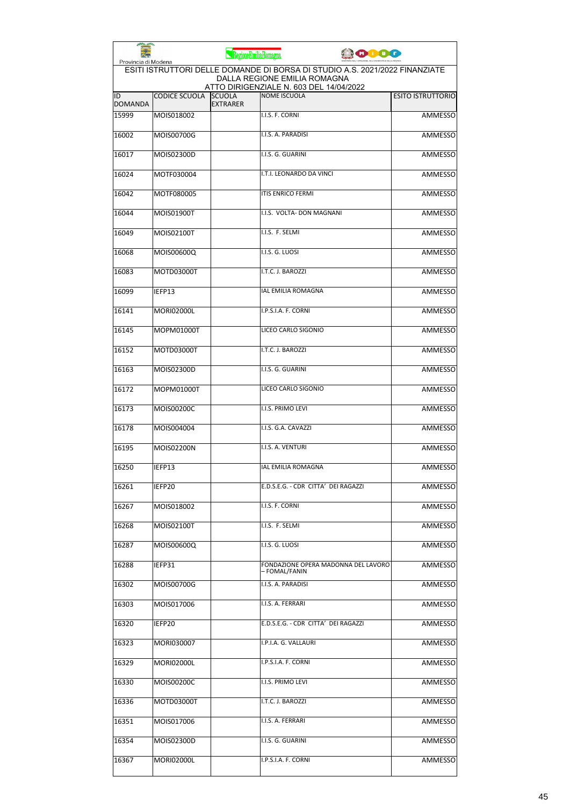| Provincia di Modena  |                      | RegioneEmiliaRomagna             |                                                                         | <b>JOIDO</b>                                                                |
|----------------------|----------------------|----------------------------------|-------------------------------------------------------------------------|-----------------------------------------------------------------------------|
|                      |                      |                                  | DALLA REGIONE EMILIA ROMAGNA<br>ATTO DIRIGENZIALE N. 603 DEL 14/04/2022 | ESITI ISTRUTTORI DELLE DOMANDE DI BORSA DI STUDIO A.S. 2021/2022 FINANZIATE |
| ID<br><b>DOMANDA</b> | <b>CODICE SCUOLA</b> | <b>SCUOLA</b><br><b>EXTRARER</b> | <b>NOME ISCUOLA</b>                                                     | <b>ESITO ISTRUTTORIO</b>                                                    |
| 15999                | MOIS018002           |                                  | I.I.S. F. CORNI                                                         | <b>AMMESSO</b>                                                              |
| 16002                | MOIS00700G           |                                  | I.I.S. A. PARADISI                                                      | <b>AMMESSO</b>                                                              |
| 16017                | MOIS02300D           |                                  | I.I.S. G. GUARINI                                                       | AMMESSO                                                                     |
| 16024                | MOTF030004           |                                  | I.T.I. LEONARDO DA VINCI                                                | AMMESSO                                                                     |
| 16042                | MOTF080005           |                                  | <b>ITIS ENRICO FERMI</b>                                                | AMMESSO                                                                     |
| 16044                | MOIS01900T           |                                  | I.I.S. VOLTA- DON MAGNANI                                               | AMMESSO                                                                     |
| 16049                | MOIS02100T           |                                  | I.I.S. F. SELMI                                                         | <b>AMMESSO</b>                                                              |
| 16068                | MOIS00600Q           |                                  | I.I.S. G. LUOSI                                                         | AMMESSO                                                                     |
| 16083                | MOTD03000T           |                                  | I.T.C. J. BAROZZI                                                       | AMMESSO                                                                     |
| 16099                | IEFP13               |                                  | IAL EMILIA ROMAGNA                                                      | AMMESSO                                                                     |
| 16141                | <b>MORI02000L</b>    |                                  | I.P.S.I.A. F. CORNI                                                     | <b>AMMESSO</b>                                                              |
| 16145                | MOPM01000T           |                                  | LICEO CARLO SIGONIO                                                     | <b>AMMESSO</b>                                                              |
| 16152                | MOTD03000T           |                                  | I.T.C. J. BAROZZI                                                       | <b>AMMESSO</b>                                                              |
| 16163                | MOIS02300D           |                                  | I.I.S. G. GUARINI                                                       | AMMESSO                                                                     |
| 16172                | MOPM01000T           |                                  | LICEO CARLO SIGONIO                                                     | AMMESSO                                                                     |
| 16173                | MOIS00200C           |                                  | I.I.S. PRIMO LEVI                                                       | <b>AMMESSO</b>                                                              |
| 16178                | MOIS004004           |                                  | I.I.S. G.A. CAVAZZI                                                     | AMMESSO                                                                     |
| 16195                | MOIS02200N           |                                  | I.I.S. A. VENTURI                                                       | <b>AMMESSO</b>                                                              |
| 16250                | IEFP13               |                                  | IAL EMILIA ROMAGNA                                                      | AMMESSO                                                                     |
| 16261                | IEFP20               |                                  | E.D.S.E.G. - CDR CITTA' DEI RAGAZZI                                     | AMMESSO                                                                     |
| 16267                | MOIS018002           |                                  | I.I.S. F. CORNI                                                         | <b>AMMESSO</b>                                                              |
| 16268                | MOIS02100T           |                                  | I.I.S. F. SELMI                                                         | AMMESSO                                                                     |
| 16287                | MOIS00600Q           |                                  | I.I.S. G. LUOSI                                                         | AMMESSO                                                                     |
| 16288                | IEFP31               |                                  | FONDAZIONE OPERA MADONNA DEL LAVORO<br>– FOMAL/FANIN                    | <b>AMMESSO</b>                                                              |
| 16302                | MOIS00700G           |                                  | I.I.S. A. PARADISI                                                      | <b>AMMESSO</b>                                                              |
| 16303                | MOIS017006           |                                  | I.I.S. A. FERRARI                                                       | AMMESSO                                                                     |
| 16320                | IEFP20               |                                  | E.D.S.E.G. - CDR CITTA' DEI RAGAZZI                                     | AMMESSO                                                                     |
| 16323                | MORI030007           |                                  | I.P.I.A. G. VALLAURI                                                    | AMMESSO                                                                     |
| 16329                | <b>MORI02000L</b>    |                                  | I.P.S.I.A. F. CORNI                                                     | AMMESSO                                                                     |
| 16330                | MOIS00200C           |                                  | I.I.S. PRIMO LEVI                                                       | AMMESSO                                                                     |
| 16336                | MOTD03000T           |                                  | I.T.C. J. BAROZZI                                                       | AMMESSO                                                                     |
| 16351                | MOIS017006           |                                  | I.I.S. A. FERRARI                                                       | AMMESSO                                                                     |
| 16354                | MOIS02300D           |                                  | I.I.S. G. GUARINI                                                       | AMMESSO                                                                     |
| 16367                | <b>MORI02000L</b>    |                                  | I.P.S.I.A. F. CORNI                                                     | <b>AMMESSO</b>                                                              |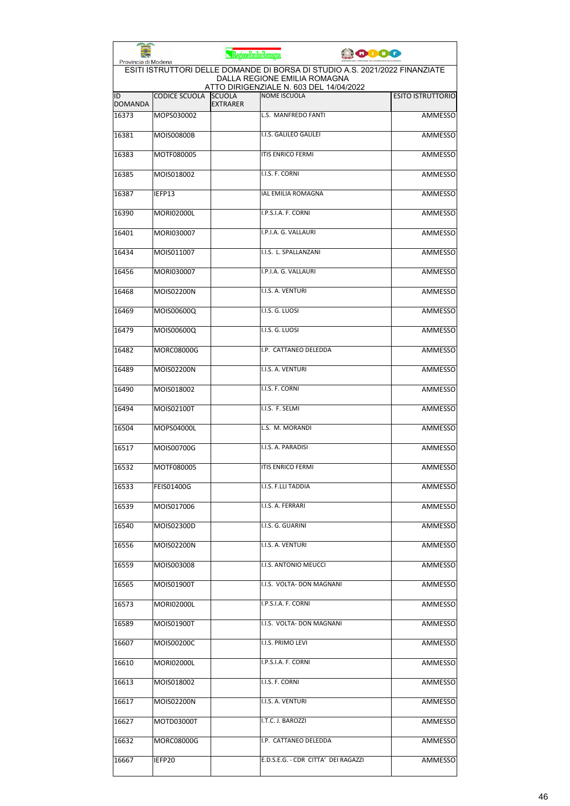| Provincia di Modena  |                      | RegioneEmiliaRomagna             |                                                                                                             | <b>JOIOO</b> |                          |
|----------------------|----------------------|----------------------------------|-------------------------------------------------------------------------------------------------------------|--------------|--------------------------|
|                      |                      |                                  | ESITI ISTRUTTORI DELLE DOMANDE DI BORSA DI STUDIO A.S. 2021/2022 FINANZIATE<br>DALLA REGIONE EMILIA ROMAGNA |              |                          |
| ID<br><b>DOMANDA</b> | <b>CODICE SCUOLA</b> | <b>SCUOLA</b><br><b>EXTRARER</b> | ATTO DIRIGENZIALE N. 603 DEL 14/04/2022<br><b>NOME ISCUOLA</b>                                              |              | <b>ESITO ISTRUTTORIO</b> |
| 16373                | MOPS030002           |                                  | L.S. MANFREDO FANTI                                                                                         |              | <b>AMMESSO</b>           |
| 16381                | <b>MOIS00800B</b>    |                                  | I.I.S. GALILEO GALILEI                                                                                      |              | <b>AMMESSO</b>           |
| 16383                | MOTF080005           |                                  | ITIS ENRICO FERMI                                                                                           |              | AMMESSO                  |
| 16385                | MOIS018002           |                                  | I.I.S. F. CORNI                                                                                             |              | AMMESSO                  |
| 16387                | IEFP13               |                                  | IAL EMILIA ROMAGNA                                                                                          |              | AMMESSO                  |
| 16390                | <b>MORI02000L</b>    |                                  | I.P.S.I.A. F. CORNI                                                                                         |              | AMMESSO                  |
| 16401                | MORI030007           |                                  | I.P.I.A. G. VALLAURI                                                                                        |              | <b>AMMESSO</b>           |
| 16434                | MOIS011007           |                                  | I.I.S. L. SPALLANZANI                                                                                       |              | AMMESSO                  |
| 16456                | MORI030007           |                                  | I.P.I.A. G. VALLAURI                                                                                        |              | AMMESSO                  |
| 16468                | MOIS02200N           |                                  | I.I.S. A. VENTURI                                                                                           |              | AMMESSO                  |
| 16469                | MOIS00600Q           |                                  | I.I.S. G. LUOSI                                                                                             |              | AMMESSO                  |
| 16479                | MOIS00600Q           |                                  | I.I.S. G. LUOSI                                                                                             |              | <b>AMMESSO</b>           |
| 16482                | <b>MORC08000G</b>    |                                  | I.P. CATTANEO DELEDDA                                                                                       |              | <b>AMMESSO</b>           |
| 16489                | MOIS02200N           |                                  | I.I.S. A. VENTURI                                                                                           |              | AMMESSO                  |
| 16490                | MOIS018002           |                                  | I.I.S. F. CORNI                                                                                             |              | AMMESSO                  |
| 16494                | MOIS02100T           |                                  | I.I.S. F. SELMI                                                                                             |              | <b>AMMESSO</b>           |
| 16504                | MOPS04000L           |                                  | L.S. M. MORANDI                                                                                             |              | AMMESSO                  |
| 16517                | MOIS00700G           |                                  | I.I.S. A. PARADISI                                                                                          |              | <b>AMMESSO</b>           |
| 16532                | MOTF080005           |                                  | <b>ITIS ENRICO FERMI</b>                                                                                    |              | AMMESSO                  |
| 16533                | <b>FEIS01400G</b>    |                                  | I.I.S. F.LLI TADDIA                                                                                         |              | AMMESSO                  |
| 16539                | MOIS017006           |                                  | I.I.S. A. FERRARI                                                                                           |              | AMMESSO                  |
| 16540                | MOIS02300D           |                                  | I.I.S. G. GUARINI                                                                                           |              | <b>AMMESSO</b>           |
| 16556                | MOIS02200N           |                                  | I.I.S. A. VENTURI                                                                                           |              | AMMESSO                  |
| 16559                | MOIS003008           |                                  | I.I.S. ANTONIO MEUCCI                                                                                       |              | AMMESSO                  |
| 16565                | MOIS01900T           |                                  | I.I.S. VOLTA- DON MAGNANI                                                                                   |              | <b>AMMESSO</b>           |
| 16573                | MORI02000L           |                                  | I.P.S.I.A. F. CORNI                                                                                         |              | AMMESSO                  |
| 16589                | MOIS01900T           |                                  | I.I.S. VOLTA- DON MAGNANI                                                                                   |              | AMMESSO                  |
| 16607                | MOIS00200C           |                                  | I.I.S. PRIMO LEVI                                                                                           |              | AMMESSO                  |
| 16610                | MORI02000L           |                                  | I.P.S.I.A. F. CORNI                                                                                         |              | AMMESSO                  |
| 16613                | MOIS018002           |                                  | I.I.S. F. CORNI                                                                                             |              | AMMESSO                  |
| 16617                | MOIS02200N           |                                  | I.I.S. A. VENTURI                                                                                           |              | AMMESSO                  |
| 16627                | MOTD03000T           |                                  | I.T.C. J. BAROZZI                                                                                           |              | AMMESSO                  |
| 16632                | MORC08000G           |                                  | I.P. CATTANEO DELEDDA                                                                                       |              | AMMESSO                  |
| 16667                | IEFP20               |                                  | E.D.S.E.G. - CDR CITTA' DEI RAGAZZI                                                                         |              | AMMESSO                  |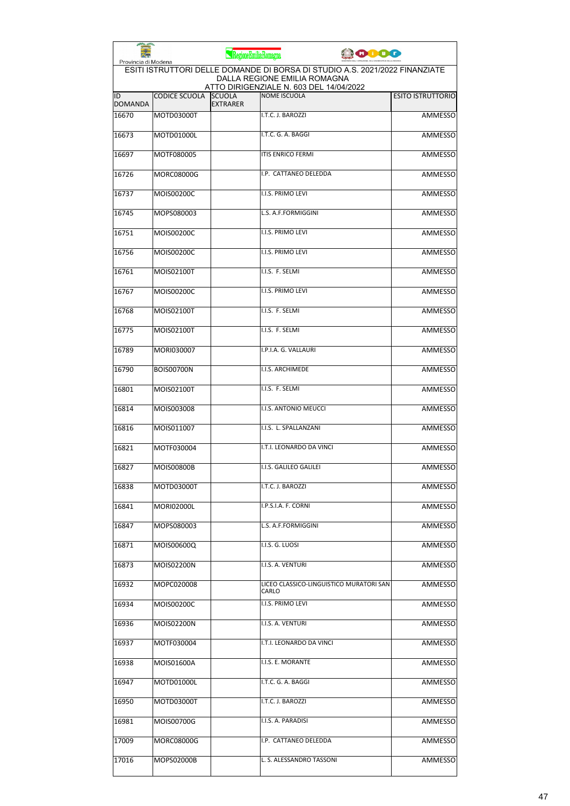|                      |                      | RegioneEmiliaRomagna             | 0000                                                                                                                                                   |                          |
|----------------------|----------------------|----------------------------------|--------------------------------------------------------------------------------------------------------------------------------------------------------|--------------------------|
| Provincia di Modena  |                      |                                  | ESITI ISTRUTTORI DELLE DOMANDE DI BORSA DI STUDIO A.S. 2021/2022 FINANZIATE<br>DALLA REGIONE EMILIA ROMAGNA<br>ATTO DIRIGENZIALE N. 603 DEL 14/04/2022 |                          |
| ID<br><b>DOMANDA</b> | <b>CODICE SCUOLA</b> | <b>SCUOLA</b><br><b>EXTRARER</b> | <b>NOME ISCUOLA</b>                                                                                                                                    | <b>ESITO ISTRUTTORIO</b> |
| 16670                | MOTD03000T           |                                  | I.T.C. J. BAROZZI                                                                                                                                      | <b>AMMESSO</b>           |
| 16673                | MOTD01000L           |                                  | I.T.C. G. A. BAGGI                                                                                                                                     | <b>AMMESSO</b>           |
| 16697                | MOTF080005           |                                  | <b>ITIS ENRICO FERMI</b>                                                                                                                               | AMMESSO                  |
| 16726                | <b>MORC08000G</b>    |                                  | I.P. CATTANEO DELEDDA                                                                                                                                  | <b>AMMESSO</b>           |
| 16737                | MOIS00200C           |                                  | I.I.S. PRIMO LEVI                                                                                                                                      | <b>AMMESSO</b>           |
| 16745                | MOPS080003           |                                  | L.S. A.F.FORMIGGINI                                                                                                                                    | AMMESSO                  |
| 16751                | MOIS00200C           |                                  | I.I.S. PRIMO LEVI                                                                                                                                      | <b>AMMESSO</b>           |
| 16756                | MOIS00200C           |                                  | I.I.S. PRIMO LEVI                                                                                                                                      | <b>AMMESSO</b>           |
| 16761                | MOIS02100T           |                                  | I.I.S. F. SELMI                                                                                                                                        | <b>AMMESSO</b>           |
| 16767                | MOIS00200C           |                                  | <b>I.I.S. PRIMO LEVI</b>                                                                                                                               | AMMESSO                  |
| 16768                | MOIS02100T           |                                  | I.I.S. F. SELMI                                                                                                                                        | AMMESSO                  |
| 16775                | MOIS02100T           |                                  | I.I.S. F. SELMI                                                                                                                                        | <b>AMMESSO</b>           |
| 16789                | MORI030007           |                                  | I.P.I.A. G. VALLAURI                                                                                                                                   | <b>AMMESSO</b>           |
| 16790                | <b>BOIS00700N</b>    |                                  | I.I.S. ARCHIMEDE                                                                                                                                       | <b>AMMESSO</b>           |
| 16801                | MOIS02100T           |                                  | I.I.S. F. SELMI                                                                                                                                        | AMMESSO                  |
| 16814                | MOIS003008           |                                  | I.I.S. ANTONIO MEUCCI                                                                                                                                  | <b>AMMESSO</b>           |
| 16816                | MOIS011007           |                                  | I.I.S. L. SPALLANZANI                                                                                                                                  | <b>AMMESSO</b>           |
| 16821                | MOTF030004           |                                  | I.T.I. LEONARDO DA VINCI                                                                                                                               | AMMESSO                  |
| 16827                | <b>MOIS00800B</b>    |                                  | II.I.S. GALILEO GALILEI                                                                                                                                | <b>AMMESSO</b>           |
| 16838                | MOTD03000T           |                                  | I.T.C. J. BAROZZI                                                                                                                                      | AMMESSO                  |
| 16841                | <b>MORI02000L</b>    |                                  | I.P.S.I.A. F. CORNI                                                                                                                                    | <b>AMMESSO</b>           |
| 16847                | MOPS080003           |                                  | L.S. A.F.FORMIGGINI                                                                                                                                    | <b>AMMESSO</b>           |
| 16871                | MOIS00600Q           |                                  | I.I.S. G. LUOSI                                                                                                                                        | AMMESSO                  |
| 16873                | MOIS02200N           |                                  | I.I.S. A. VENTURI                                                                                                                                      | <b>AMMESSO</b>           |
| 16932                | MOPC020008           |                                  | LICEO CLASSICO-LINGUISTICO MURATORI SAN<br>CARLO                                                                                                       | AMMESSO                  |
| 16934                | MOIS00200C           |                                  | <b>I.I.S. PRIMO LEVI</b>                                                                                                                               | AMMESSO                  |
| 16936                | MOIS02200N           |                                  | I.I.S. A. VENTURI                                                                                                                                      | <b>AMMESSO</b>           |
| 16937                | MOTF030004           |                                  | I.T.I. LEONARDO DA VINCI                                                                                                                               | AMMESSO                  |
| 16938                | MOIS01600A           |                                  | I.I.S. E. MORANTE                                                                                                                                      | AMMESSO                  |
| 16947                | MOTD01000L           |                                  | I.T.C. G. A. BAGGI                                                                                                                                     | AMMESSO                  |
| 16950                | MOTD03000T           |                                  | I.T.C. J. BAROZZI                                                                                                                                      | AMMESSO                  |
| 16981                | MOIS00700G           |                                  | I.I.S. A. PARADISI                                                                                                                                     | <b>AMMESSO</b>           |
| 17009                | MORC08000G           |                                  | I.P. CATTANEO DELEDDA                                                                                                                                  | AMMESSO                  |
| 17016                | MOPS02000B           |                                  | L. S. ALESSANDRO TASSONI                                                                                                                               | <b>AMMESSO</b>           |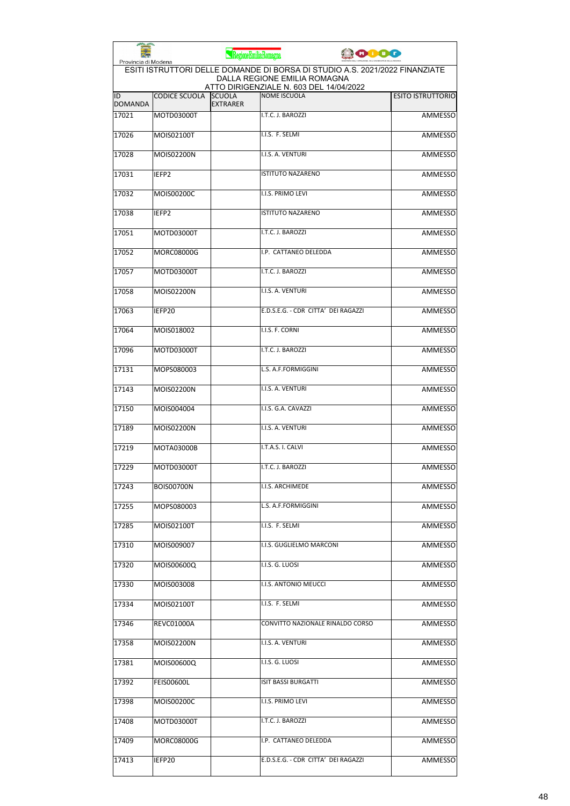| Provincia di Modena  |                      | RegioneEmiliaRomagna             |                                                                                                             | <b>PODO</b> |                          |
|----------------------|----------------------|----------------------------------|-------------------------------------------------------------------------------------------------------------|-------------|--------------------------|
|                      |                      |                                  | ESITI ISTRUTTORI DELLE DOMANDE DI BORSA DI STUDIO A.S. 2021/2022 FINANZIATE<br>DALLA REGIONE EMILIA ROMAGNA |             |                          |
| ID<br><b>DOMANDA</b> | <b>CODICE SCUOLA</b> | <b>SCUOLA</b><br><b>EXTRARER</b> | ATTO DIRIGENZIALE N. 603 DEL 14/04/2022<br><b>NOME ISCUOLA</b>                                              |             | <b>ESITO ISTRUTTORIO</b> |
| 17021                | MOTD03000T           |                                  | I.T.C. J. BAROZZI                                                                                           |             | <b>AMMESSO</b>           |
| 17026                | MOIS02100T           |                                  | I.I.S. F. SELMI                                                                                             |             | <b>AMMESSO</b>           |
| 17028                | MOIS02200N           |                                  | I.I.S. A. VENTURI                                                                                           |             | AMMESSO                  |
| 17031                | IEFP2                |                                  | <b>ISTITUTO NAZARENO</b>                                                                                    |             | AMMESSO                  |
| 17032                | MOIS00200C           |                                  | I.I.S. PRIMO LEVI                                                                                           |             | AMMESSO                  |
| 17038                | IEFP2                |                                  | <b>ISTITUTO NAZARENO</b>                                                                                    |             | <b>AMMESSO</b>           |
| 17051                | MOTD03000T           |                                  | I.T.C. J. BAROZZI                                                                                           |             | <b>AMMESSO</b>           |
| 17052                | <b>MORC08000G</b>    |                                  | I.P. CATTANEO DELEDDA                                                                                       |             | AMMESSO                  |
| 17057                | MOTD03000T           |                                  | I.T.C. J. BAROZZI                                                                                           |             | <b>AMMESSO</b>           |
| 17058                | MOIS02200N           |                                  | I.I.S. A. VENTURI                                                                                           |             | <b>AMMESSO</b>           |
| 17063                | IEFP20               |                                  | E.D.S.E.G. - CDR CITTA' DEI RAGAZZI                                                                         |             | AMMESSO                  |
| 17064                | MOIS018002           |                                  | I.I.S. F. CORNI                                                                                             |             | <b>AMMESSO</b>           |
| 17096                | MOTD03000T           |                                  | I.T.C. J. BAROZZI                                                                                           |             | <b>AMMESSO</b>           |
| 17131                | MOPS080003           |                                  | L.S. A.F.FORMIGGINI                                                                                         |             | <b>AMMESSO</b>           |
| 17143                | MOIS02200N           |                                  | I.I.S. A. VENTURI                                                                                           |             | AMMESSO                  |
| 17150                | MOIS004004           |                                  | I.I.S. G.A. CAVAZZI                                                                                         |             | <b>AMMESSO</b>           |
| 17189                | MOIS02200N           |                                  | I.I.S. A. VENTURI                                                                                           |             | AMMESSO                  |
| 17219                | MOTA03000B           |                                  | I.T.A.S. I. CALVI                                                                                           |             | <b>AMMESSO</b>           |
| 17229                | MOTD03000T           |                                  | I.T.C. J. BAROZZI                                                                                           |             | AMMESSO                  |
| 17243                | <b>BOIS00700N</b>    |                                  | I.I.S. ARCHIMEDE                                                                                            |             | AMMESSO                  |
| 17255                | MOPS080003           |                                  | L.S. A.F.FORMIGGINI                                                                                         |             | <b>AMMESSO</b>           |
| 17285                | MOIS02100T           |                                  | I.I.S. F. SELMI                                                                                             |             | <b>AMMESSO</b>           |
| 17310                | MOIS009007           |                                  | I.I.S. GUGLIELMO MARCONI                                                                                    |             | AMMESSO                  |
| 17320                | MOIS00600Q           |                                  | I.I.S. G. LUOSI                                                                                             |             | AMMESSO                  |
| 17330                | MOIS003008           |                                  | I.I.S. ANTONIO MEUCCI                                                                                       |             | <b>AMMESSO</b>           |
| 17334                | MOIS02100T           |                                  | I.I.S. F. SELMI                                                                                             |             | AMMESSO                  |
| 17346                | REVC01000A           |                                  | CONVITTO NAZIONALE RINALDO CORSO                                                                            |             | AMMESSO                  |
| 17358                | MOIS02200N           |                                  | I.I.S. A. VENTURI                                                                                           |             | AMMESSO                  |
| 17381                | MOIS00600Q           |                                  | I.I.S. G. LUOSI                                                                                             |             | AMMESSO                  |
| 17392                | <b>FEIS00600L</b>    |                                  | ISIT BASSI BURGATTI                                                                                         |             | AMMESSO                  |
| 17398                | MOIS00200C           |                                  | I.I.S. PRIMO LEVI                                                                                           |             | AMMESSO                  |
| 17408                | MOTD03000T           |                                  | I.T.C. J. BAROZZI                                                                                           |             | AMMESSO                  |
| 17409                | MORC08000G           |                                  | I.P. CATTANEO DELEDDA                                                                                       |             | AMMESSO                  |
| 17413                | IEFP20               |                                  | E.D.S.E.G. - CDR CITTA' DEI RAGAZZI                                                                         |             | <b>AMMESSO</b>           |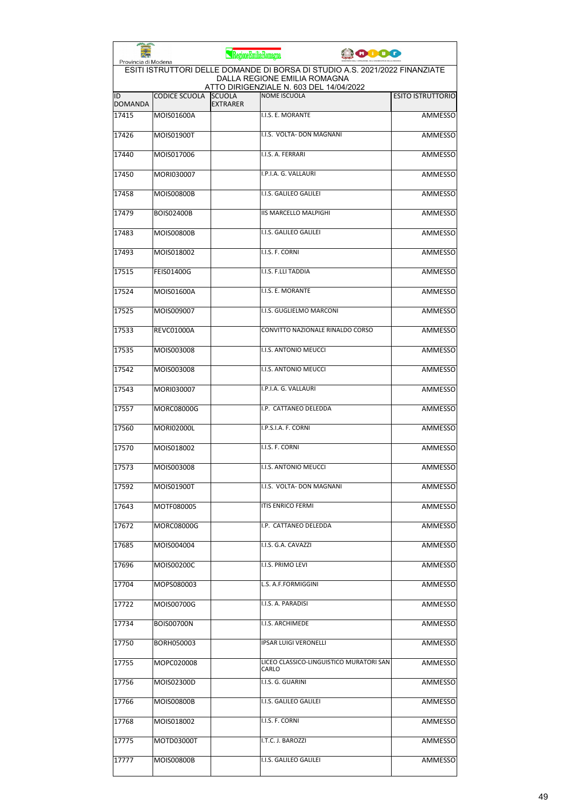| Provincia di Modena  |                      | RegioneEmiliaRomagna             | <b>COOO</b>                                                                                                                                            |                          |
|----------------------|----------------------|----------------------------------|--------------------------------------------------------------------------------------------------------------------------------------------------------|--------------------------|
|                      |                      |                                  | ESITI ISTRUTTORI DELLE DOMANDE DI BORSA DI STUDIO A.S. 2021/2022 FINANZIATE<br>DALLA REGIONE EMILIA ROMAGNA<br>ATTO DIRIGENZIALE N. 603 DEL 14/04/2022 |                          |
| ID<br><b>DOMANDA</b> | <b>CODICE SCUOLA</b> | <b>SCUOLA</b><br><b>EXTRARER</b> | <b>NOME ISCUOLA</b>                                                                                                                                    | <b>ESITO ISTRUTTORIO</b> |
| 17415                | MOIS01600A           |                                  | I.I.S. E. MORANTE                                                                                                                                      | <b>AMMESSO</b>           |
| 17426                | MOIS01900T           |                                  | I.I.S. VOLTA- DON MAGNANI                                                                                                                              | <b>AMMESSO</b>           |
| 17440                | MOIS017006           |                                  | I.I.S. A. FERRARI                                                                                                                                      | <b>AMMESSO</b>           |
| 17450                | MORI030007           |                                  | I.P.I.A. G. VALLAURI                                                                                                                                   | <b>AMMESSO</b>           |
| 17458                | MOIS00800B           |                                  | I.I.S. GALILEO GALILEI                                                                                                                                 | <b>AMMESSO</b>           |
| 17479                | <b>BOIS02400B</b>    |                                  | <b>IIS MARCELLO MALPIGHI</b>                                                                                                                           | <b>AMMESSO</b>           |
| 17483                | MOIS00800B           |                                  | I.I.S. GALILEO GALILEI                                                                                                                                 | <b>AMMESSO</b>           |
| 17493                | MOIS018002           |                                  | I.I.S. F. CORNI                                                                                                                                        | <b>AMMESSO</b>           |
| 17515                | <b>FEIS01400G</b>    |                                  | I.I.S. F.LLI TADDIA                                                                                                                                    | <b>AMMESSO</b>           |
| 17524                | MOIS01600A           |                                  | I.I.S. E. MORANTE                                                                                                                                      | <b>AMMESSO</b>           |
| 17525                | MOIS009007           |                                  | I.I.S. GUGLIELMO MARCONI                                                                                                                               | <b>AMMESSO</b>           |
| 17533                | <b>REVC01000A</b>    |                                  | CONVITTO NAZIONALE RINALDO CORSO                                                                                                                       | <b>AMMESSO</b>           |
| 17535                | MOIS003008           |                                  | <b>I.I.S. ANTONIO MEUCCI</b>                                                                                                                           | <b>AMMESSO</b>           |
| 17542                | MOIS003008           |                                  | I.I.S. ANTONIO MEUCCI                                                                                                                                  | <b>AMMESSO</b>           |
| 17543                | MORI030007           |                                  | I.P.I.A. G. VALLAURI                                                                                                                                   | <b>AMMESSO</b>           |
| 17557                | MORC08000G           |                                  | I.P. CATTANEO DELEDDA                                                                                                                                  | <b>AMMESSO</b>           |
| 17560                | MORI02000L           |                                  | I.P.S.I.A. F. CORNI                                                                                                                                    | <b>AMMESSO</b>           |
| 17570                | MOIS018002           |                                  | I.I.S. F. CORNI                                                                                                                                        | AMMESSO                  |
| 17573                | MOIS003008           |                                  | I.I.S. ANTONIO MEUCCI                                                                                                                                  | <b>AMMESSO</b>           |
| 17592                | MOIS01900T           |                                  | I.I.S. VOLTA- DON MAGNANI                                                                                                                              | AMMESSO                  |
| 17643                | MOTF080005           |                                  | <b>ITIS ENRICO FERMI</b>                                                                                                                               | <b>AMMESSO</b>           |
| 17672                | MORC08000G           |                                  | I.P. CATTANEO DELEDDA                                                                                                                                  | <b>AMMESSO</b>           |
| 17685                | MOIS004004           |                                  | I.I.S. G.A. CAVAZZI                                                                                                                                    | <b>AMMESSO</b>           |
| 17696                | MOIS00200C           |                                  | I.I.S. PRIMO LEVI                                                                                                                                      | <b>AMMESSO</b>           |
| 17704                | MOPS080003           |                                  | L.S. A.F.FORMIGGINI                                                                                                                                    | <b>AMMESSO</b>           |
| 17722                | MOIS00700G           |                                  | I.I.S. A. PARADISI                                                                                                                                     | AMMESSO                  |
| 17734                | BOIS00700N           |                                  | I.I.S. ARCHIMEDE                                                                                                                                       | AMMESSO                  |
| 17750                | BORH050003           |                                  | <b>IPSAR LUIGI VERONELLI</b>                                                                                                                           | <b>AMMESSO</b>           |
| 17755                | MOPC020008           |                                  | LICEO CLASSICO-LINGUISTICO MURATORI SAN<br>CARLO                                                                                                       | <b>AMMESSO</b>           |
| 17756                | MOIS02300D           |                                  | I.I.S. G. GUARINI                                                                                                                                      | AMMESSO                  |
| 17766                | MOIS00800B           |                                  | I.I.S. GALILEO GALILEI                                                                                                                                 | AMMESSO                  |
| 17768                | MOIS018002           |                                  | I.I.S. F. CORNI                                                                                                                                        | <b>AMMESSO</b>           |
| 17775                | MOTD03000T           |                                  | I.T.C. J. BAROZZI                                                                                                                                      | <b>AMMESSO</b>           |
| 17777                | MOIS00800B           |                                  | I.I.S. GALILEO GALILEI                                                                                                                                 | <b>AMMESSO</b>           |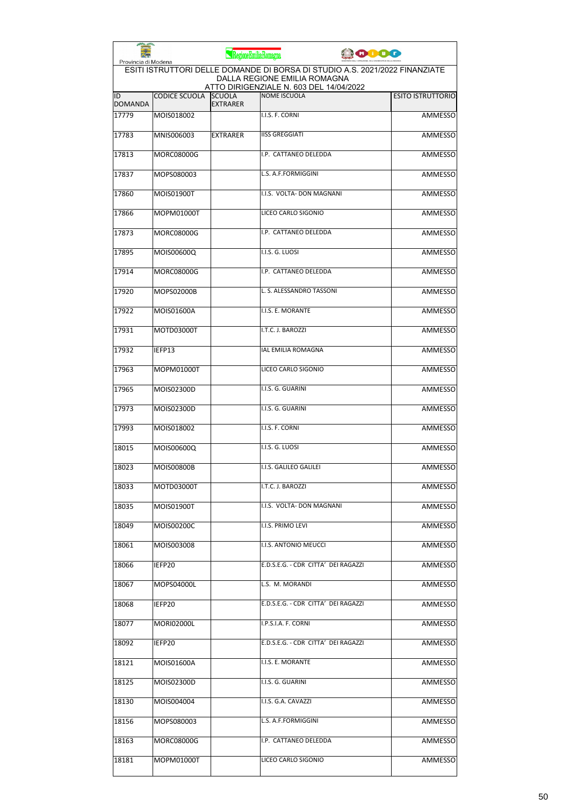| Provincia di Modena  |                      | RegioneEmiliaRomagna             |                                                                         | <b>PODO</b>                                                                 |                          |
|----------------------|----------------------|----------------------------------|-------------------------------------------------------------------------|-----------------------------------------------------------------------------|--------------------------|
|                      |                      |                                  | DALLA REGIONE EMILIA ROMAGNA<br>ATTO DIRIGENZIALE N. 603 DEL 14/04/2022 | ESITI ISTRUTTORI DELLE DOMANDE DI BORSA DI STUDIO A.S. 2021/2022 FINANZIATE |                          |
| ID<br><b>DOMANDA</b> | <b>CODICE SCUOLA</b> | <b>SCUOLA</b><br><b>EXTRARER</b> | <b>NOME ISCUOLA</b>                                                     |                                                                             | <b>ESITO ISTRUTTORIO</b> |
| 17779                | MOIS018002           |                                  | I.I.S. F. CORNI                                                         |                                                                             | <b>AMMESSO</b>           |
| 17783                | MNIS006003           | <b>EXTRARER</b>                  | <b>IISS GREGGIATI</b>                                                   |                                                                             | <b>AMMESSO</b>           |
| 17813                | <b>MORC08000G</b>    |                                  | I.P. CATTANEO DELEDDA                                                   |                                                                             | AMMESSO                  |
| 17837                | MOPS080003           |                                  | L.S. A.F.FORMIGGINI                                                     |                                                                             | AMMESSO                  |
| 17860                | MOIS01900T           |                                  | I.I.S. VOLTA- DON MAGNANI                                               |                                                                             | AMMESSO                  |
| 17866                | MOPM01000T           |                                  | LICEO CARLO SIGONIO                                                     |                                                                             | <b>AMMESSO</b>           |
| 17873                | MORC08000G           |                                  | I.P. CATTANEO DELEDDA                                                   |                                                                             | <b>AMMESSO</b>           |
| 17895                | MOIS00600Q           |                                  | I.I.S. G. LUOSI                                                         |                                                                             | AMMESSO                  |
| 17914                | MORC08000G           |                                  | I.P. CATTANEO DELEDDA                                                   |                                                                             | <b>AMMESSO</b>           |
| 17920                | MOPS02000B           |                                  | L. S. ALESSANDRO TASSONI                                                |                                                                             | <b>AMMESSO</b>           |
| 17922                | MOIS01600A           |                                  | I.I.S. E. MORANTE                                                       |                                                                             | AMMESSO                  |
| 17931                | MOTD03000T           |                                  | I.T.C. J. BAROZZI                                                       |                                                                             | <b>AMMESSO</b>           |
| 17932                | IEFP13               |                                  | <b>IAL EMILIA ROMAGNA</b>                                               |                                                                             | <b>AMMESSO</b>           |
| 17963                | MOPM01000T           |                                  | LICEO CARLO SIGONIO                                                     |                                                                             | <b>AMMESSO</b>           |
| 17965                | MOIS02300D           |                                  | I.I.S. G. GUARINI                                                       |                                                                             | AMMESSO                  |
| 17973                | MOIS02300D           |                                  | I.I.S. G. GUARINI                                                       |                                                                             | AMMESSO                  |
| 17993                | MOIS018002           |                                  | I.I.S. F. CORNI                                                         |                                                                             | AMMESSO                  |
| 18015                | MOIS00600Q           |                                  | I.I.S. G. LUOSI                                                         |                                                                             | AMMESSO                  |
| 18023                | MOIS00800B           |                                  | I.I.S. GALILEO GALILEI                                                  |                                                                             | AMMESSO                  |
| 18033                | MOTD03000T           |                                  | I.T.C. J. BAROZZI                                                       |                                                                             | AMMESSO                  |
| 18035                | MOIS01900T           |                                  | I.I.S. VOLTA- DON MAGNANI                                               |                                                                             | <b>AMMESSO</b>           |
| 18049                | MOIS00200C           |                                  | I.I.S. PRIMO LEVI                                                       |                                                                             | <b>AMMESSO</b>           |
| 18061                | MOIS003008           |                                  | I.I.S. ANTONIO MEUCCI                                                   |                                                                             | AMMESSO                  |
| 18066                | IEFP20               |                                  | E.D.S.E.G. - CDR CITTA' DEI RAGAZZI                                     |                                                                             | AMMESSO                  |
| 18067                | MOPS04000L           |                                  | L.S. M. MORANDI                                                         |                                                                             | <b>AMMESSO</b>           |
| 18068                | IEFP20               |                                  | E.D.S.E.G. - CDR CITTA' DEI RAGAZZI                                     |                                                                             | AMMESSO                  |
| 18077                | MORI02000L           |                                  | I.P.S.I.A. F. CORNI                                                     |                                                                             | AMMESSO                  |
| 18092                | IEFP20               |                                  | E.D.S.E.G. - CDR CITTA' DEI RAGAZZI                                     |                                                                             | AMMESSO                  |
| 18121                | MOIS01600A           |                                  | I.I.S. E. MORANTE                                                       |                                                                             | AMMESSO                  |
| 18125                | MOIS02300D           |                                  | I.I.S. G. GUARINI                                                       |                                                                             | AMMESSO                  |
| 18130                | MOIS004004           |                                  | I.I.S. G.A. CAVAZZI                                                     |                                                                             | AMMESSO                  |
| 18156                | MOPS080003           |                                  | L.S. A.F.FORMIGGINI                                                     |                                                                             | AMMESSO                  |
| 18163                | MORC08000G           |                                  | I.P. CATTANEO DELEDDA                                                   |                                                                             | AMMESSO                  |
| 18181                | MOPM01000T           |                                  | LICEO CARLO SIGONIO                                                     |                                                                             | AMMESSO                  |
|                      |                      |                                  |                                                                         |                                                                             |                          |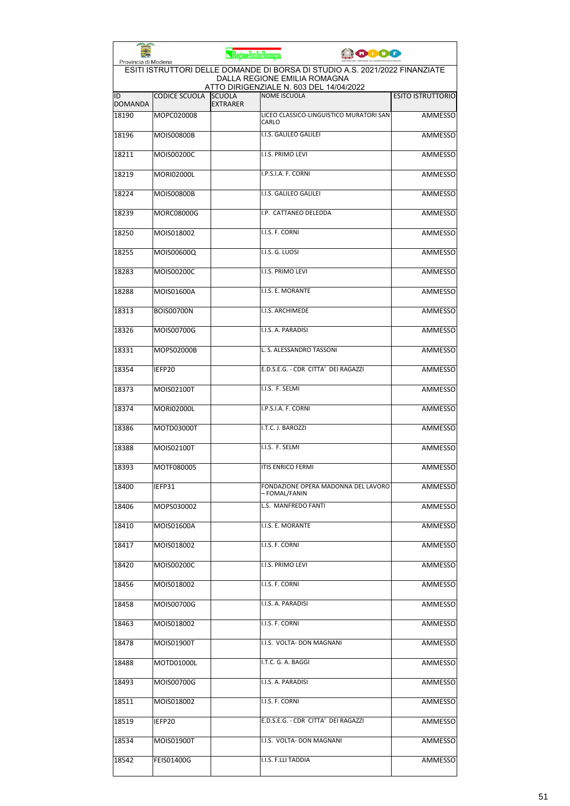| Provincia di Modena  |                      | RegioneEmiliaRomagna             | <b>PODO</b>                                                                                                 |                          |
|----------------------|----------------------|----------------------------------|-------------------------------------------------------------------------------------------------------------|--------------------------|
|                      |                      |                                  | ESITI ISTRUTTORI DELLE DOMANDE DI BORSA DI STUDIO A.S. 2021/2022 FINANZIATE<br>DALLA REGIONE EMILIA ROMAGNA |                          |
| ID<br><b>DOMANDA</b> | <b>CODICE SCUOLA</b> | <b>SCUOLA</b><br><b>EXTRARER</b> | ATTO DIRIGENZIALE N. 603 DEL 14/04/2022<br><b>NOME ISCUOLA</b>                                              | <b>ESITO ISTRUTTORIO</b> |
| 18190                | MOPC020008           |                                  | LICEO CLASSICO-LINGUISTICO MURATORI SAN<br>CARLO                                                            | <b>AMMESSO</b>           |
| 18196                | <b>MOIS00800B</b>    |                                  | I.I.S. GALILEO GALILEI                                                                                      | <b>AMMESSO</b>           |
| 18211                | MOIS00200C           |                                  | I.I.S. PRIMO LEVI                                                                                           | AMMESSO                  |
| 18219                | <b>MORI02000L</b>    |                                  | I.P.S.I.A. F. CORNI                                                                                         | AMMESSO                  |
| 18224                | MOIS00800B           |                                  | I.I.S. GALILEO GALILEI                                                                                      | AMMESSO                  |
| 18239                | <b>MORC08000G</b>    |                                  | I.P. CATTANEO DELEDDA                                                                                       | AMMESSO                  |
| 18250                | MOIS018002           |                                  | I.I.S. F. CORNI                                                                                             | <b>AMMESSO</b>           |
| 18255                | MOIS00600Q           |                                  | I.I.S. G. LUOSI                                                                                             | AMMESSO                  |
| 18283                | MOIS00200C           |                                  | I.I.S. PRIMO LEVI                                                                                           | AMMESSO                  |
| 18288                | MOIS01600A           |                                  | I.I.S. E. MORANTE                                                                                           | AMMESSO                  |
| 18313                | <b>BOIS00700N</b>    |                                  | I.I.S. ARCHIMEDE                                                                                            | <b>AMMESSO</b>           |
| 18326                | MOIS00700G           |                                  | I.I.S. A. PARADISI                                                                                          | <b>AMMESSO</b>           |
| 18331                | MOPS02000B           |                                  | L. S. ALESSANDRO TASSONI                                                                                    | <b>AMMESSO</b>           |
| 18354                | IEFP20               |                                  | E.D.S.E.G. - CDR CITTA' DEI RAGAZZI                                                                         | AMMESSO                  |
| 18373                | MOIS02100T           |                                  | I.I.S. F. SELMI                                                                                             | AMMESSO                  |
| 18374                | <b>MORI02000L</b>    |                                  | I.P.S.I.A. F. CORNI                                                                                         | <b>AMMESSO</b>           |
| 18386                | MOTD03000T           |                                  | I.T.C. J. BAROZZI                                                                                           | AMMESSO                  |
| 18388                | MOIS02100T           |                                  | I.I.S. F. SELMI                                                                                             | AMMESSO                  |
| 18393                | MOTF080005           |                                  | <b>ITIS ENRICO FERMI</b>                                                                                    | AMMESSO                  |
| 18400                | IEFP31               |                                  | FONDAZIONE OPERA MADONNA DEL LAVORO<br>– FOMAL/FANIN                                                        | AMMESSO                  |
| 18406                | MOPS030002           |                                  | L.S. MANFREDO FANTI                                                                                         | AMMESSO                  |
| 18410                | MOIS01600A           |                                  | I.I.S. E. MORANTE                                                                                           | AMMESSO                  |
| 18417                | MOIS018002           |                                  | I.I.S. F. CORNI                                                                                             | AMMESSO                  |
| 18420                | MOIS00200C           |                                  | I.I.S. PRIMO LEVI                                                                                           | <b>AMMESSO</b>           |
| 18456                | MOIS018002           |                                  | I.I.S. F. CORNI                                                                                             | AMMESSO                  |
| 18458                | MOIS00700G           |                                  | I.I.S. A. PARADISI                                                                                          | AMMESSO                  |
| 18463                | MOIS018002           |                                  | I.I.S. F. CORNI                                                                                             | AMMESSO                  |
| 18478                | MOIS01900T           |                                  | I.I.S. VOLTA- DON MAGNANI                                                                                   | AMMESSO                  |
| 18488                | MOTD01000L           |                                  | I.T.C. G. A. BAGGI                                                                                          | AMMESSO                  |
| 18493                | MOIS00700G           |                                  | I.I.S. A. PARADISI                                                                                          | AMMESSO                  |
| 18511                | MOIS018002           |                                  | I.I.S. F. CORNI                                                                                             | AMMESSO                  |
| 18519                | IEFP20               |                                  | E.D.S.E.G. - CDR CITTA' DEI RAGAZZI                                                                         | AMMESSO                  |
| 18534                | MOIS01900T           |                                  | I.I.S. VOLTA- DON MAGNANI                                                                                   | AMMESSO                  |
| 18542                | <b>FEIS01400G</b>    |                                  | I.I.S. F.LLI TADDIA                                                                                         | AMMESSO                  |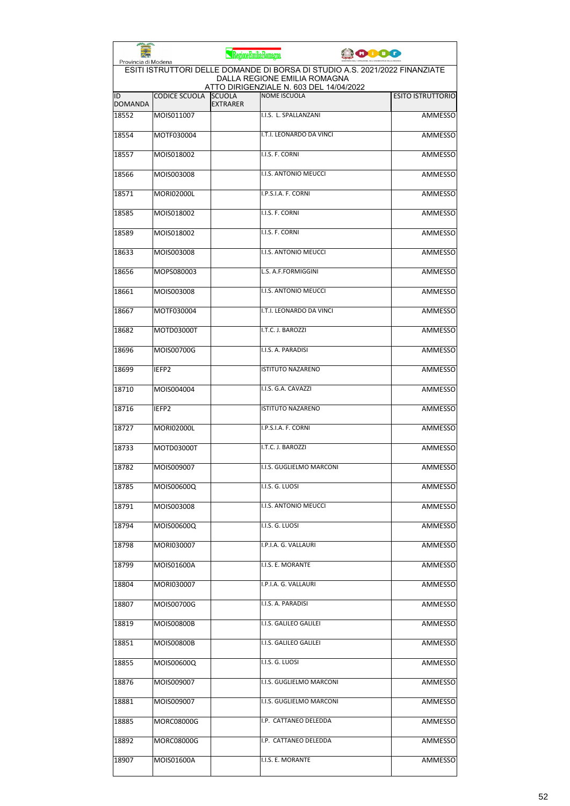| Provincia di Modena  |                      | RegioneEmiliaRomagna             |                                                                                                             | 10000 |                          |
|----------------------|----------------------|----------------------------------|-------------------------------------------------------------------------------------------------------------|-------|--------------------------|
|                      |                      |                                  | ESITI ISTRUTTORI DELLE DOMANDE DI BORSA DI STUDIO A.S. 2021/2022 FINANZIATE<br>DALLA REGIONE EMILIA ROMAGNA |       |                          |
| ID<br><b>DOMANDA</b> | <b>CODICE SCUOLA</b> | <b>SCUOLA</b><br><b>EXTRARER</b> | ATTO DIRIGENZIALE N. 603 DEL 14/04/2022<br><b>NOME ISCUOLA</b>                                              |       | <b>ESITO ISTRUTTORIO</b> |
| 18552                | MOIS011007           |                                  | I.I.S. L. SPALLANZANI                                                                                       |       | <b>AMMESSO</b>           |
| 18554                | MOTF030004           |                                  | I.T.I. LEONARDO DA VINCI                                                                                    |       | <b>AMMESSO</b>           |
| 18557                | MOIS018002           |                                  | I.I.S. F. CORNI                                                                                             |       | AMMESSO                  |
| 18566                | MOIS003008           |                                  | I.I.S. ANTONIO MEUCCI                                                                                       |       | AMMESSO                  |
| 18571                | <b>MORI02000L</b>    |                                  | I.P.S.I.A. F. CORNI                                                                                         |       | AMMESSO                  |
| 18585                | MOIS018002           |                                  | I.I.S. F. CORNI                                                                                             |       | AMMESSO                  |
| 18589                | MOIS018002           |                                  | I.I.S. F. CORNI                                                                                             |       | <b>AMMESSO</b>           |
| 18633                | MOIS003008           |                                  | I.I.S. ANTONIO MEUCCI                                                                                       |       | AMMESSO                  |
| 18656                | MOPS080003           |                                  | L.S. A.F.FORMIGGINI                                                                                         |       | <b>AMMESSO</b>           |
| 18661                | MOIS003008           |                                  | I.I.S. ANTONIO MEUCCI                                                                                       |       | AMMESSO                  |
| 18667                | MOTF030004           |                                  | I.T.I. LEONARDO DA VINCI                                                                                    |       | AMMESSO                  |
| 18682                | MOTD03000T           |                                  | I.T.C. J. BAROZZI                                                                                           |       | <b>AMMESSO</b>           |
| 18696                | MOIS00700G           |                                  | I.I.S. A. PARADISI                                                                                          |       | <b>AMMESSO</b>           |
| 18699                | IEFP <sub>2</sub>    |                                  | <b>ISTITUTO NAZARENO</b>                                                                                    |       | <b>AMMESSO</b>           |
| 18710                | MOIS004004           |                                  | I.I.S. G.A. CAVAZZI                                                                                         |       | AMMESSO                  |
| 18716                | IEFP2                |                                  | <b>ISTITUTO NAZARENO</b>                                                                                    |       | <b>AMMESSO</b>           |
| 18727                | <b>MORI02000L</b>    |                                  | I.P.S.I.A. F. CORNI                                                                                         |       | AMMESSO                  |
| 18733                | MOTD03000T           |                                  | I.T.C. J. BAROZZI                                                                                           |       | AMMESSO                  |
| 18782                | MOIS009007           |                                  | I.I.S. GUGLIELMO MARCONI                                                                                    |       | AMMESSO                  |
| 18785                | MOIS00600Q           |                                  | I.I.S. G. LUOSI                                                                                             |       | AMMESSO                  |
| 18791                | MOIS003008           |                                  | I.I.S. ANTONIO MEUCCI                                                                                       |       | <b>AMMESSO</b>           |
| 18794                | MOIS00600Q           |                                  | I.I.S. G. LUOSI                                                                                             |       | AMMESSO                  |
| 18798                | MORI030007           |                                  | I.P.I.A. G. VALLAURI                                                                                        |       | AMMESSO                  |
| 18799                | MOIS01600A           |                                  | I.I.S. E. MORANTE                                                                                           |       | <b>AMMESSO</b>           |
| 18804                | MORI030007           |                                  | I.P.I.A. G. VALLAURI                                                                                        |       | <b>AMMESSO</b>           |
| 18807                | MOIS00700G           |                                  | I.I.S. A. PARADISI                                                                                          |       | AMMESSO                  |
| 18819                | MOIS00800B           |                                  | I.I.S. GALILEO GALILEI                                                                                      |       | AMMESSO                  |
| 18851                | MOIS00800B           |                                  | I.I.S. GALILEO GALILEI                                                                                      |       | AMMESSO                  |
| 18855                | MOIS00600Q           |                                  | I.I.S. G. LUOSI                                                                                             |       | AMMESSO                  |
| 18876                | MOIS009007           |                                  | I.I.S. GUGLIELMO MARCONI                                                                                    |       | AMMESSO                  |
| 18881                | MOIS009007           |                                  | I.I.S. GUGLIELMO MARCONI                                                                                    |       | AMMESSO                  |
| 18885                | MORC08000G           |                                  | I.P. CATTANEO DELEDDA                                                                                       |       | AMMESSO                  |
| 18892                | MORC08000G           |                                  | I.P. CATTANEO DELEDDA                                                                                       |       | AMMESSO                  |
|                      |                      |                                  |                                                                                                             |       |                          |
| 18907                | MOIS01600A           |                                  | I.I.S. E. MORANTE                                                                                           |       | AMMESSO                  |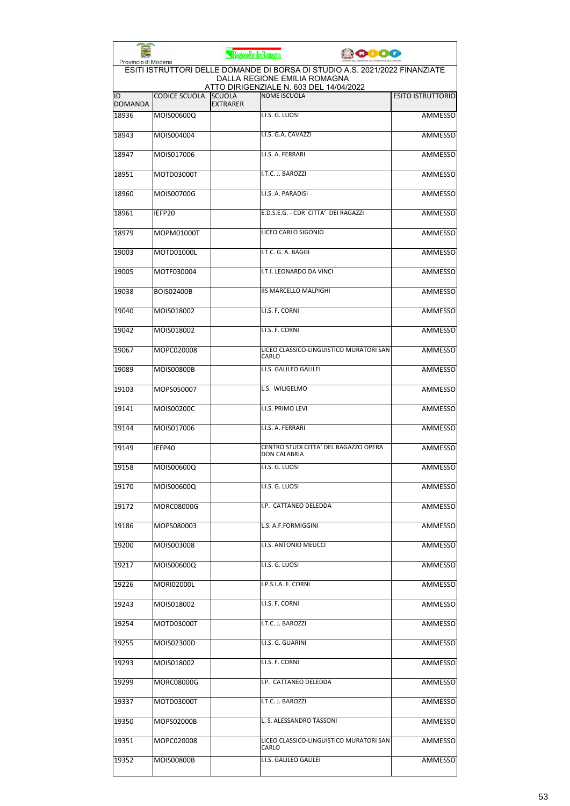| Provincia di Modena  |                      | RegioneEmiliaRomagna             |                                                                                                             | <b>CODO</b>              |
|----------------------|----------------------|----------------------------------|-------------------------------------------------------------------------------------------------------------|--------------------------|
|                      |                      |                                  | ESITI ISTRUTTORI DELLE DOMANDE DI BORSA DI STUDIO A.S. 2021/2022 FINANZIATE<br>DALLA REGIONE EMILIA ROMAGNA |                          |
| ID<br><b>DOMANDA</b> | <b>CODICE SCUOLA</b> | <b>SCUOLA</b><br><b>EXTRARER</b> | ATTO DIRIGENZIALE N. 603 DEL 14/04/2022<br><b>NOME ISCUOLA</b>                                              | <b>ESITO ISTRUTTORIO</b> |
| 18936                | MOIS00600Q           |                                  | I.I.S. G. LUOSI                                                                                             | <b>AMMESSO</b>           |
| 18943                | MOIS004004           |                                  | I.I.S. G.A. CAVAZZI                                                                                         | <b>AMMESSO</b>           |
| 18947                | MOIS017006           |                                  | I.I.S. A. FERRARI                                                                                           | AMMESSO                  |
| 18951                | MOTD03000T           |                                  | I.T.C. J. BAROZZI                                                                                           | AMMESSO                  |
| 18960                | MOIS00700G           |                                  | I.I.S. A. PARADISI                                                                                          | AMMESSO                  |
| 18961                | IEFP20               |                                  | E.D.S.E.G. - CDR CITTA' DEI RAGAZZI                                                                         | AMMESSO                  |
| 18979                | MOPM01000T           |                                  | LICEO CARLO SIGONIO                                                                                         | <b>AMMESSO</b>           |
| 19003                | MOTD01000L           |                                  | I.T.C. G. A. BAGGI                                                                                          | AMMESSO                  |
| 19005                | MOTF030004           |                                  | I.T.I. LEONARDO DA VINCI                                                                                    | AMMESSO                  |
| 19038                | <b>BOIS02400B</b>    |                                  | <b>IIS MARCELLO MALPIGHI</b>                                                                                | AMMESSO                  |
| 19040                | MOIS018002           |                                  | I.I.S. F. CORNI                                                                                             | <b>AMMESSO</b>           |
| 19042                | MOIS018002           |                                  | I.I.S. F. CORNI                                                                                             | <b>AMMESSO</b>           |
| 19067                | MOPC020008           |                                  | LICEO CLASSICO-LINGUISTICO MURATORI SAN<br>CARLO                                                            | <b>AMMESSO</b>           |
| 19089                | <b>MOIS00800B</b>    |                                  | I.I.S. GALILEO GALILEI                                                                                      | <b>AMMESSO</b>           |
| 19103                | MOPS050007           |                                  | L.S. WILIGELMO                                                                                              | AMMESSO                  |
| 19141                | MOIS00200C           |                                  | I.I.S. PRIMO LEVI                                                                                           | <b>AMMESSO</b>           |
| 19144                | MOIS017006           |                                  | I.I.S. A. FERRARI                                                                                           | AMMESSO                  |
| 19149                | IEFP40               |                                  | CENTRO STUDI CITTA' DEL RAGAZZO OPERA<br><b>DON CALABRIA</b>                                                | <b>AMMESSO</b>           |
| 19158                | MOIS00600Q           |                                  | I.I.S. G. LUOSI                                                                                             | <b>AMMESSO</b>           |
| 19170                | MOIS00600Q           |                                  | I.I.S. G. LUOSI                                                                                             | AMMESSO                  |
| 19172                | MORC08000G           |                                  | I.P. CATTANEO DELEDDA                                                                                       | AMMESSO                  |
| 19186                | MOPS080003           |                                  | L.S. A.F.FORMIGGINI                                                                                         | <b>AMMESSO</b>           |
| 19200                | MOIS003008           |                                  | I.I.S. ANTONIO MEUCCI                                                                                       | AMMESSO                  |
| 19217                | MOIS00600Q           |                                  | I.I.S. G. LUOSI                                                                                             | <b>AMMESSO</b>           |
| 19226                | <b>MORI02000L</b>    |                                  | I.P.S.I.A. F. CORNI                                                                                         | AMMESSO                  |
| 19243                | MOIS018002           |                                  | I.I.S. F. CORNI                                                                                             | AMMESSO                  |
| 19254                | MOTD03000T           |                                  | I.T.C. J. BAROZZI                                                                                           | AMMESSO                  |
| 19255                | MOIS02300D           |                                  | I.I.S. G. GUARINI                                                                                           | AMMESSO                  |
| 19293                | MOIS018002           |                                  | I.I.S. F. CORNI                                                                                             | AMMESSO                  |
| 19299                | MORC08000G           |                                  | I.P. CATTANEO DELEDDA                                                                                       | AMMESSO                  |
| 19337                | MOTD03000T           |                                  | I.T.C. J. BAROZZI                                                                                           | AMMESSO                  |
| 19350                | MOPS02000B           |                                  | L. S. ALESSANDRO TASSONI                                                                                    | AMMESSO                  |
| 19351                | MOPC020008           |                                  | LICEO CLASSICO-LINGUISTICO MURATORI SAN<br>CARLO                                                            | AMMESSO                  |
| 19352                | MOIS00800B           |                                  | I.I.S. GALILEO GALILEI                                                                                      | <b>AMMESSO</b>           |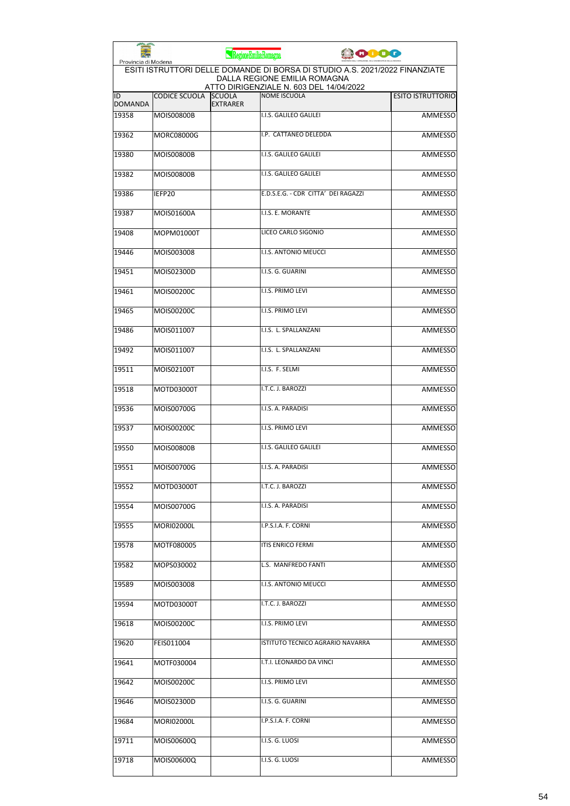| Provincia di Modena  |                      | RegioneEmiliaRomagna             |                                                                                                             | <b>COOO</b> |                          |
|----------------------|----------------------|----------------------------------|-------------------------------------------------------------------------------------------------------------|-------------|--------------------------|
|                      |                      |                                  | ESITI ISTRUTTORI DELLE DOMANDE DI BORSA DI STUDIO A.S. 2021/2022 FINANZIATE<br>DALLA REGIONE EMILIA ROMAGNA |             |                          |
| ID<br><b>DOMANDA</b> | <b>CODICE SCUOLA</b> | <b>SCUOLA</b><br><b>EXTRARER</b> | ATTO DIRIGENZIALE N. 603 DEL 14/04/2022<br><b>NOME ISCUOLA</b>                                              |             | <b>ESITO ISTRUTTORIO</b> |
| 19358                | <b>MOIS00800B</b>    |                                  | I.I.S. GALILEO GALILEI                                                                                      |             | <b>AMMESSO</b>           |
| 19362                | <b>MORC08000G</b>    |                                  | I.P. CATTANEO DELEDDA                                                                                       |             | <b>AMMESSO</b>           |
| 19380                | <b>MOIS00800B</b>    |                                  | I.I.S. GALILEO GALILEI                                                                                      |             | AMMESSO                  |
| 19382                | <b>MOIS00800B</b>    |                                  | I.I.S. GALILEO GALILEI                                                                                      |             | AMMESSO                  |
| 19386                | IEFP20               |                                  | E.D.S.E.G. - CDR CITTA' DEI RAGAZZI                                                                         |             | AMMESSO                  |
| 19387                | MOIS01600A           |                                  | I.I.S. E. MORANTE                                                                                           |             | AMMESSO                  |
| 19408                | MOPM01000T           |                                  | LICEO CARLO SIGONIO                                                                                         |             | <b>AMMESSO</b>           |
| 19446                | MOIS003008           |                                  | I.I.S. ANTONIO MEUCCI                                                                                       |             | AMMESSO                  |
| 19451                | MOIS02300D           |                                  | I.I.S. G. GUARINI                                                                                           |             | AMMESSO                  |
| 19461                | MOIS00200C           |                                  | I.I.S. PRIMO LEVI                                                                                           |             | AMMESSO                  |
| 19465                | MOIS00200C           |                                  | I.I.S. PRIMO LEVI                                                                                           |             | AMMESSO                  |
| 19486                | MOIS011007           |                                  | I.I.S. L. SPALLANZANI                                                                                       |             | <b>AMMESSO</b>           |
| 19492                | MOIS011007           |                                  | I.I.S. L. SPALLANZANI                                                                                       |             | AMMESSO                  |
| 19511                | MOIS02100T           |                                  | I.I.S. F. SELMI                                                                                             |             | <b>AMMESSO</b>           |
| 19518                | MOTD03000T           |                                  | I.T.C. J. BAROZZI                                                                                           |             | AMMESSO                  |
| 19536                | MOIS00700G           |                                  | I.I.S. A. PARADISI                                                                                          |             | AMMESSO                  |
| 19537                | MOIS00200C           |                                  | I.I.S. PRIMO LEVI                                                                                           |             | AMMESSO                  |
| 19550                | <b>MOIS00800B</b>    |                                  | I.I.S. GALILEO GALILEI                                                                                      |             | AMMESSO                  |
| 19551                | MOIS00700G           |                                  | I.I.S. A. PARADISI                                                                                          |             | AMMESSO                  |
| 19552                | MOTD03000T           |                                  | I.T.C. J. BAROZZI                                                                                           |             | AMMESSO                  |
| 19554                | MOIS00700G           |                                  | I.I.S. A. PARADISI                                                                                          |             | AMMESSO                  |
| 19555                | <b>MORI02000L</b>    |                                  | I.P.S.I.A. F. CORNI                                                                                         |             | AMMESSO                  |
| 19578                | MOTF080005           |                                  | ITIS ENRICO FERMI                                                                                           |             | AMMESSO                  |
| 19582                | MOPS030002           |                                  | L.S. MANFREDO FANTI                                                                                         |             | AMMESSO                  |
| 19589                | MOIS003008           |                                  | I.I.S. ANTONIO MEUCCI                                                                                       |             | <b>AMMESSO</b>           |
| 19594                | MOTD03000T           |                                  | I.T.C. J. BAROZZI                                                                                           |             | <b>AMMESSO</b>           |
| 19618                | MOIS00200C           |                                  | I.I.S. PRIMO LEVI                                                                                           |             | AMMESSO                  |
| 19620                | FEIS011004           |                                  | ISTITUTO TECNICO AGRARIO NAVARRA                                                                            |             | AMMESSO                  |
| 19641                | MOTF030004           |                                  | I.T.I. LEONARDO DA VINCI                                                                                    |             | AMMESSO                  |
| 19642                | MOIS00200C           |                                  | I.I.S. PRIMO LEVI                                                                                           |             | AMMESSO                  |
| 19646                | MOIS02300D           |                                  | I.I.S. G. GUARINI                                                                                           |             | AMMESSO                  |
| 19684                | <b>MORI02000L</b>    |                                  | I.P.S.I.A. F. CORNI                                                                                         |             | AMMESSO                  |
| 19711                | MOIS00600Q           |                                  | I.I.S. G. LUOSI                                                                                             |             | AMMESSO                  |
| 19718                | MOIS00600Q           |                                  | I.I.S. G. LUOSI                                                                                             |             | AMMESSO                  |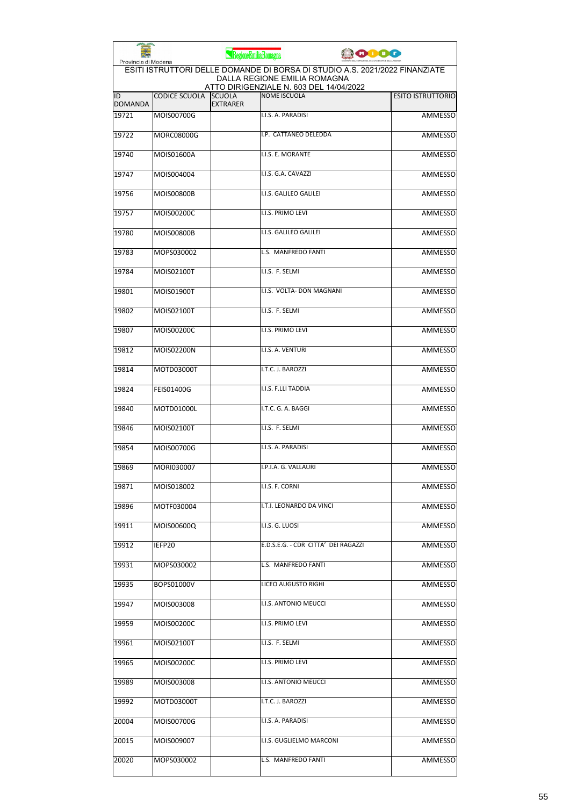|                      |                      | RegioneEmiliaRomagna             |                                                                                                                                                        | ooog |                          |
|----------------------|----------------------|----------------------------------|--------------------------------------------------------------------------------------------------------------------------------------------------------|------|--------------------------|
| Provincia di Modena  |                      |                                  | ESITI ISTRUTTORI DELLE DOMANDE DI BORSA DI STUDIO A.S. 2021/2022 FINANZIATE<br>DALLA REGIONE EMILIA ROMAGNA<br>ATTO DIRIGENZIALE N. 603 DEL 14/04/2022 |      |                          |
| ID<br><b>DOMANDA</b> | <b>CODICE SCUOLA</b> | <b>SCUOLA</b><br><b>EXTRARER</b> | NOME ISCUOLA                                                                                                                                           |      | <b>ESITO ISTRUTTORIO</b> |
| 19721                | MOIS00700G           |                                  | I.I.S. A. PARADISI                                                                                                                                     |      | <b>AMMESSO</b>           |
| 19722                | MORC08000G           |                                  | I.P. CATTANEO DELEDDA                                                                                                                                  |      | <b>AMMESSO</b>           |
| 19740                | MOIS01600A           |                                  | I.I.S. E. MORANTE                                                                                                                                      |      | AMMESSO                  |
| 19747                | MOIS004004           |                                  | I.I.S. G.A. CAVAZZI                                                                                                                                    |      | <b>AMMESSO</b>           |
| 19756                | <b>MOIS00800B</b>    |                                  | I.I.S. GALILEO GALILEI                                                                                                                                 |      | <b>AMMESSO</b>           |
| 19757                | MOIS00200C           |                                  | I.I.S. PRIMO LEVI                                                                                                                                      |      | AMMESSO                  |
| 19780                | <b>MOIS00800B</b>    |                                  | I.I.S. GALILEO GALILEI                                                                                                                                 |      | <b>AMMESSO</b>           |
| 19783                | MOPS030002           |                                  | L.S. MANFREDO FANTI                                                                                                                                    |      | AMMESSO                  |
| 19784                | MOIS02100T           |                                  | I.I.S. F. SELMI                                                                                                                                        |      | <b>AMMESSO</b>           |
| 19801                | MOIS01900T           |                                  | I.I.S. VOLTA- DON MAGNANI                                                                                                                              |      | AMMESSO                  |
| 19802                | MOIS02100T           |                                  | I.I.S. F. SELMI                                                                                                                                        |      | AMMESSO                  |
| 19807                | MOIS00200C           |                                  | I.I.S. PRIMO LEVI                                                                                                                                      |      | <b>AMMESSO</b>           |
| 19812                | MOIS02200N           |                                  | I.I.S. A. VENTURI                                                                                                                                      |      | <b>AMMESSO</b>           |
| 19814                | MOTD03000T           |                                  | I.T.C. J. BAROZZI                                                                                                                                      |      | <b>AMMESSO</b>           |
| 19824                | <b>FEIS01400G</b>    |                                  | I.I.S. F.LLI TADDIA                                                                                                                                    |      | AMMESSO                  |
| 19840                | MOTD01000L           |                                  | I.T.C. G. A. BAGGI                                                                                                                                     |      | <b>AMMESSO</b>           |
| 19846                | MOIS02100T           |                                  | I.I.S. F. SELMI                                                                                                                                        |      | <b>AMMESSO</b>           |
| 19854                | MOIS00700G           |                                  | I.I.S. A. PARADISI                                                                                                                                     |      | AMMESSO                  |
| 19869                | MORI030007           |                                  | I.P.I.A. G. VALLAURI                                                                                                                                   |      | <b>AMMESSO</b>           |
| 19871                | MOIS018002           |                                  | I.I.S. F. CORNI                                                                                                                                        |      | AMMESSO                  |
| 19896                | MOTF030004           |                                  | I.T.I. LEONARDO DA VINCI                                                                                                                               |      | AMMESSO                  |
| 19911                | MOIS00600Q           |                                  | I.I.S. G. LUOSI                                                                                                                                        |      | <b>AMMESSO</b>           |
| 19912                | IEFP20               |                                  | E.D.S.E.G. - CDR CITTA' DEI RAGAZZI                                                                                                                    |      | AMMESSO                  |
| 19931                | MOPS030002           |                                  | L.S. MANFREDO FANTI                                                                                                                                    |      | <b>AMMESSO</b>           |
| 19935                | BOPS01000V           |                                  | LICEO AUGUSTO RIGHI                                                                                                                                    |      | AMMESSO                  |
| 19947                | MOIS003008           |                                  | I.I.S. ANTONIO MEUCCI                                                                                                                                  |      | AMMESSO                  |
| 19959                | MOIS00200C           |                                  | I.I.S. PRIMO LEVI                                                                                                                                      |      | <b>AMMESSO</b>           |
| 19961                | MOIS02100T           |                                  | I.I.S. F. SELMI                                                                                                                                        |      | AMMESSO                  |
| 19965                | MOIS00200C           |                                  | I.I.S. PRIMO LEVI                                                                                                                                      |      | AMMESSO                  |
| 19989                | MOIS003008           |                                  | I.I.S. ANTONIO MEUCCI                                                                                                                                  |      | AMMESSO                  |
| 19992                | MOTD03000T           |                                  | I.T.C. J. BAROZZI                                                                                                                                      |      | AMMESSO                  |
| 20004                | MOIS00700G           |                                  | I.I.S. A. PARADISI                                                                                                                                     |      | <b>AMMESSO</b>           |
| 20015                | MOIS009007           |                                  | I.I.S. GUGLIELMO MARCONI                                                                                                                               |      | AMMESSO                  |
| 20020                | MOPS030002           |                                  | L.S. MANFREDO FANTI                                                                                                                                    |      | AMMESSO                  |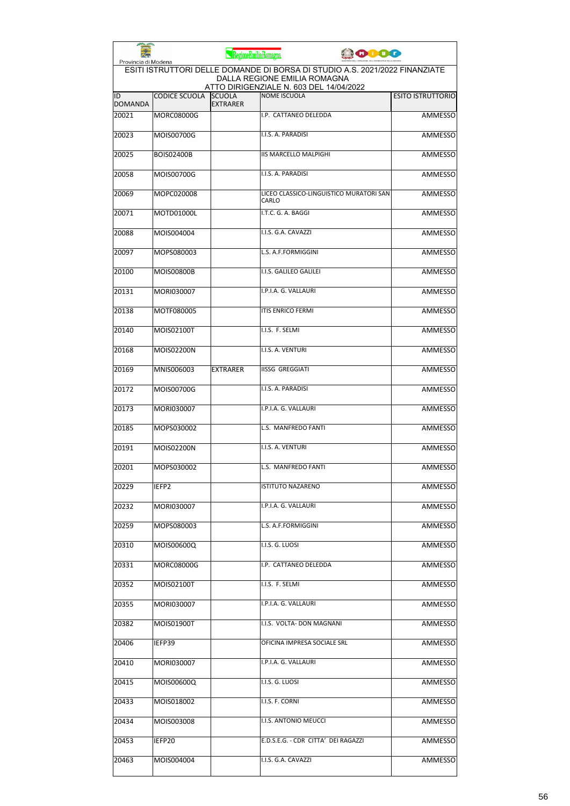| Provincia di Modena  |                      | RegioneEmiliaRomagna             | <b>ODOO</b>                                                                                                                                            |                          |
|----------------------|----------------------|----------------------------------|--------------------------------------------------------------------------------------------------------------------------------------------------------|--------------------------|
|                      |                      |                                  | ESITI ISTRUTTORI DELLE DOMANDE DI BORSA DI STUDIO A.S. 2021/2022 FINANZIATE<br>DALLA REGIONE EMILIA ROMAGNA<br>ATTO DIRIGENZIALE N. 603 DEL 14/04/2022 |                          |
| ID<br><b>DOMANDA</b> | <b>CODICE SCUOLA</b> | <b>SCUOLA</b><br><b>EXTRARER</b> | <b>NOME ISCUOLA</b>                                                                                                                                    | <b>ESITO ISTRUTTORIO</b> |
| 20021                | <b>MORC08000G</b>    |                                  | I.P. CATTANEO DELEDDA                                                                                                                                  | <b>AMMESSO</b>           |
| 20023                | MOIS00700G           |                                  | I.I.S. A. PARADISI                                                                                                                                     | <b>AMMESSO</b>           |
| 20025                | <b>BOIS02400B</b>    |                                  | <b>IIS MARCELLO MALPIGHI</b>                                                                                                                           | AMMESSO                  |
| 20058                | MOIS00700G           |                                  | I.I.S. A. PARADISI                                                                                                                                     | AMMESSO                  |
| 20069                | MOPC020008           |                                  | LICEO CLASSICO-LINGUISTICO MURATORI SAN<br>CARLO                                                                                                       | AMMESSO                  |
| 20071                | MOTD01000L           |                                  | I.T.C. G. A. BAGGI                                                                                                                                     | AMMESSO                  |
| 20088                | MOIS004004           |                                  | I.I.S. G.A. CAVAZZI                                                                                                                                    | <b>AMMESSO</b>           |
| 20097                | MOPS080003           |                                  | L.S. A.F.FORMIGGINI                                                                                                                                    | <b>AMMESSO</b>           |
| 20100                | <b>MOIS00800B</b>    |                                  | I.I.S. GALILEO GALILEI                                                                                                                                 | AMMESSO                  |
| 20131                | MORI030007           |                                  | I.P.I.A. G. VALLAURI                                                                                                                                   | AMMESSO                  |
| 20138                | MOTF080005           |                                  | <b>ITIS ENRICO FERMI</b>                                                                                                                               | <b>AMMESSO</b>           |
| 20140                | MOIS02100T           |                                  | I.I.S. F. SELMI                                                                                                                                        | <b>AMMESSO</b>           |
| 20168                | MOIS02200N           |                                  | I.I.S. A. VENTURI                                                                                                                                      | <b>AMMESSO</b>           |
| 20169                | MNIS006003           | <b>EXTRARER</b>                  | <b>IISSG GREGGIATI</b>                                                                                                                                 | AMMESSO                  |
| 20172                | MOIS00700G           |                                  | I.I.S. A. PARADISI                                                                                                                                     | AMMESSO                  |
| 20173                | MORI030007           |                                  | I.P.I.A. G. VALLAURI                                                                                                                                   | <b>AMMESSO</b>           |
| 20185                | MOPS030002           |                                  | L.S. MANFREDO FANTI                                                                                                                                    | AMMESSO                  |
| 20191                | MOIS02200N           |                                  | I.I.S. A. VENTURI                                                                                                                                      | <b>AMMESSO</b>           |
| 20201                | MOPS030002           |                                  | L.S. MANFREDO FANTI                                                                                                                                    | <b>AMMESSO</b>           |
| 20229                | IEFP2                |                                  | <b>ISTITUTO NAZARENO</b>                                                                                                                               | AMMESSO                  |
| 20232                | MORI030007           |                                  | I.P.I.A. G. VALLAURI                                                                                                                                   | AMMESSO                  |
| 20259                | MOPS080003           |                                  | L.S. A.F.FORMIGGINI                                                                                                                                    | <b>AMMESSO</b>           |
| 20310                | MOIS00600Q           |                                  | I.I.S. G. LUOSI                                                                                                                                        | <b>AMMESSO</b>           |
| 20331                | MORC08000G           |                                  | I.P. CATTANEO DELEDDA                                                                                                                                  | AMMESSO                  |
| 20352                | MOIS02100T           |                                  | I.I.S. F. SELMI                                                                                                                                        | <b>AMMESSO</b>           |
| 20355                | MORI030007           |                                  | I.P.I.A. G. VALLAURI                                                                                                                                   | AMMESSO                  |
| 20382                | MOIS01900T           |                                  | I.I.S. VOLTA- DON MAGNANI                                                                                                                              | AMMESSO                  |
| 20406                | IEFP39               |                                  | OFICINA IMPRESA SOCIALE SRL                                                                                                                            | AMMESSO                  |
| 20410                | MORI030007           |                                  | I.P.I.A. G. VALLAURI                                                                                                                                   | AMMESSO                  |
| 20415                | MOIS00600Q           |                                  | I.I.S. G. LUOSI                                                                                                                                        | AMMESSO                  |
| 20433                | MOIS018002           |                                  | I.I.S. F. CORNI                                                                                                                                        | AMMESSO                  |
| 20434                | MOIS003008           |                                  | I.I.S. ANTONIO MEUCCI                                                                                                                                  | AMMESSO                  |
| 20453                | IEFP20               |                                  | E.D.S.E.G. - CDR CITTA' DEI RAGAZZI                                                                                                                    | AMMESSO                  |
| 20463                | MOIS004004           |                                  | I.I.S. G.A. CAVAZZI                                                                                                                                    | <b>AMMESSO</b>           |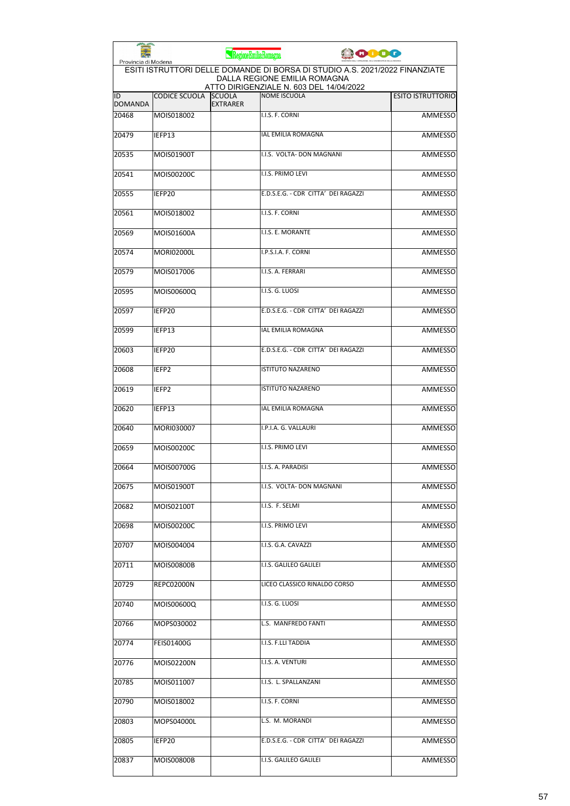| Provincia di Modena  |                      | RegioneEmiliaRomagna             |                                                                                                             | <b>PODO</b> |                          |
|----------------------|----------------------|----------------------------------|-------------------------------------------------------------------------------------------------------------|-------------|--------------------------|
|                      |                      |                                  | ESITI ISTRUTTORI DELLE DOMANDE DI BORSA DI STUDIO A.S. 2021/2022 FINANZIATE<br>DALLA REGIONE EMILIA ROMAGNA |             |                          |
| ID<br><b>DOMANDA</b> | <b>CODICE SCUOLA</b> | <b>SCUOLA</b><br><b>EXTRARER</b> | ATTO DIRIGENZIALE N. 603 DEL 14/04/2022<br><b>NOME ISCUOLA</b>                                              |             | <b>ESITO ISTRUTTORIO</b> |
| 20468                | MOIS018002           |                                  | I.I.S. F. CORNI                                                                                             |             | <b>AMMESSO</b>           |
| 20479                | IEFP13               |                                  | <b>IAL EMILIA ROMAGNA</b>                                                                                   |             | <b>AMMESSO</b>           |
| 20535                | MOIS01900T           |                                  | I.I.S. VOLTA- DON MAGNANI                                                                                   |             | AMMESSO                  |
| 20541                | MOIS00200C           |                                  | I.I.S. PRIMO LEVI                                                                                           |             | AMMESSO                  |
| 20555                | IEFP20               |                                  | E.D.S.E.G. - CDR CITTA' DEI RAGAZZI                                                                         |             | AMMESSO                  |
| 20561                | MOIS018002           |                                  | I.I.S. F. CORNI                                                                                             |             | AMMESSO                  |
| 20569                | MOIS01600A           |                                  | I.I.S. E. MORANTE                                                                                           |             | <b>AMMESSO</b>           |
| 20574                | <b>MORI02000L</b>    |                                  | I.P.S.I.A. F. CORNI                                                                                         |             | AMMESSO                  |
| 20579                | MOIS017006           |                                  | I.I.S. A. FERRARI                                                                                           |             | AMMESSO                  |
| 20595                | MOIS00600Q           |                                  | I.I.S. G. LUOSI                                                                                             |             | AMMESSO                  |
| 20597                | IEFP20               |                                  | E.D.S.E.G. - CDR CITTA' DEI RAGAZZI                                                                         |             | AMMESSO                  |
| 20599                | IEFP13               |                                  | <b>IAL EMILIA ROMAGNA</b>                                                                                   |             | <b>AMMESSO</b>           |
| 20603                | IEFP20               |                                  | E.D.S.E.G. - CDR CITTA' DEI RAGAZZI                                                                         |             | <b>AMMESSO</b>           |
| 20608                | IEFP <sub>2</sub>    |                                  | <b>ISTITUTO NAZARENO</b>                                                                                    |             | <b>AMMESSO</b>           |
| 20619                | IEFP2                |                                  | <b>ISTITUTO NAZARENO</b>                                                                                    |             | AMMESSO                  |
| 20620                | IEFP13               |                                  | <b>IAL EMILIA ROMAGNA</b>                                                                                   |             | <b>AMMESSO</b>           |
| 20640                | MORI030007           |                                  | I.P.I.A. G. VALLAURI                                                                                        |             | AMMESSO                  |
| 20659                | MOIS00200C           |                                  | I.I.S. PRIMO LEVI                                                                                           |             | <b>AMMESSO</b>           |
| 20664                | MOIS00700G           |                                  | I.I.S. A. PARADISI                                                                                          |             | AMMESSO                  |
| 20675                | MOIS01900T           |                                  | I.I.S. VOLTA- DON MAGNANI                                                                                   |             | AMMESSO                  |
| 20682                | MOIS02100T           |                                  | I.I.S. F. SELMI                                                                                             |             | AMMESSO                  |
| 20698                | MOIS00200C           |                                  | I.I.S. PRIMO LEVI                                                                                           |             | <b>AMMESSO</b>           |
| 20707                | MOIS004004           |                                  | I.I.S. G.A. CAVAZZI                                                                                         |             | AMMESSO                  |
| 20711                | MOIS00800B           |                                  | I.I.S. GALILEO GALILEI                                                                                      |             | <b>AMMESSO</b>           |
| 20729                | <b>REPC02000N</b>    |                                  | LICEO CLASSICO RINALDO CORSO                                                                                |             | <b>AMMESSO</b>           |
| 20740                | MOIS00600Q           |                                  | I.I.S. G. LUOSI                                                                                             |             | AMMESSO                  |
| 20766                | MOPS030002           |                                  | L.S. MANFREDO FANTI                                                                                         |             | AMMESSO                  |
| 20774                | <b>FEIS01400G</b>    |                                  | I.I.S. F.LLI TADDIA                                                                                         |             | AMMESSO                  |
| 20776                | MOIS02200N           |                                  | I.I.S. A. VENTURI                                                                                           |             | AMMESSO                  |
| 20785                | MOIS011007           |                                  | I.I.S. L. SPALLANZANI                                                                                       |             | AMMESSO                  |
| 20790                | MOIS018002           |                                  | I.I.S. F. CORNI                                                                                             |             | AMMESSO                  |
| 20803                | MOPS04000L           |                                  | L.S. M. MORANDI                                                                                             |             | AMMESSO                  |
| 20805                | IEFP20               |                                  | E.D.S.E.G. - CDR CITTA' DEI RAGAZZI                                                                         |             | AMMESSO                  |
| 20837                | MOIS00800B           |                                  | I.I.S. GALILEO GALILEI                                                                                      |             | AMMESSO                  |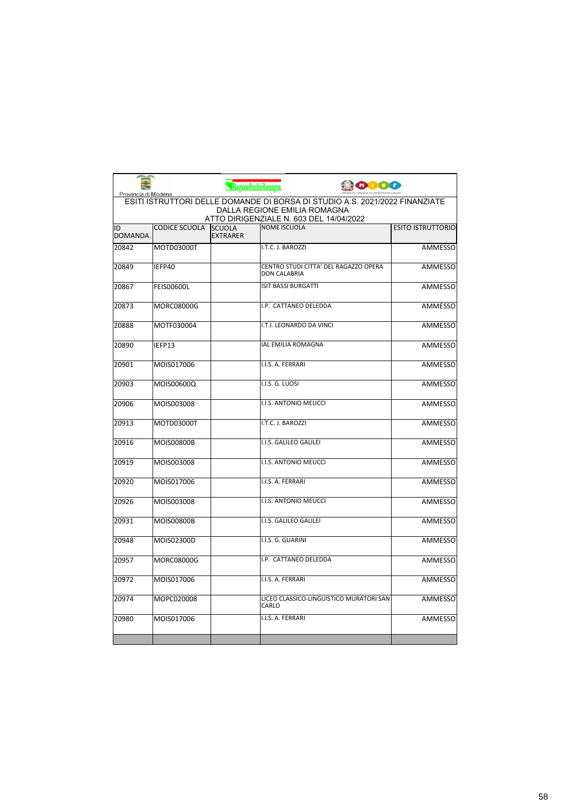| مم<br>Provincia di Modena |                                                                                                                                                               | RegioneEmiliaRomagna             | <b>ODOG</b>                                                  |                          |  |
|---------------------------|---------------------------------------------------------------------------------------------------------------------------------------------------------------|----------------------------------|--------------------------------------------------------------|--------------------------|--|
|                           | ESITI ISTRUTTORI DELLE DOMANDE DI BORSA DI STUDIO A.S. 2021/2022 FINANZIATE<br><b>DALLA REGIONE EMILIA ROMAGNA</b><br>ATTO DIRIGENZIALE N. 603 DEL 14/04/2022 |                                  |                                                              |                          |  |
| ID<br><b>DOMANDA</b>      | <b>CODICE SCUOLA</b>                                                                                                                                          | <b>SCUOLA</b><br><b>EXTRARER</b> | <b>NOME ISCUOLA</b>                                          | <b>ESITO ISTRUTTORIO</b> |  |
| 20842                     | MOTD03000T                                                                                                                                                    |                                  | I.T.C. J. BAROZZI                                            | <b>AMMESSO</b>           |  |
| 20849                     | IEFP40                                                                                                                                                        |                                  | CENTRO STUDI CITTA' DEL RAGAZZO OPERA<br><b>DON CALABRIA</b> | <b>AMMESSO</b>           |  |
| 20867                     | FEIS00600L                                                                                                                                                    |                                  | <b>ISIT BASSI BURGATTI</b>                                   | <b>AMMESSO</b>           |  |
| 20873                     | MORC08000G                                                                                                                                                    |                                  | I.P. CATTANEO DELEDDA                                        | <b>AMMESSO</b>           |  |
| 20888                     | MOTF030004                                                                                                                                                    |                                  | I.T.I. LEONARDO DA VINCI                                     | AMMESSO                  |  |
| 20890                     | IEFP13                                                                                                                                                        |                                  | <b>IAL EMILIA ROMAGNA</b>                                    | <b>AMMESSO</b>           |  |
| 20901                     | MOIS017006                                                                                                                                                    |                                  | I.I.S. A. FERRARI                                            | <b>AMMESSO</b>           |  |
| 20903                     | MOIS00600Q                                                                                                                                                    | I.I.S. G. LUOSI                  |                                                              | <b>AMMESSO</b>           |  |
| 20906                     | MOIS003008                                                                                                                                                    |                                  | <b>I.I.S. ANTONIO MEUCCI</b>                                 | <b>AMMESSO</b>           |  |
| 20913                     | MOTD03000T                                                                                                                                                    |                                  | I.T.C. J. BAROZZI                                            | <b>AMMESSO</b>           |  |
| 20916                     | MOIS00800B                                                                                                                                                    |                                  | I.I.S. GALILEO GALILEI                                       | <b>AMMESSO</b>           |  |
| 20919                     | MOIS003008                                                                                                                                                    |                                  | I.I.S. ANTONIO MEUCCI                                        | <b>AMMESSO</b>           |  |
| 20920                     | MOIS017006                                                                                                                                                    |                                  | I.I.S. A. FERRARI                                            | <b>AMMESSO</b>           |  |
| 20926                     | MOIS003008                                                                                                                                                    |                                  | <b>I.I.S. ANTONIO MEUCCI</b>                                 | <b>AMMESSO</b>           |  |
| 20931                     | MOIS00800B                                                                                                                                                    |                                  | I.I.S. GALILEO GALILEI                                       | <b>AMMESSO</b>           |  |
| 20948                     | MOIS02300D                                                                                                                                                    |                                  | I.I.S. G. GUARINI                                            | <b>AMMESSO</b>           |  |
| 20957                     | <b>MORC08000G</b>                                                                                                                                             |                                  | I.P. CATTANEO DELEDDA                                        | <b>AMMESSO</b>           |  |
| 20972                     | MOIS017006                                                                                                                                                    |                                  | I.I.S. A. FERRARI                                            | <b>AMMESSO</b>           |  |
| 20974                     | MOPC020008                                                                                                                                                    | CARLO                            | LICEO CLASSICO-LINGUISTICO MURATORI SAN                      | <b>AMMESSO</b>           |  |
| 20980                     | MOIS017006                                                                                                                                                    |                                  | I.I.S. A. FERRARI                                            | <b>AMMESSO</b>           |  |
|                           |                                                                                                                                                               |                                  |                                                              |                          |  |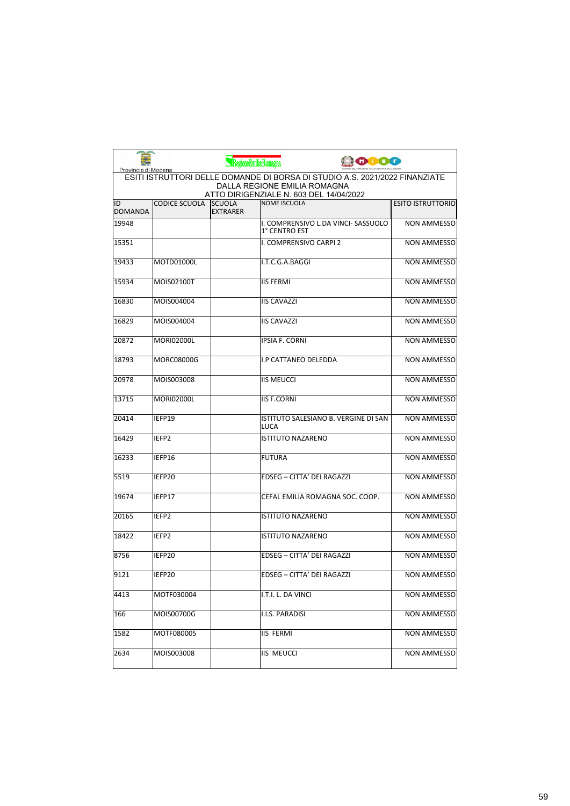| Provincia di Modena  |                   | RegioneEmiliaRomagna             | <b>ODO</b>                                                                                                                                             |                          |
|----------------------|-------------------|----------------------------------|--------------------------------------------------------------------------------------------------------------------------------------------------------|--------------------------|
|                      |                   |                                  | ESITI ISTRUTTORI DELLE DOMANDE DI BORSA DI STUDIO A.S. 2021/2022 FINANZIATE<br>DALLA REGIONE EMILIA ROMAGNA<br>ATTO DIRIGENZIALE N. 603 DEL 14/04/2022 |                          |
| ID<br><b>DOMANDA</b> | CODICE SCUOLA     | <b>SCUOLA</b><br><b>EXTRARER</b> | NOME ISCUOLA                                                                                                                                           | <b>ESITO ISTRUTTORIO</b> |
| 19948                |                   |                                  | I. COMPRENSIVO L.DA VINCI- SASSUOLO<br>1° CENTRO EST                                                                                                   | <b>NON AMMESSO</b>       |
| 15351                |                   |                                  | I. COMPRENSIVO CARPI 2                                                                                                                                 | <b>NON AMMESSO</b>       |
| 19433                | MOTD01000L        |                                  | I.T.C.G.A.BAGGI                                                                                                                                        | <b>NON AMMESSO</b>       |
| 15934                | MOIS02100T        |                                  | <b>IIS FERMI</b>                                                                                                                                       | <b>NON AMMESSO</b>       |
| 16830                | MOIS004004        |                                  | <b>IIS CAVAZZI</b>                                                                                                                                     | <b>NON AMMESSO</b>       |
| 16829                | MOIS004004        |                                  | <b>IIS CAVAZZI</b>                                                                                                                                     | <b>NON AMMESSO</b>       |
| 20872                | <b>MORI02000L</b> |                                  | <b>IPSIA F. CORNI</b>                                                                                                                                  | <b>NON AMMESSO</b>       |
| 18793                | MORC08000G        |                                  | I.P CATTANEO DELEDDA                                                                                                                                   | <b>NON AMMESSO</b>       |
| 20978                | MOIS003008        |                                  | <b>IIS MEUCCI</b>                                                                                                                                      | <b>NON AMMESSO</b>       |
| 13715                | <b>MORI02000L</b> |                                  | <b>IIS F.CORNI</b>                                                                                                                                     | <b>NON AMMESSO</b>       |
| 20414                | IEFP19            |                                  | ISTITUTO SALESIANO B. VERGINE DI SAN<br>LUCA                                                                                                           | <b>NON AMMESSO</b>       |
| 16429                | IEFP <sub>2</sub> |                                  | <b>ISTITUTO NAZARENO</b>                                                                                                                               | <b>NON AMMESSO</b>       |
| 16233                | IEFP16            |                                  | <b>FUTURA</b>                                                                                                                                          | <b>NON AMMESSO</b>       |
| 5519                 | IEFP20            |                                  | EDSEG - CITTA' DEI RAGAZZI                                                                                                                             | <b>NON AMMESSO</b>       |
| 19674                | IEFP17            |                                  | CEFAL EMILIA ROMAGNA SOC. COOP.                                                                                                                        | <b>NON AMMESSO</b>       |
| 20165                | IEFP <sub>2</sub> |                                  | <b>ISTITUTO NAZARENO</b>                                                                                                                               | <b>NON AMMESSO</b>       |
| 18422                | IEFP2             |                                  | <b>ISTITUTO NAZARENO</b>                                                                                                                               | <b>NON AMMESSO</b>       |
| 8756                 | IEFP20            |                                  | <b>EDSEG - CITTA' DEI RAGAZZI</b>                                                                                                                      | <b>NON AMMESSO</b>       |
| 9121                 | IEFP20            |                                  | <b>EDSEG - CITTA' DEI RAGAZZI</b>                                                                                                                      | NON AMMESSO              |
| 4413                 | MOTF030004        |                                  | I.T.I. L. DA VINCI                                                                                                                                     | <b>NON AMMESSO</b>       |
| 166                  | MOIS00700G        |                                  | I.I.S. PARADISI                                                                                                                                        | <b>NON AMMESSO</b>       |
| 1582                 | MOTF080005        |                                  | <b>IIS FERMI</b>                                                                                                                                       | <b>NON AMMESSO</b>       |
| 2634                 | MOIS003008        |                                  | <b>IIS MEUCCI</b>                                                                                                                                      | <b>NON AMMESSO</b>       |